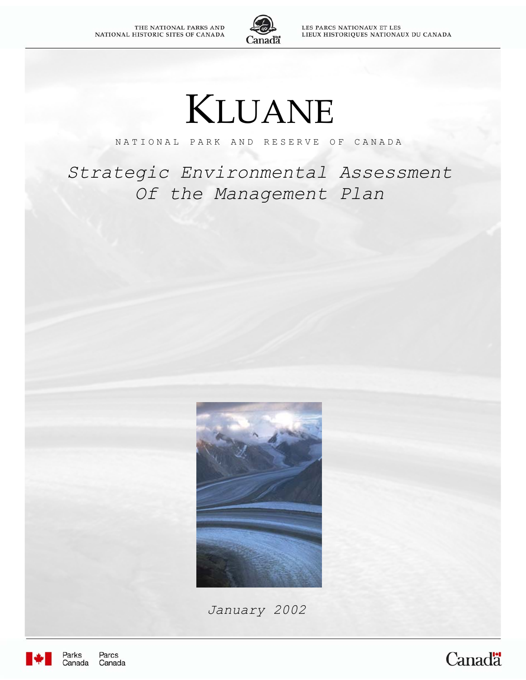

LES PARCS NATIONAUX ET LES LIEUX HISTORIQUES NATIONAUX DU CANADA

# KLUANE

NATIONAL PARK AND RESERVE OF CANADA

*Strategic Environmental Assessment Of the Management Plan*



*January 2002*



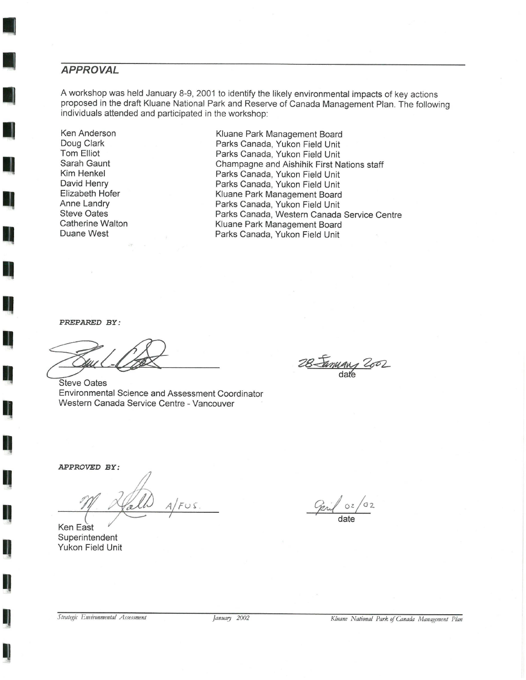## **APPROVAL**

A workshop was held January 8-9, 2001 to identify the likely environmental impacts of key actions proposed in the draft Kluane National Park and Reserve of Canada Management Plan. The following individuals attended and participated in the workshop:

Ken Anderson Doug Clark **Tom Elliot** Sarah Gaunt Kim Henkel David Henry Elizabeth Hofer Anne Landry **Steve Oates** Catherine Walton Duane West

Kluane Park Management Board Parks Canada, Yukon Field Unit Parks Canada, Yukon Field Unit Champagne and Aishihik First Nations staff Parks Canada, Yukon Field Unit Parks Canada, Yukon Field Unit Kluane Park Management Board Parks Canada, Yukon Field Unit Parks Canada, Western Canada Service Centre Kluane Park Management Board Parks Canada, Yukon Field Unit

PREPARED BY:

**Steve Oates** Environmental Science and Assessment Coordinator Western Canada Service Centre - Vancouver

January 2002

APPROVED BY:

Ken East Superintendent Yukon Field Unit

 $\sigma$ <sub>2</sub>  $O2$ date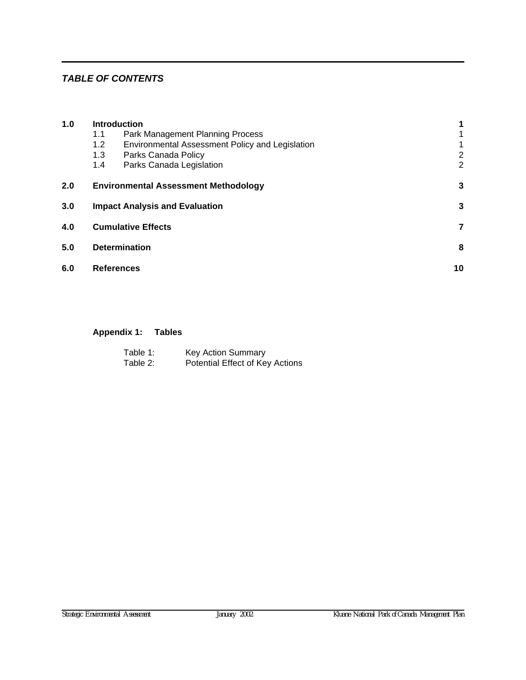## *TABLE OF CONTENTS*

| 1.0                      | <b>Introduction</b>                   |                                                 |                |  |  |  |  |
|--------------------------|---------------------------------------|-------------------------------------------------|----------------|--|--|--|--|
|                          | 1.1                                   | Park Management Planning Process                | 1              |  |  |  |  |
|                          | 1.2                                   | Environmental Assessment Policy and Legislation | $\mathbf 1$    |  |  |  |  |
|                          | 1.3                                   | Parks Canada Policy                             | $\overline{2}$ |  |  |  |  |
|                          | 1.4                                   | Parks Canada Legislation                        | 2              |  |  |  |  |
| 2.0                      |                                       | <b>Environmental Assessment Methodology</b>     | 3              |  |  |  |  |
| 3.0                      | <b>Impact Analysis and Evaluation</b> |                                                 |                |  |  |  |  |
| 4.0                      | <b>Cumulative Effects</b>             |                                                 |                |  |  |  |  |
| 5.0                      |                                       | <b>Determination</b>                            | 8              |  |  |  |  |
| 6.0<br><b>References</b> |                                       |                                                 |                |  |  |  |  |
|                          |                                       |                                                 |                |  |  |  |  |

## **[Appendix 1:](#page-21-0) Tables**

| Table 1: | <b>Key Action Summary</b>       |
|----------|---------------------------------|
| Table 2: | Potential Effect of Key Actions |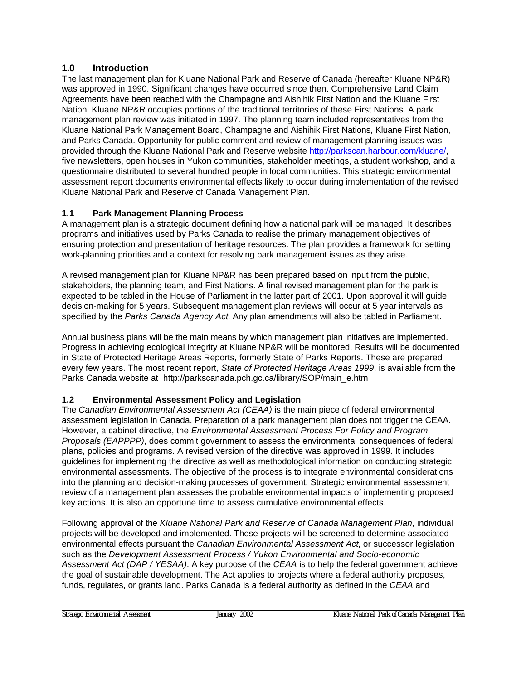## <span id="page-6-0"></span>**1.0 Introduction**

The last management plan for Kluane National Park and Reserve of Canada (hereafter Kluane NP&R) was approved in 1990. Significant changes have occurred since then. Comprehensive Land Claim Agreements have been reached with the Champagne and Aishihik First Nation and the Kluane First Nation. Kluane NP&R occupies portions of the traditional territories of these First Nations. A park management plan review was initiated in 1997. The planning team included representatives from the Kluane National Park Management Board, Champagne and Aishihik First Nations, Kluane First Nation, and Parks Canada. Opportunity for public comment and review of management planning issues was provided through the Kluane National Park and Reserve websit[e http://parkscan.harbour.com/kluane/,](http://parkscan.harbour.com/kluane/) five newsletters, open houses in Yukon communities, stakeholder meetings, a student workshop, and a questionnaire distributed to several hundred people in local communities. This strategic environmental assessment report documents environmental effects likely to occur during implementation of the revised Kluane National Park and Reserve of Canada Management Plan.

## **1.1 Park Management Planning Process**

A management plan is a strategic document defining how a national park will be managed. It describes programs and initiatives used by Parks Canada to realise the primary management objectives of ensuring protection and presentation of heritage resources. The plan provides a framework for setting work-planning priorities and a context for resolving park management issues as they arise.

A revised management plan for Kluane NP&R has been prepared based on input from the public, stakeholders, the planning team, and First Nations. A final revised management plan for the park is expected to be tabled in the House of Parliament in the latter part of 2001. Upon approval it will guide decision-making for 5 years. Subsequent management plan reviews will occur at 5 year intervals as specified by the *Parks Canada Agency Act*. Any plan amendments will also be tabled in Parliament.

Annual business plans will be the main means by which management plan initiatives are implemented. Progress in achieving ecological integrity at Kluane NP&R will be monitored. Results will be documented in State of Protected Heritage Areas Reports, formerly State of Parks Reports. These are prepared every few years. The most recent report, *State of Protected Heritage Areas 1999*, is available from the Parks Canada website at http://parkscanada.pch.gc.ca/library/SOP/main\_e.htm

## **1.2 Environmental Assessment Policy and Legislation**

The *Canadian Environmental Assessment Act (CEAA)* is the main piece of federal environmental assessment legislation in Canada. Preparation of a park management plan does not trigger the CEAA. However, a cabinet directive, the *Environmental Assessment Process For Policy and Program Proposals (EAPPPP)*, does commit government to assess the environmental consequences of federal plans, policies and programs. A revised version of the directive was approved in 1999. It includes guidelines for implementing the directive as well as methodological information on conducting strategic environmental assessments. The objective of the process is to integrate environmental considerations into the planning and decision-making processes of government. Strategic environmental assessment review of a management plan assesses the probable environmental impacts of implementing proposed key actions. It is also an opportune time to assess cumulative environmental effects.

Following approval of the *Kluane National Park and Reserve of Canada Management Plan*, individual projects will be developed and implemented. These projects will be screened to determine associated environmental effects pursuant the *Canadian Environmental Assessment Act*, or successor legislation such as the *Development Assessment Process / Yukon Environmental and Socio-economic Assessment Act (DAP / YESAA)*. A key purpose of the *CEAA* is to help the federal government achieve the goal of sustainable development. The Act applies to projects where a federal authority proposes, funds, regulates, or grants land. Parks Canada is a federal authority as defined in the *CEAA* and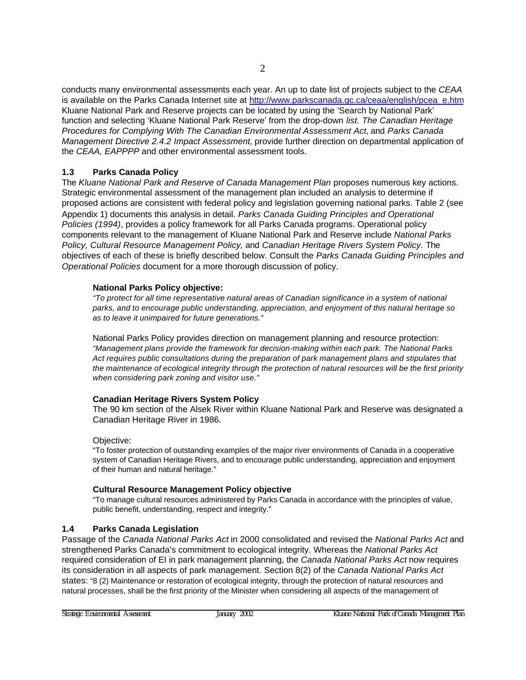<span id="page-7-0"></span>conducts many environmental assessments each year. An up to date list of projects subject to the *CEAA* is available on the Parks Canada Internet site [at http://www.parkscanada.gc.ca/ceaa/english/pcea\\_e.htm](http://www.parkscanada.gc.ca/ceaa/english/pcea_e.htm) Kluane National Park and Reserve projects can be located by using the 'Search by National Park' function and selecting 'Kluane National Park Reserve' from the drop-down *list. The Canadian Heritage Procedures for Complying With The Canadian Environmental Assessment Act*, and *Parks Canada Management Directive 2.4.2 Impact Assessment*, provide further direction on departmental application of the *CEAA, EAPPPP* and other environmental assessment tools.

## **1.3 Parks Canada Policy**

The *Kluane National Park and Reserve of Canada Management Plan* proposes numerous key actions. Strategic environmental assessment of the management plan included an analysis to determine if proposed actions are consistent with federal policy and legislation governing national parks. Table 2 (see Appendix 1) documents this analysis in detail. *Parks Canada Guiding Principles and Operational Policies (1994)*, provides a policy framework for all Parks Canada programs. Operational policy components relevant to the management of Kluane National Park and Reserve include *National Parks Policy, Cultural Resource Management Policy,* and *Canadian Heritage Rivers System Policy.* The objectives of each of these is briefly described below. Consult the *Parks Canada Guiding Principles and Operational Policies* document for a more thorough discussion of policy.

## **National Parks Policy objective:**

*"To protect for all time representative natural areas of Canadian significance in a system of national parks, and to encourage public understanding, appreciation, and enjoyment of this natural heritage so as to leave it unimpaired for future generations."*

National Parks Policy provides direction on management planning and resource protection: *"Management plans provide the framework for decision-making within each park. The National Parks Act requires public consultations during the preparation of park management plans and stipulates that the maintenance of ecological integrity through the protection of natural resources will be the first priority when considering park zoning and visitor use."*

## **Canadian Heritage Rivers System Policy**

The 90 km section of the Alsek River within Kluane National Park and Reserve was designated a Canadian Heritage River in 1986.

## Objective:

"To foster protection of outstanding examples of the major river environments of Canada in a cooperative system of Canadian Heritage Rivers, and to encourage public understanding, appreciation and enjoyment of their human and natural heritage."

## **Cultural Resource Management Policy objective**

"To manage cultural resources administered by Parks Canada in accordance with the principles of value, public benefit, understanding, respect and integrity."

## **1.4 Parks Canada Legislation**

Passage of the *Canada National Parks Act* in 2000 consolidated and revised the *National Parks Act* and strengthened Parks Canada's commitment to ecological integrity. Whereas the *National Parks Act* required consideration of EI in park management planning, the *Canada National Parks Act* now requires its consideration in all aspects of park management. Section 8(2) of the *Canada National Parks Act* states: "8 (2) Maintenance or restoration of ecological integrity, through the protection of natural resources and natural processes, shall be the first priority of the Minister when considering all aspects of the management of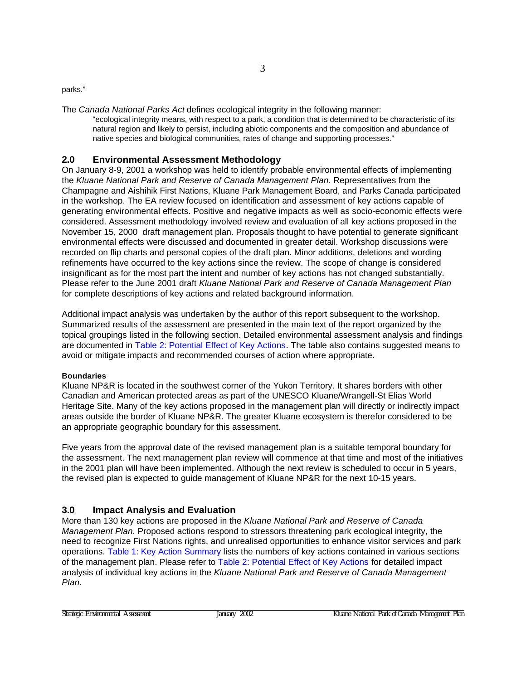<span id="page-8-0"></span>parks."

The *Canada National Parks Act* defines ecological integrity in the following manner:

"ecological integrity means, with respect to a park, a condition that is determined to be characteristic of its natural region and likely to persist, including abiotic components and the composition and abundance of native species and biological communities, rates of change and supporting processes."

## **2.0 Environmental Assessment Methodology**

On January 8-9, 2001 a workshop was held to identify probable environmental effects of implementing the *Kluane National Park and Reserve of Canada Management Plan*. Representatives from the Champagne and Aishihik First Nations, Kluane Park Management Board, and Parks Canada participated in the workshop. The EA review focused on identification and assessment of key actions capable of generating environmental effects. Positive and negative impacts as well as socio-economic effects were considered. Assessment methodology involved review and evaluation of all key actions proposed in the November 15, 2000 draft management plan. Proposals thought to have potential to generate significant environmental effects were discussed and documented in greater detail. Workshop discussions were recorded on flip charts and personal copies of the draft plan. Minor additions, deletions and wording refinements have occurred to the key actions since the review. The scope of change is considered insignificant as for the most part the intent and number of key actions has not changed substantially. Please refer to the June 2001 draft *Kluane National Park and Reserve of Canada Management Plan* for complete descriptions of key actions and related background information.

Additional impact analysis was undertaken by the author of this report subsequent to the workshop. Summarized results of the assessment are presented in the main text of the report organized by the topical groupings listed in the following section. Detailed environmental assessment analysis and findings are documented i[n Table 2: Potential Effect of Key Actions. The](#page-25-0) table also contains suggested means to avoid or mitigate impacts and recommended courses of action where appropriate.

#### **Boundaries**

Kluane NP&R is located in the southwest corner of the Yukon Territory. It shares borders with other Canadian and American protected areas as part of the UNESCO Kluane/Wrangell-St Elias World Heritage Site. Many of the key actions proposed in the management plan will directly or indirectly impact areas outside the border of Kluane NP&R. The greater Kluane ecosystem is therefor considered to be an appropriate geographic boundary for this assessment.

Five years from the approval date of the revised management plan is a suitable temporal boundary for the assessment. The next management plan review will commence at that time and most of the initiatives in the 2001 plan will have been implemented. Although the next review is scheduled to occur in 5 years, the revised plan is expected to guide management of Kluane NP&R for the next 10-15 years.

## **3.0 Impact Analysis and Evaluation**

More than 130 key actions are proposed in the *Kluane National Park and Reserve of Canada Management Plan*. Proposed actions respond to stressors threatening park ecological integrity, the need to recognize First Nations rights, and unrealised opportunities to enhance visitor services and park operati[ons. Table 1: Key Action Summary](#page-23-0) lists the numbers of key actions contained in various sections of the management plan. Please refer to Table 2: Potential Effect of Key Actions for detailed impact analysis of individual key actions in the *[Kluane National Park and Reserve of Cana](#page-25-0)da Management Plan*.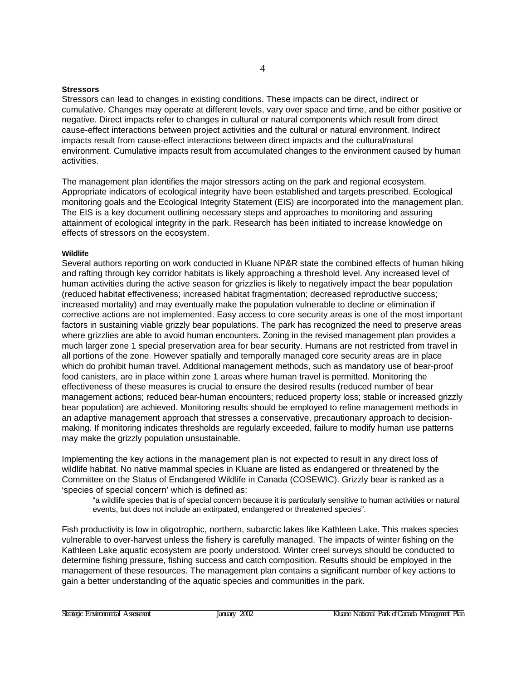#### **Stressors**

Stressors can lead to changes in existing conditions. These impacts can be direct, indirect or cumulative. Changes may operate at different levels, vary over space and time, and be either positive or negative. Direct impacts refer to changes in cultural or natural components which result from direct cause-effect interactions between project activities and the cultural or natural environment. Indirect impacts result from cause-effect interactions between direct impacts and the cultural/natural environment. Cumulative impacts result from accumulated changes to the environment caused by human activities.

4

The management plan identifies the major stressors acting on the park and regional ecosystem. Appropriate indicators of ecological integrity have been established and targets prescribed. Ecological monitoring goals and the Ecological Integrity Statement (EIS) are incorporated into the management plan. The EIS is a key document outlining necessary steps and approaches to monitoring and assuring attainment of ecological integrity in the park. Research has been initiated to increase knowledge on effects of stressors on the ecosystem.

#### **Wildlife**

Several authors reporting on work conducted in Kluane NP&R state the combined effects of human hiking and rafting through key corridor habitats is likely approaching a threshold level. Any increased level of human activities during the active season for grizzlies is likely to negatively impact the bear population (reduced habitat effectiveness; increased habitat fragmentation; decreased reproductive success; increased mortality) and may eventually make the population vulnerable to decline or elimination if corrective actions are not implemented. Easy access to core security areas is one of the most important factors in sustaining viable grizzly bear populations. The park has recognized the need to preserve areas where grizzlies are able to avoid human encounters. Zoning in the revised management plan provides a much larger zone 1 special preservation area for bear security. Humans are not restricted from travel in all portions of the zone. However spatially and temporally managed core security areas are in place which do prohibit human travel. Additional management methods, such as mandatory use of bear-proof food canisters, are in place within zone 1 areas where human travel is permitted. Monitoring the effectiveness of these measures is crucial to ensure the desired results (reduced number of bear management actions; reduced bear-human encounters; reduced property loss; stable or increased grizzly bear population) are achieved. Monitoring results should be employed to refine management methods in an adaptive management approach that stresses a conservative, precautionary approach to decisionmaking. If monitoring indicates thresholds are regularly exceeded, failure to modify human use patterns may make the grizzly population unsustainable.

Implementing the key actions in the management plan is not expected to result in any direct loss of wildlife habitat. No native mammal species in Kluane are listed as endangered or threatened by the Committee on the Status of Endangered Wildlife in Canada (COSEWIC). Grizzly bear is ranked as a 'species of special concern' which is defined as:

"a wildlife species that is of special concern because it is particularly sensitive to human activities or natural events, but does not include an extirpated, endangered or threatened species".

Fish productivity is low in oligotrophic, northern, subarctic lakes like Kathleen Lake. This makes species vulnerable to over-harvest unless the fishery is carefully managed. The impacts of winter fishing on the Kathleen Lake aquatic ecosystem are poorly understood. Winter creel surveys should be conducted to determine fishing pressure, fishing success and catch composition. Results should be employed in the management of these resources. The management plan contains a significant number of key actions to gain a better understanding of the aquatic species and communities in the park.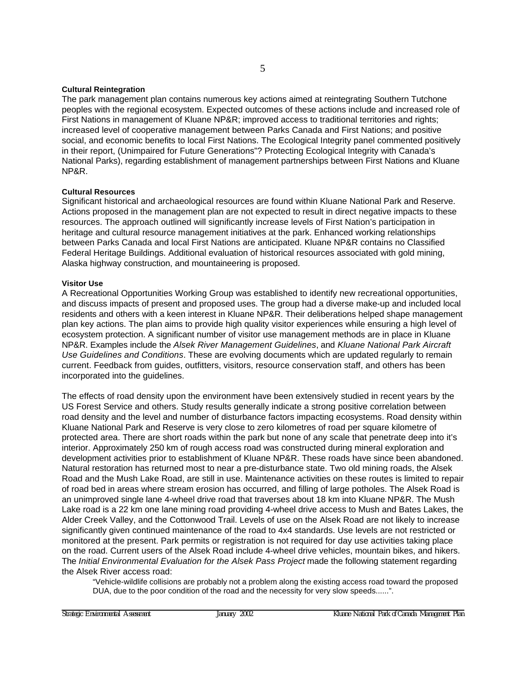#### **Cultural Reintegration**

The park management plan contains numerous key actions aimed at reintegrating Southern Tutchone peoples with the regional ecosystem. Expected outcomes of these actions include and increased role of First Nations in management of Kluane NP&R; improved access to traditional territories and rights; increased level of cooperative management between Parks Canada and First Nations; and positive social, and economic benefits to local First Nations. The Ecological Integrity panel commented positively in their report, (Unimpaired for Future Generations"? Protecting Ecological Integrity with Canada's National Parks), regarding establishment of management partnerships between First Nations and Kluane NP&R.

#### **Cultural Resources**

Significant historical and archaeological resources are found within Kluane National Park and Reserve. Actions proposed in the management plan are not expected to result in direct negative impacts to these resources. The approach outlined will significantly increase levels of First Nation's participation in heritage and cultural resource management initiatives at the park. Enhanced working relationships between Parks Canada and local First Nations are anticipated. Kluane NP&R contains no Classified Federal Heritage Buildings. Additional evaluation of historical resources associated with gold mining, Alaska highway construction, and mountaineering is proposed.

#### **Visitor Use**

A Recreational Opportunities Working Group was established to identify new recreational opportunities, and discuss impacts of present and proposed uses. The group had a diverse make-up and included local residents and others with a keen interest in Kluane NP&R. Their deliberations helped shape management plan key actions. The plan aims to provide high quality visitor experiences while ensuring a high level of ecosystem protection. A significant number of visitor use management methods are in place in Kluane NP&R. Examples include the *Alsek River Management Guidelines*, and *Kluane National Park Aircraft Use Guidelines and Conditions*. These are evolving documents which are updated regularly to remain current. Feedback from guides, outfitters, visitors, resource conservation staff, and others has been incorporated into the guidelines.

The effects of road density upon the environment have been extensively studied in recent years by the US Forest Service and others. Study results generally indicate a strong positive correlation between road density and the level and number of disturbance factors impacting ecosystems. Road density within Kluane National Park and Reserve is very close to zero kilometres of road per square kilometre of protected area. There are short roads within the park but none of any scale that penetrate deep into it's interior. Approximately 250 km of rough access road was constructed during mineral exploration and development activities prior to establishment of Kluane NP&R. These roads have since been abandoned. Natural restoration has returned most to near a pre-disturbance state. Two old mining roads, the Alsek Road and the Mush Lake Road, are still in use. Maintenance activities on these routes is limited to repair of road bed in areas where stream erosion has occurred, and filling of large potholes. The Alsek Road is an unimproved single lane 4-wheel drive road that traverses about 18 km into Kluane NP&R. The Mush Lake road is a 22 km one lane mining road providing 4-wheel drive access to Mush and Bates Lakes, the Alder Creek Valley, and the Cottonwood Trail. Levels of use on the Alsek Road are not likely to increase significantly given continued maintenance of the road to 4x4 standards. Use levels are not restricted or monitored at the present. Park permits or registration is not required for day use activities taking place on the road. Current users of the Alsek Road include 4-wheel drive vehicles, mountain bikes, and hikers. The *Initial Environmental Evaluation for the Alsek Pass Project* made the following statement regarding the Alsek River access road:

"Vehicle-wildlife collisions are probably not a problem along the existing access road toward the proposed DUA, due to the poor condition of the road and the necessity for very slow speeds......".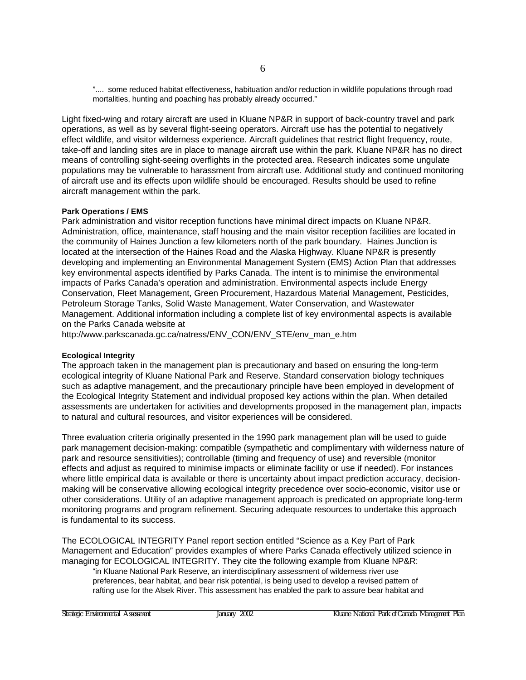".... some reduced habitat effectiveness, habituation and/or reduction in wildlife populations through road mortalities, hunting and poaching has probably already occurred."

Light fixed-wing and rotary aircraft are used in Kluane NP&R in support of back-country travel and park operations, as well as by several flight-seeing operators. Aircraft use has the potential to negatively effect wildlife, and visitor wilderness experience. Aircraft guidelines that restrict flight frequency, route, take-off and landing sites are in place to manage aircraft use within the park. Kluane NP&R has no direct means of controlling sight-seeing overflights in the protected area. Research indicates some ungulate populations may be vulnerable to harassment from aircraft use. Additional study and continued monitoring of aircraft use and its effects upon wildlife should be encouraged. Results should be used to refine aircraft management within the park.

#### **Park Operations / EMS**

Park administration and visitor reception functions have minimal direct impacts on Kluane NP&R. Administration, office, maintenance, staff housing and the main visitor reception facilities are located in the community of Haines Junction a few kilometers north of the park boundary. Haines Junction is located at the intersection of the Haines Road and the Alaska Highway. Kluane NP&R is presently developing and implementing an Environmental Management System (EMS) Action Plan that addresses key environmental aspects identified by Parks Canada. The intent is to minimise the environmental impacts of Parks Canada's operation and administration. Environmental aspects include Energy Conservation, Fleet Management, Green Procurement, Hazardous Material Management, Pesticides, Petroleum Storage Tanks, Solid Waste Management, Water Conservation, and Wastewater Management. Additional information including a complete list of key environmental aspects is available on the Parks Canada website at

[http://www.parkscanada.gc.ca/natress/ENV\\_CON/ENV\\_STE/env\\_man\\_e.htm](http://www.parkscanada.gc.ca/natress/ENV_CON/ENV_STE/env_man_e.htm)

#### **Ecological Integrity**

The approach taken in the management plan is precautionary and based on ensuring the long-term ecological integrity of Kluane National Park and Reserve. Standard conservation biology techniques such as adaptive management, and the precautionary principle have been employed in development of the Ecological Integrity Statement and individual proposed key actions within the plan. When detailed assessments are undertaken for activities and developments proposed in the management plan, impacts to natural and cultural resources, and visitor experiences will be considered.

Three evaluation criteria originally presented in the 1990 park management plan will be used to guide park management decision-making: compatible (sympathetic and complimentary with wilderness nature of park and resource sensitivities); controllable (timing and frequency of use) and reversible (monitor effects and adjust as required to minimise impacts or eliminate facility or use if needed). For instances where little empirical data is available or there is uncertainty about impact prediction accuracy, decisionmaking will be conservative allowing ecological integrity precedence over socio-economic, visitor use or other considerations. Utility of an adaptive management approach is predicated on appropriate long-term monitoring programs and program refinement. Securing adequate resources to undertake this approach is fundamental to its success.

The ECOLOGICAL INTEGRITY Panel report section entitled "Science as a Key Part of Park Management and Education" provides examples of where Parks Canada effectively utilized science in managing for ECOLOGICAL INTEGRITY. They cite the following example from Kluane NP&R:

"in Kluane National Park Reserve, an interdisciplinary assessment of wilderness river use preferences, bear habitat, and bear risk potential, is being used to develop a revised pattern of rafting use for the Alsek River. This assessment has enabled the park to assure bear habitat and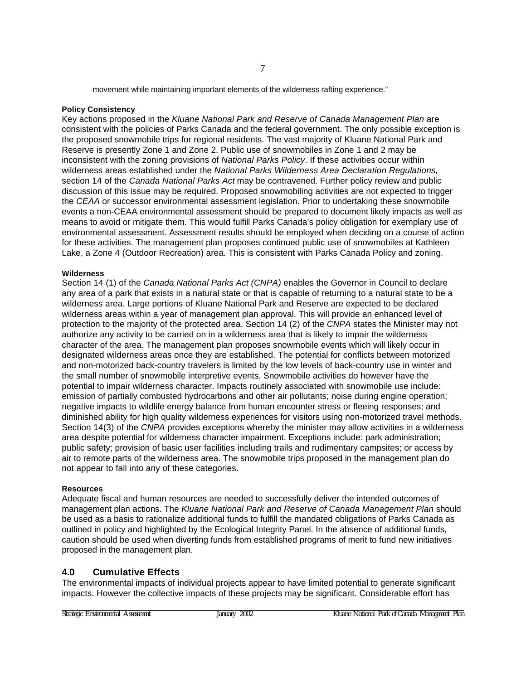movement while maintaining important elements of the wilderness rafting experience."

#### <span id="page-12-0"></span>**Policy Consistency**

Key actions proposed in the *Kluane National Park and Reserve of Canada Management Plan* are consistent with the policies of Parks Canada and the federal government. The only possible exception is the proposed snowmobile trips for regional residents. The vast majority of Kluane National Park and Reserve is presently Zone 1 and Zone 2. Public use of snowmobiles in Zone 1 and 2 may be inconsistent with the zoning provisions of *National Parks Policy*. If these activities occur within wilderness areas established under the *National Parks Wilderness Area Declaration Regulations,* section 14 of the *Canada National Parks Act* may be contravened. Further policy review and public discussion of this issue may be required. Proposed snowmobiling activities are not expected to trigger the *CEAA* or successor environmental assessment legislation. Prior to undertaking these snowmobile events a non-CEAA environmental assessment should be prepared to document likely impacts as well as means to avoid or mitigate them. This would fulfill Parks Canada's policy obligation for exemplary use of environmental assessment. Assessment results should be employed when deciding on a course of action for these activities. The management plan proposes continued public use of snowmobiles at Kathleen Lake, a Zone 4 (Outdoor Recreation) area. This is consistent with Parks Canada Policy and zoning.

#### **Wilderness**

Section 14 (1) of the *Canada National Parks Act (CNPA)* enables the Governor in Council to declare any area of a park that exists in a natural state or that is capable of returning to a natural state to be a wilderness area. Large portions of Kluane National Park and Reserve are expected to be declared wilderness areas within a year of management plan approval. This will provide an enhanced level of protection to the majority of the protected area. Section 14 (2) of the *CNPA* states the Minister may not authorize any activity to be carried on in a wilderness area that is likely to impair the wilderness character of the area. The management plan proposes snowmobile events which will likely occur in designated wilderness areas once they are established. The potential for conflicts between motorized and non-motorized back-country travelers is limited by the low levels of back-country use in winter and the small number of snowmobile interpretive events. Snowmobile activities do however have the potential to impair wilderness character. Impacts routinely associated with snowmobile use include: emission of partially combusted hydrocarbons and other air pollutants; noise during engine operation; negative impacts to wildlife energy balance from human encounter stress or fleeing responses; and diminished ability for high quality wilderness experiences for visitors using non-motorized travel methods. Section 14(3) of the *CNPA* provides exceptions whereby the minister may allow activities in a wilderness area despite potential for wilderness character impairment. Exceptions include: park administration; public safety; provision of basic user facilities including trails and rudimentary campsites; or access by air to remote parts of the wilderness area. The snowmobile trips proposed in the management plan do not appear to fall into any of these categories.

#### **Resources**

Adequate fiscal and human resources are needed to successfully deliver the intended outcomes of management plan actions. The *Kluane National Park and Reserve of Canada Management Plan* should be used as a basis to rationalize additional funds to fulfill the mandated obligations of Parks Canada as outlined in policy and highlighted by the Ecological Integrity Panel. In the absence of additional funds, caution should be used when diverting funds from established programs of merit to fund new initiatives proposed in the management plan.

#### **4.0 Cumulative Effects**

The environmental impacts of individual projects appear to have limited potential to generate significant impacts. However the collective impacts of these projects may be significant. Considerable effort has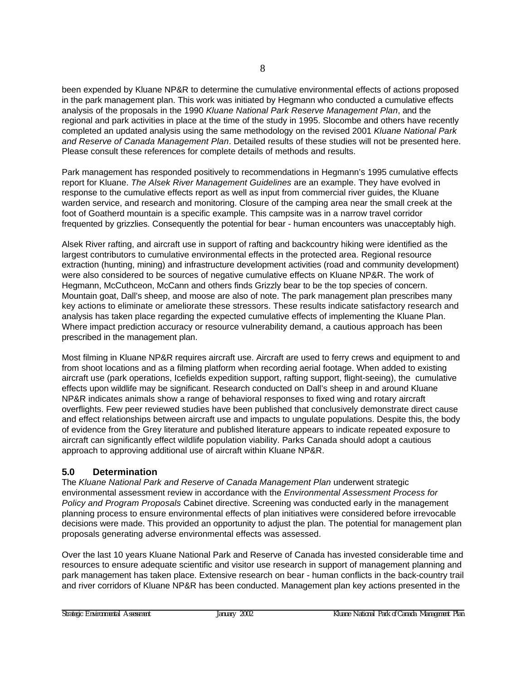<span id="page-13-0"></span>been expended by Kluane NP&R to determine the cumulative environmental effects of actions proposed in the park management plan. This work was initiated by Hegmann who conducted a cumulative effects analysis of the proposals in the 1990 *Kluane National Park Reserve Management Plan*, and the regional and park activities in place at the time of the study in 1995. Slocombe and others have recently completed an updated analysis using the same methodology on the revised 2001 *Kluane National Park and Reserve of Canada Management Plan*. Detailed results of these studies will not be presented here. Please consult these references for complete details of methods and results.

Park management has responded positively to recommendations in Hegmann's 1995 cumulative effects report for Kluane. *The Alsek River Management Guidelines* are an example. They have evolved in response to the cumulative effects report as well as input from commercial river guides, the Kluane warden service, and research and monitoring. Closure of the camping area near the small creek at the foot of Goatherd mountain is a specific example. This campsite was in a narrow travel corridor frequented by grizzlies. Consequently the potential for bear - human encounters was unacceptably high.

Alsek River rafting, and aircraft use in support of rafting and backcountry hiking were identified as the largest contributors to cumulative environmental effects in the protected area. Regional resource extraction (hunting, mining) and infrastructure development activities (road and community development) were also considered to be sources of negative cumulative effects on Kluane NP&R. The work of Hegmann, McCuthceon, McCann and others finds Grizzly bear to be the top species of concern. Mountain goat, Dall's sheep, and moose are also of note. The park management plan prescribes many key actions to eliminate or ameliorate these stressors. These results indicate satisfactory research and analysis has taken place regarding the expected cumulative effects of implementing the Kluane Plan. Where impact prediction accuracy or resource vulnerability demand, a cautious approach has been prescribed in the management plan.

Most filming in Kluane NP&R requires aircraft use. Aircraft are used to ferry crews and equipment to and from shoot locations and as a filming platform when recording aerial footage. When added to existing aircraft use (park operations, Icefields expedition support, rafting support, flight-seeing), the cumulative effects upon wildlife may be significant. Research conducted on Dall's sheep in and around Kluane NP&R indicates animals show a range of behavioral responses to fixed wing and rotary aircraft overflights. Few peer reviewed studies have been published that conclusively demonstrate direct cause and effect relationships between aircraft use and impacts to ungulate populations. Despite this, the body of evidence from the Grey literature and published literature appears to indicate repeated exposure to aircraft can significantly effect wildlife population viability. Parks Canada should adopt a cautious approach to approving additional use of aircraft within Kluane NP&R.

## **5.0 Determination**

The *Kluane National Park and Reserve of Canada Management Plan* underwent strategic environmental assessment review in accordance with the *Environmental Assessment Process for Policy and Program Proposals* Cabinet directive. Screening was conducted early in the management planning process to ensure environmental effects of plan initiatives were considered before irrevocable decisions were made. This provided an opportunity to adjust the plan. The potential for management plan proposals generating adverse environmental effects was assessed.

Over the last 10 years Kluane National Park and Reserve of Canada has invested considerable time and resources to ensure adequate scientific and visitor use research in support of management planning and park management has taken place. Extensive research on bear - human conflicts in the back-country trail and river corridors of Kluane NP&R has been conducted. Management plan key actions presented in the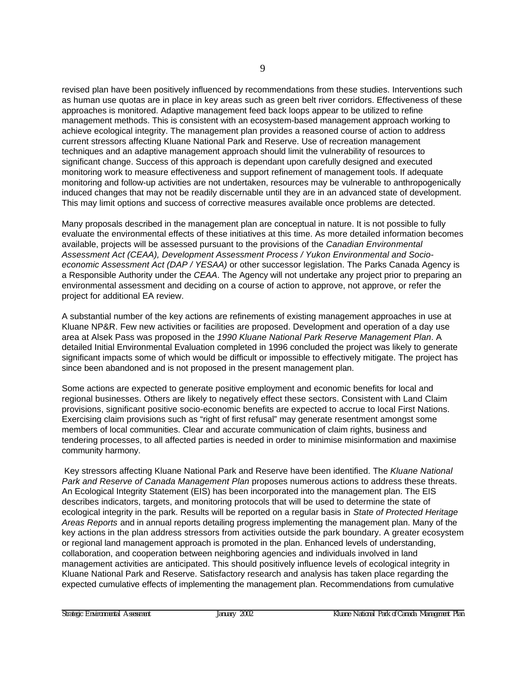revised plan have been positively influenced by recommendations from these studies. Interventions such as human use quotas are in place in key areas such as green belt river corridors. Effectiveness of these approaches is monitored. Adaptive management feed back loops appear to be utilized to refine management methods. This is consistent with an ecosystem-based management approach working to achieve ecological integrity. The management plan provides a reasoned course of action to address current stressors affecting Kluane National Park and Reserve. Use of recreation management techniques and an adaptive management approach should limit the vulnerability of resources to significant change. Success of this approach is dependant upon carefully designed and executed monitoring work to measure effectiveness and support refinement of management tools. If adequate monitoring and follow-up activities are not undertaken, resources may be vulnerable to anthropogenically induced changes that may not be readily discernable until they are in an advanced state of development. This may limit options and success of corrective measures available once problems are detected.

Many proposals described in the management plan are conceptual in nature. It is not possible to fully evaluate the environmental effects of these initiatives at this time. As more detailed information becomes available, projects will be assessed pursuant to the provisions of the *Canadian Environmental Assessment Act (CEAA), Development Assessment Process / Yukon Environmental and Socioeconomic Assessment Act (DAP / YESAA)* or other successor legislation. The Parks Canada Agency is a Responsible Authority under the *CEAA*. The Agency will not undertake any project prior to preparing an environmental assessment and deciding on a course of action to approve, not approve, or refer the project for additional EA review.

A substantial number of the key actions are refinements of existing management approaches in use at Kluane NP&R. Few new activities or facilities are proposed. Development and operation of a day use area at Alsek Pass was proposed in the *1990 Kluane National Park Reserve Management Plan*. A detailed Initial Environmental Evaluation completed in 1996 concluded the project was likely to generate significant impacts some of which would be difficult or impossible to effectively mitigate. The project has since been abandoned and is not proposed in the present management plan.

Some actions are expected to generate positive employment and economic benefits for local and regional businesses. Others are likely to negatively effect these sectors. Consistent with Land Claim provisions, significant positive socio-economic benefits are expected to accrue to local First Nations. Exercising claim provisions such as "right of first refusal" may generate resentment amongst some members of local communities. Clear and accurate communication of claim rights, business and tendering processes, to all affected parties is needed in order to minimise misinformation and maximise community harmony.

 Key stressors affecting Kluane National Park and Reserve have been identified. The *Kluane National Park and Reserve of Canada Management Plan* proposes numerous actions to address these threats. An Ecological Integrity Statement (EIS) has been incorporated into the management plan. The EIS describes indicators, targets, and monitoring protocols that will be used to determine the state of ecological integrity in the park. Results will be reported on a regular basis in *State of Protected Heritage Areas Reports* and in annual reports detailing progress implementing the management plan. Many of the key actions in the plan address stressors from activities outside the park boundary. A greater ecosystem or regional land management approach is promoted in the plan. Enhanced levels of understanding, collaboration, and cooperation between neighboring agencies and individuals involved in land management activities are anticipated. This should positively influence levels of ecological integrity in Kluane National Park and Reserve. Satisfactory research and analysis has taken place regarding the expected cumulative effects of implementing the management plan. Recommendations from cumulative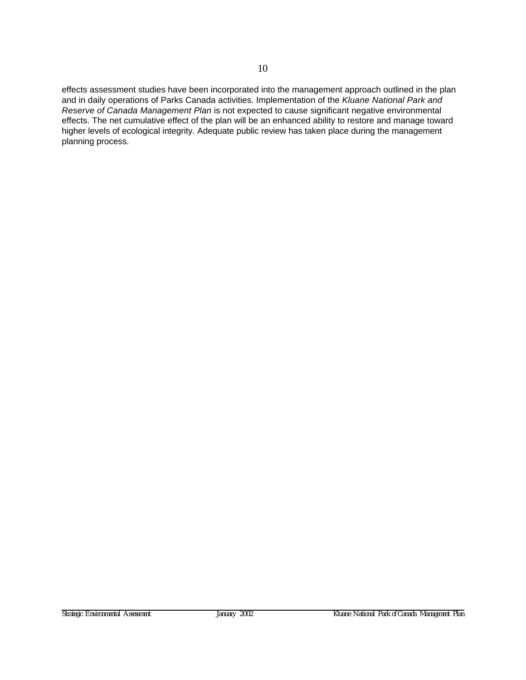effects assessment studies have been incorporated into the management approach outlined in the plan and in daily operations of Parks Canada activities. Implementation of the *Kluane National Park and Reserve of Canada Management Plan* is not expected to cause significant negative environmental effects. The net cumulative effect of the plan will be an enhanced ability to restore and manage toward higher levels of ecological integrity. Adequate public review has taken place during the management planning process.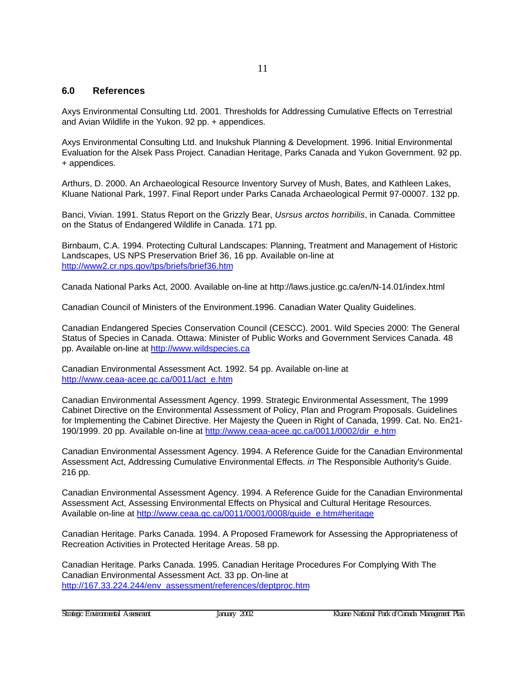#### <span id="page-16-0"></span>**6.0 References**

Axys Environmental Consulting Ltd. 2001. Thresholds for Addressing Cumulative Effects on Terrestrial and Avian Wildlife in the Yukon. 92 pp. + appendices.

Axys Environmental Consulting Ltd. and Inukshuk Planning & Development. 1996. Initial Environmental Evaluation for the Alsek Pass Project. Canadian Heritage, Parks Canada and Yukon Government. 92 pp. + appendices.

Arthurs, D. 2000. An Archaeological Resource Inventory Survey of Mush, Bates, and Kathleen Lakes, Kluane National Park, 1997. Final Report under Parks Canada Archaeological Permit 97-00007. 132 pp.

Banci, Vivian. 1991. Status Report on the Grizzly Bear, *Usrsus arctos horribilis*, in Canada. Committee on the Status of Endangered Wildlife in Canada. 171 pp.

Birnbaum, C.A. 1994. Protecting Cultural Landscapes: Planning, Treatment and Management of Historic Landscapes, US NPS Preservation Brief 36, 16 pp. Available on-line at http://www2.cr.nps.gov/tps/briefs/brief36.htm

Canada National Parks Act, 2000. Available on-line at http://laws.justice.gc.ca/en/N-14.01/index.html

Canadian Council of Ministers of the Environment.1996. Canadian Water Quality Guidelines.

Canadian Endangered Species Conservation Council (CESCC). 2001. Wild Species 2000: The General Status of Species in Canada. Ottawa: Minister of Public Works and Government Services Canada. 48 pp. Available on-line at http://www.wildspecies.ca

Canadian Environmental Assessment Act. 1992. 54 pp. Available on-line at http://www.ceaa-acee.gc.ca/0011/act\_e.htm

Canadian Environmental Assessment Agency. 1999. Strategic Environmental Assessment, The 1999 Cabinet Directive on the Environmental Assessment of Policy, Plan and Program Proposals. Guidelines for Implementing the Cabinet Directive. Her Majesty the Queen in Right of Canada, 1999. Cat. No. En21- 190/1999. 20 pp. Available on-line at http://www.ceaa-acee.gc.ca/0011/0002/dir\_e.htm

Canadian Environmental Assessment Agency. 1994. A Reference Guide for the Canadian Environmental Assessment Act, Addressing Cumulative Environmental Effects. *in* The Responsible Authority's Guide. 216 pp.

Canadian Environmental Assessment Agency. 1994. A Reference Guide for the Canadian Environmental Assessment Act, Assessing Environmental Effects on Physical and Cultural Heritage Resources. Available on-line at http://www.ceaa.gc.ca/0011/0001/0008/guide\_e.htm#heritage

Canadian Heritage. Parks Canada. 1994. A Proposed Framework for Assessing the Appropriateness of Recreation Activities in Protected Heritage Areas. 58 pp.

Canadian Heritage. Parks Canada. 1995. Canadian Heritage Procedures For Complying With The Canadian Environmental Assessment Act. 33 pp. On-line at http://167.33.224.244/env\_assessment/references/deptproc.htm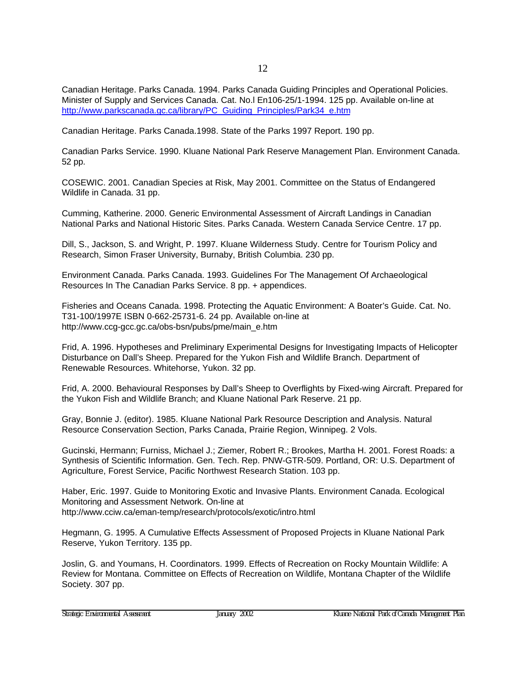Canadian Heritage. Parks Canada. 1994. Parks Canada Guiding Principles and Operational Policies. Minister of Supply and Services Canada. Cat. No.l En106-25/1-1994. 125 pp. Available on-line at http://www.parkscanada.gc.ca/library/PC\_Guiding\_Principles/Park34\_e.htm

Canadian Heritage. Parks Canada.1998. State of the Parks 1997 Report. 190 pp.

Canadian Parks Service. 1990. Kluane National Park Reserve Management Plan. Environment Canada. 52 pp.

COSEWIC. 2001. Canadian Species at Risk, May 2001. Committee on the Status of Endangered Wildlife in Canada. 31 pp.

Cumming, Katherine. 2000. Generic Environmental Assessment of Aircraft Landings in Canadian National Parks and National Historic Sites. Parks Canada. Western Canada Service Centre. 17 pp.

Dill, S., Jackson, S. and Wright, P. 1997. Kluane Wilderness Study. Centre for Tourism Policy and Research, Simon Fraser University, Burnaby, British Columbia. 230 pp.

Environment Canada. Parks Canada. 1993. Guidelines For The Management Of Archaeological Resources In The Canadian Parks Service. 8 pp. + appendices.

Fisheries and Oceans Canada. 1998. Protecting the Aquatic Environment: A Boater's Guide. Cat. No. T31-100/1997E ISBN 0-662-25731-6. 24 pp. Available on-line at http://www.ccg-gcc.gc.ca/obs-bsn/pubs/pme/main\_e.htm

Frid, A. 1996. Hypotheses and Preliminary Experimental Designs for Investigating Impacts of Helicopter Disturbance on Dall's Sheep. Prepared for the Yukon Fish and Wildlife Branch. Department of Renewable Resources. Whitehorse, Yukon. 32 pp.

Frid, A. 2000. Behavioural Responses by Dall's Sheep to Overflights by Fixed-wing Aircraft. Prepared for the Yukon Fish and Wildlife Branch; and Kluane National Park Reserve. 21 pp.

Gray, Bonnie J. (editor). 1985. Kluane National Park Resource Description and Analysis. Natural Resource Conservation Section, Parks Canada, Prairie Region, Winnipeg. 2 Vols.

Gucinski, Hermann; Furniss, Michael J.; Ziemer, Robert R.; Brookes, Martha H. 2001. Forest Roads: a Synthesis of Scientific Information. Gen. Tech. Rep. PNW-GTR-509. Portland, OR: U.S. Department of Agriculture, Forest Service, Pacific Northwest Research Station. 103 pp.

Haber, Eric. 1997. Guide to Monitoring Exotic and Invasive Plants. Environment Canada. Ecological Monitoring and Assessment Network. On-line at http://www.cciw.ca/eman-temp/research/protocols/exotic/intro.html

Hegmann, G. 1995. A Cumulative Effects Assessment of Proposed Projects in Kluane National Park Reserve, Yukon Territory. 135 pp.

Joslin, G. and Youmans, H. Coordinators. 1999. Effects of Recreation on Rocky Mountain Wildlife: A Review for Montana. Committee on Effects of Recreation on Wildlife, Montana Chapter of the Wildlife Society. 307 pp.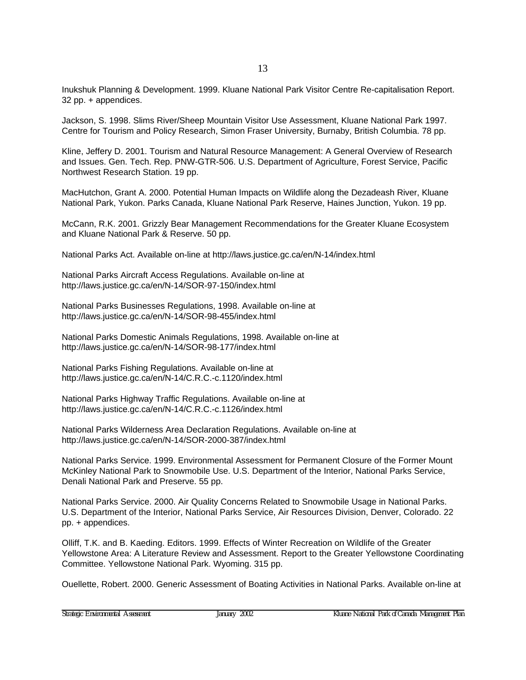Inukshuk Planning & Development. 1999. Kluane National Park Visitor Centre Re-capitalisation Report. 32 pp. + appendices.

Jackson, S. 1998. Slims River/Sheep Mountain Visitor Use Assessment, Kluane National Park 1997. Centre for Tourism and Policy Research, Simon Fraser University, Burnaby, British Columbia. 78 pp.

Kline, Jeffery D. 2001. Tourism and Natural Resource Management: A General Overview of Research and Issues. Gen. Tech. Rep. PNW-GTR-506. U.S. Department of Agriculture, Forest Service, Pacific Northwest Research Station. 19 pp.

MacHutchon, Grant A. 2000. Potential Human Impacts on Wildlife along the Dezadeash River, Kluane National Park, Yukon. Parks Canada, Kluane National Park Reserve, Haines Junction, Yukon. 19 pp.

McCann, R.K. 2001. Grizzly Bear Management Recommendations for the Greater Kluane Ecosystem and Kluane National Park & Reserve. 50 pp.

National Parks Act. Available on-line at http://laws.justice.gc.ca/en/N-14/index.html

National Parks Aircraft Access Regulations. Available on-line at http://laws.justice.gc.ca/en/N-14/SOR-97-150/index.html

National Parks Businesses Regulations, 1998. Available on-line at http://laws.justice.gc.ca/en/N-14/SOR-98-455/index.html

National Parks Domestic Animals Regulations, 1998. Available on-line at http://laws.justice.gc.ca/en/N-14/SOR-98-177/index.html

National Parks Fishing Regulations. Available on-line at http://laws.justice.gc.ca/en/N-14/C.R.C.-c.1120/index.html

National Parks Highway Traffic Regulations. Available on-line at http://laws.justice.gc.ca/en/N-14/C.R.C.-c.1126/index.html

National Parks Wilderness Area Declaration Regulations. Available on-line at http://laws.justice.gc.ca/en/N-14/SOR-2000-387/index.html

National Parks Service. 1999. Environmental Assessment for Permanent Closure of the Former Mount McKinley National Park to Snowmobile Use. U.S. Department of the Interior, National Parks Service, Denali National Park and Preserve. 55 pp.

National Parks Service. 2000. Air Quality Concerns Related to Snowmobile Usage in National Parks. U.S. Department of the Interior, National Parks Service, Air Resources Division, Denver, Colorado. 22 pp. + appendices.

Olliff, T.K. and B. Kaeding. Editors. 1999. Effects of Winter Recreation on Wildlife of the Greater Yellowstone Area: A Literature Review and Assessment. Report to the Greater Yellowstone Coordinating Committee. Yellowstone National Park. Wyoming. 315 pp.

Ouellette, Robert. 2000. Generic Assessment of Boating Activities in National Parks. Available on-line at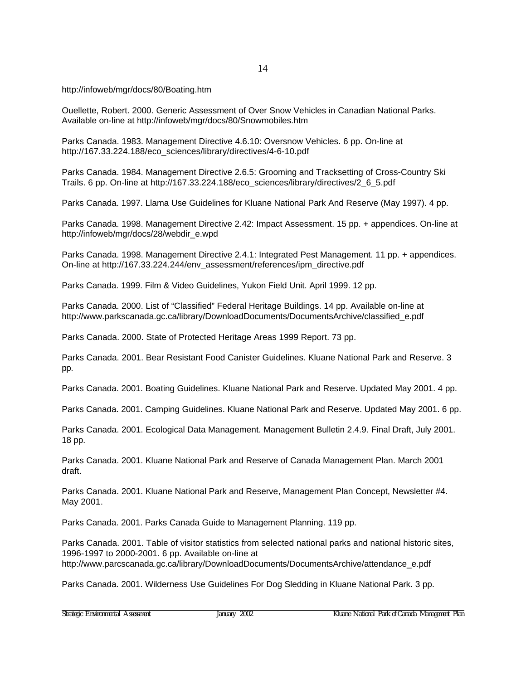http://infoweb/mgr/docs/80/Boating.htm

Ouellette, Robert. 2000. Generic Assessment of Over Snow Vehicles in Canadian National Parks. Available on-line at http://infoweb/mgr/docs/80/Snowmobiles.htm

Parks Canada. 1983. Management Directive 4.6.10: Oversnow Vehicles. 6 pp. On-line at http://167.33.224.188/eco\_sciences/library/directives/4-6-10.pdf

Parks Canada. 1984. Management Directive 2.6.5: Grooming and Tracksetting of Cross-Country Ski Trails. 6 pp. On-line at http://167.33.224.188/eco\_sciences/library/directives/2\_6\_5.pdf

Parks Canada. 1997. Llama Use Guidelines for Kluane National Park And Reserve (May 1997). 4 pp.

Parks Canada. 1998. Management Directive 2.42: Impact Assessment. 15 pp. + appendices. On-line at http://infoweb/mgr/docs/28/webdir\_e.wpd

Parks Canada. 1998. Management Directive 2.4.1: Integrated Pest Management. 11 pp. + appendices. On-line at http://167.33.224.244/env\_assessment/references/ipm\_directive.pdf

Parks Canada. 1999. Film & Video Guidelines, Yukon Field Unit. April 1999. 12 pp.

Parks Canada. 2000. List of "Classified" Federal Heritage Buildings. 14 pp. Available on-line at http://www.parkscanada.gc.ca/library/DownloadDocuments/DocumentsArchive/classified\_e.pdf

Parks Canada. 2000. State of Protected Heritage Areas 1999 Report. 73 pp.

Parks Canada. 2001. Bear Resistant Food Canister Guidelines. Kluane National Park and Reserve. 3 pp.

Parks Canada. 2001. Boating Guidelines. Kluane National Park and Reserve. Updated May 2001. 4 pp.

Parks Canada. 2001. Camping Guidelines. Kluane National Park and Reserve. Updated May 2001. 6 pp.

Parks Canada. 2001. Ecological Data Management. Management Bulletin 2.4.9. Final Draft, July 2001. 18 pp.

Parks Canada. 2001. Kluane National Park and Reserve of Canada Management Plan. March 2001 draft.

Parks Canada. 2001. Kluane National Park and Reserve, Management Plan Concept, Newsletter #4. May 2001.

Parks Canada. 2001. Parks Canada Guide to Management Planning. 119 pp.

Parks Canada. 2001. Table of visitor statistics from selected national parks and national historic sites, 1996-1997 to 2000-2001. 6 pp. Available on-line at http://www.parcscanada.gc.ca/library/DownloadDocuments/DocumentsArchive/attendance\_e.pdf

Parks Canada. 2001. Wilderness Use Guidelines For Dog Sledding in Kluane National Park. 3 pp.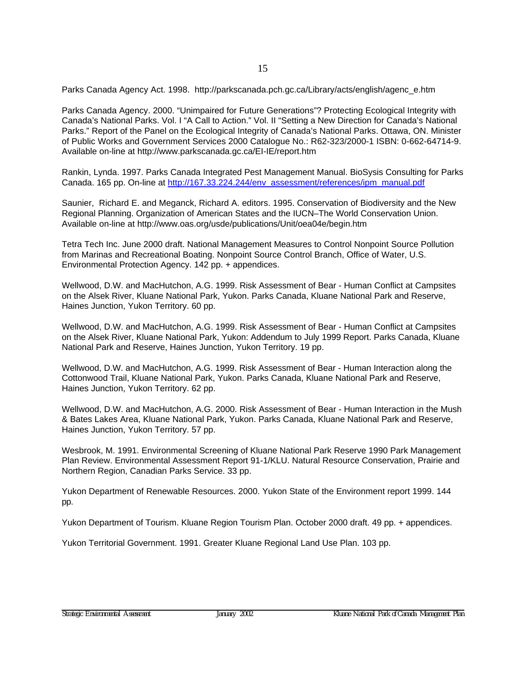Parks Canada Agency Act. 1998. http://parkscanada.pch.gc.ca/Library/acts/english/agenc\_e.htm

Parks Canada Agency. 2000. "Unimpaired for Future Generations"? Protecting Ecological Integrity with Canada's National Parks. Vol. I "A Call to Action." Vol. II "Setting a New Direction for Canada's National Parks." Report of the Panel on the Ecological Integrity of Canada's National Parks. Ottawa, ON. Minister of Public Works and Government Services 2000 Catalogue No.: R62-323/2000-1 ISBN: 0-662-64714-9. Available on-line at http://www.parkscanada.gc.ca/EI-IE/report.htm

Rankin, Lynda. 1997. Parks Canada Integrated Pest Management Manual. BioSysis Consulting for Parks Canada. 165 pp. On-line at http://167.33.224.244/env\_assessment/references/ipm\_manual.pdf

Saunier, Richard E. and Meganck, Richard A. editors. 1995. Conservation of Biodiversity and the New Regional Planning. Organization of American States and the IUCN–The World Conservation Union. Available on-line at http://www.oas.org/usde/publications/Unit/oea04e/begin.htm

Tetra Tech Inc. June 2000 draft. National Management Measures to Control Nonpoint Source Pollution from Marinas and Recreational Boating. Nonpoint Source Control Branch, Office of Water, U.S. Environmental Protection Agency. 142 pp. + appendices.

Wellwood, D.W. and MacHutchon, A.G. 1999. Risk Assessment of Bear - Human Conflict at Campsites on the Alsek River, Kluane National Park, Yukon. Parks Canada, Kluane National Park and Reserve, Haines Junction, Yukon Territory. 60 pp.

Wellwood, D.W. and MacHutchon, A.G. 1999. Risk Assessment of Bear - Human Conflict at Campsites on the Alsek River, Kluane National Park, Yukon: Addendum to July 1999 Report. Parks Canada, Kluane National Park and Reserve, Haines Junction, Yukon Territory. 19 pp.

Wellwood, D.W. and MacHutchon, A.G. 1999. Risk Assessment of Bear - Human Interaction along the Cottonwood Trail, Kluane National Park, Yukon. Parks Canada, Kluane National Park and Reserve, Haines Junction, Yukon Territory. 62 pp.

Wellwood, D.W. and MacHutchon, A.G. 2000. Risk Assessment of Bear - Human Interaction in the Mush & Bates Lakes Area, Kluane National Park, Yukon. Parks Canada, Kluane National Park and Reserve, Haines Junction, Yukon Territory. 57 pp.

Wesbrook, M. 1991. Environmental Screening of Kluane National Park Reserve 1990 Park Management Plan Review. Environmental Assessment Report 91-1/KLU. Natural Resource Conservation, Prairie and Northern Region, Canadian Parks Service. 33 pp.

Yukon Department of Renewable Resources. 2000. Yukon State of the Environment report 1999. 144 pp.

Yukon Department of Tourism. Kluane Region Tourism Plan. October 2000 draft. 49 pp. + appendices.

Yukon Territorial Government. 1991. Greater Kluane Regional Land Use Plan. 103 pp.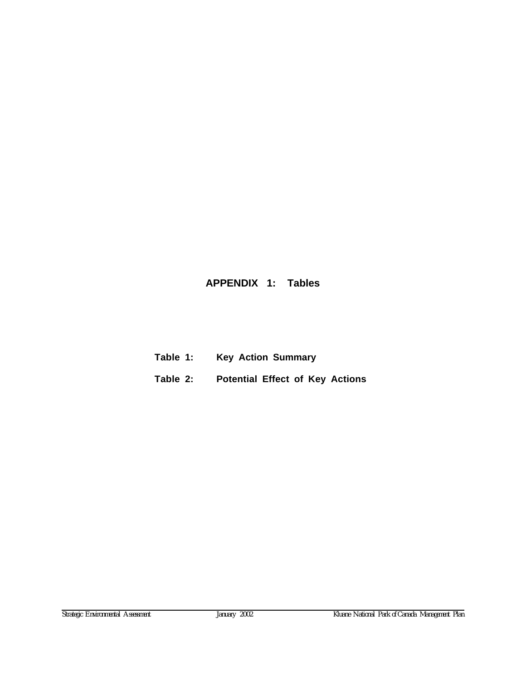## <span id="page-21-0"></span>**APPENDIX 1: Tables**

- **Table 1: Key Action Summary**
- **Table 2: Potential Effect of Key Actions**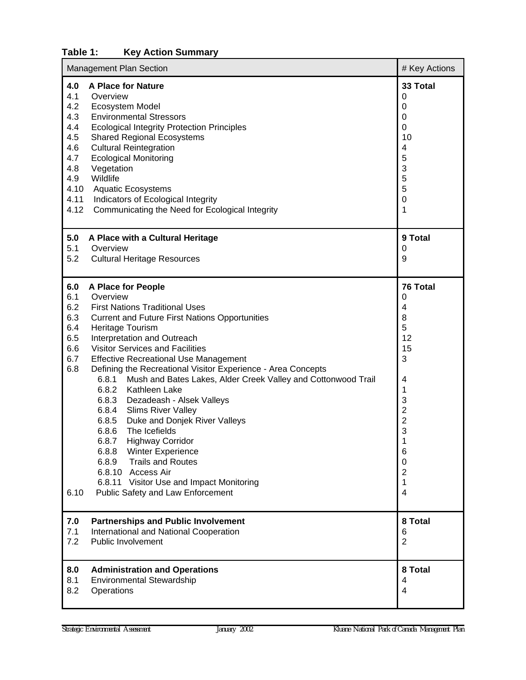## <span id="page-23-0"></span>**Table 1: Key Action Summary**

| Management Plan Section                                                                                                                                                                                                                                                                                                                                                                                                                                                                                                                                                           | # Key Actions                                                                                                                                                                                                                                                                                    |                                                                                                                                                                                 |
|-----------------------------------------------------------------------------------------------------------------------------------------------------------------------------------------------------------------------------------------------------------------------------------------------------------------------------------------------------------------------------------------------------------------------------------------------------------------------------------------------------------------------------------------------------------------------------------|--------------------------------------------------------------------------------------------------------------------------------------------------------------------------------------------------------------------------------------------------------------------------------------------------|---------------------------------------------------------------------------------------------------------------------------------------------------------------------------------|
| 4.0<br><b>A Place for Nature</b><br>4.1<br>Overview<br>4.2<br>Ecosystem Model<br>4.3<br><b>Environmental Stressors</b><br>4.4<br><b>Ecological Integrity Protection Principles</b><br>4.5<br><b>Shared Regional Ecosystems</b><br>4.6<br><b>Cultural Reintegration</b><br>4.7<br><b>Ecological Monitoring</b><br>4.8<br>Vegetation<br>Wildlife<br>4.9<br>4.10<br><b>Aquatic Ecosystems</b><br>4.11<br>Indicators of Ecological Integrity<br>4.12                                                                                                                                  | Communicating the Need for Ecological Integrity                                                                                                                                                                                                                                                  | 33 Total<br>0<br>0<br>0<br>0<br>10<br>4<br>5<br>3<br>5<br>5<br>$\mathbf 0$<br>1                                                                                                 |
| 5.0<br>A Place with a Cultural Heritage<br>5.1<br>Overview<br>5.2<br><b>Cultural Heritage Resources</b>                                                                                                                                                                                                                                                                                                                                                                                                                                                                           |                                                                                                                                                                                                                                                                                                  | 9 Total<br>0<br>9                                                                                                                                                               |
| 6.0<br>A Place for People<br>Overview<br>6.1<br>6.2<br><b>First Nations Traditional Uses</b><br>6.3<br>6.4<br>Heritage Tourism<br>6.5<br>Interpretation and Outreach<br>6.6<br><b>Visitor Services and Facilities</b><br>6.7<br><b>Effective Recreational Use Management</b><br>6.8<br>6.8.1<br>6.8.2<br>Kathleen Lake<br>6.8.3<br><b>Slims River Valley</b><br>6.8.4<br>6.8.5<br>6.8.6<br>The Icefields<br>6.8.7<br><b>Highway Corridor</b><br>6.8.8<br>Winter Experience<br><b>Trails and Routes</b><br>6.8.9<br>6.8.10 Access Air<br>6.10<br>Public Safety and Law Enforcement | <b>Current and Future First Nations Opportunities</b><br>Defining the Recreational Visitor Experience - Area Concepts<br>Mush and Bates Lakes, Alder Creek Valley and Cottonwood Trail<br>Dezadeash - Alsek Valleys<br>Duke and Donjek River Valleys<br>6.8.11 Visitor Use and Impact Monitoring | 76 Total<br>0<br>4<br>8<br>5<br>12<br>15<br>3<br>4<br>1<br>3<br>$\overline{\mathbf{c}}$<br>$\overline{c}$<br>3<br>1<br>6<br>0<br>$\overline{2}$<br>1<br>$\overline{\mathbf{4}}$ |
| 7.0<br><b>Partnerships and Public Involvement</b><br>International and National Cooperation<br>7.1<br>7.2<br>Public Involvement                                                                                                                                                                                                                                                                                                                                                                                                                                                   |                                                                                                                                                                                                                                                                                                  | 8 Total<br>6<br>$\overline{2}$                                                                                                                                                  |
| 8.0<br><b>Administration and Operations</b><br>8.1<br><b>Environmental Stewardship</b><br>8.2<br>Operations                                                                                                                                                                                                                                                                                                                                                                                                                                                                       |                                                                                                                                                                                                                                                                                                  | 8 Total<br>4<br>4                                                                                                                                                               |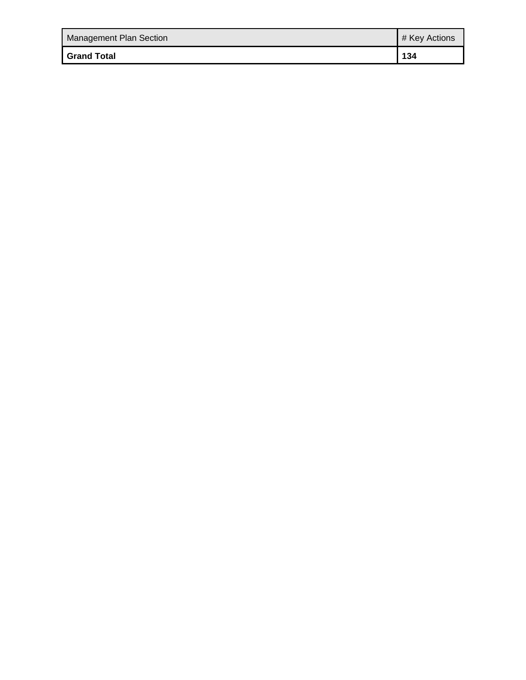| <b>Management Plan Section</b> | # Key Actions |
|--------------------------------|---------------|
| <b>Grand Total</b>             | 134           |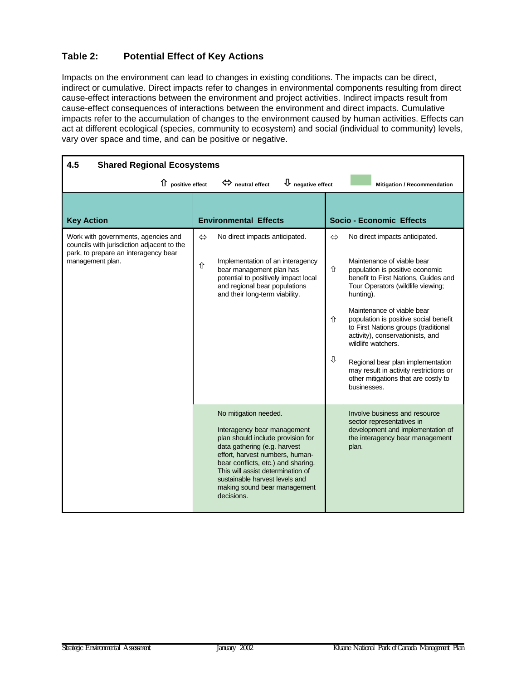## <span id="page-25-0"></span>**Table 2: Potential Effect of Key Actions**

Impacts on the environment can lead to changes in existing conditions. The impacts can be direct, indirect or cumulative. Direct impacts refer to changes in environmental components resulting from direct cause-effect interactions between the environment and project activities. Indirect impacts result from cause-effect consequences of interactions between the environment and direct impacts. Cumulative impacts refer to the accumulation of changes to the environment caused by human activities. Effects can act at different ecological (species, community to ecosystem) and social (individual to community) levels, vary over space and time, and can be positive or negative.

| 4.5<br><b>Shared Regional Ecosystems</b>                                                                                                      |                        |                                                                                                                                                                                                                                                                                                                         |                  |                                                                                                                                                                                                                                                                                                                                                                                                                                                                                                          |  |
|-----------------------------------------------------------------------------------------------------------------------------------------------|------------------------|-------------------------------------------------------------------------------------------------------------------------------------------------------------------------------------------------------------------------------------------------------------------------------------------------------------------------|------------------|----------------------------------------------------------------------------------------------------------------------------------------------------------------------------------------------------------------------------------------------------------------------------------------------------------------------------------------------------------------------------------------------------------------------------------------------------------------------------------------------------------|--|
| $\hat{u}$ positive effect<br>$\bigcup$ negative effect<br>$\Leftrightarrow$ neutral effect<br>Mitigation / Recommendation                     |                        |                                                                                                                                                                                                                                                                                                                         |                  |                                                                                                                                                                                                                                                                                                                                                                                                                                                                                                          |  |
| <b>Key Action</b>                                                                                                                             |                        | <b>Environmental Effects</b>                                                                                                                                                                                                                                                                                            |                  | <b>Socio - Economic Effects</b>                                                                                                                                                                                                                                                                                                                                                                                                                                                                          |  |
| Work with governments, agencies and<br>councils with jurisdiction adjacent to the<br>park, to prepare an interagency bear<br>management plan. | $\Leftrightarrow$<br>⇧ | No direct impacts anticipated.<br>Implementation of an interagency<br>bear management plan has<br>potential to positively impact local<br>and regional bear populations<br>and their long-term viability.                                                                                                               | ⇔<br>⇧<br>介<br>⇩ | No direct impacts anticipated.<br>Maintenance of viable bear<br>population is positive economic<br>benefit to First Nations, Guides and<br>Tour Operators (wildlife viewing;<br>hunting).<br>Maintenance of viable bear<br>population is positive social benefit<br>to First Nations groups (traditional<br>activity), conservationists, and<br>wildlife watchers.<br>Regional bear plan implementation<br>may result in activity restrictions or<br>other mitigations that are costly to<br>businesses. |  |
|                                                                                                                                               |                        | No mitigation needed.<br>Interagency bear management<br>plan should include provision for<br>data gathering (e.g. harvest<br>effort, harvest numbers, human-<br>bear conflicts, etc.) and sharing.<br>This will assist determination of<br>sustainable harvest levels and<br>making sound bear management<br>decisions. |                  | Involve business and resource<br>sector representatives in<br>development and implementation of<br>the interagency bear management<br>plan.                                                                                                                                                                                                                                                                                                                                                              |  |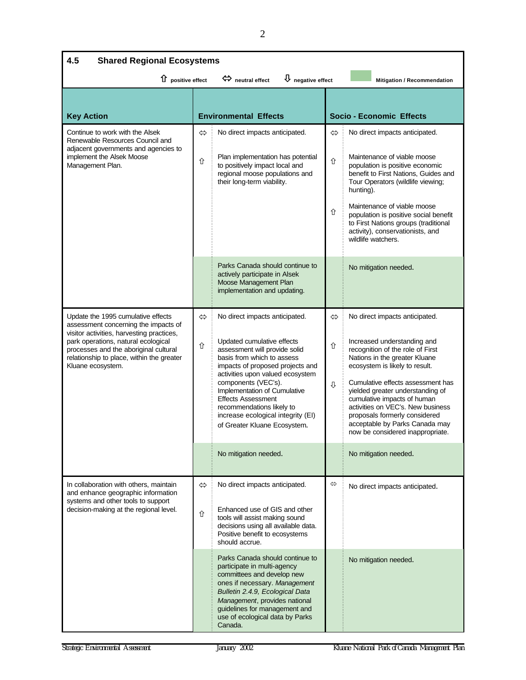| 4.5<br><b>Shared Regional Ecosystems</b>                                                                                                                                                                                                                                  |                        |                                                                                                                                                                                                                                                                                                                                                                                            |                   |                                                                                                                                                                                                                                                                                                                                                                                                                          |
|---------------------------------------------------------------------------------------------------------------------------------------------------------------------------------------------------------------------------------------------------------------------------|------------------------|--------------------------------------------------------------------------------------------------------------------------------------------------------------------------------------------------------------------------------------------------------------------------------------------------------------------------------------------------------------------------------------------|-------------------|--------------------------------------------------------------------------------------------------------------------------------------------------------------------------------------------------------------------------------------------------------------------------------------------------------------------------------------------------------------------------------------------------------------------------|
| $\bigcup$ negative effect<br>1 positive effect<br>$\Leftrightarrow$ neutral effect<br>Mitigation / Recommendation                                                                                                                                                         |                        |                                                                                                                                                                                                                                                                                                                                                                                            |                   |                                                                                                                                                                                                                                                                                                                                                                                                                          |
| <b>Key Action</b>                                                                                                                                                                                                                                                         |                        | <b>Environmental Effects</b>                                                                                                                                                                                                                                                                                                                                                               |                   | <b>Socio - Economic Effects</b>                                                                                                                                                                                                                                                                                                                                                                                          |
| Continue to work with the Alsek<br>Renewable Resources Council and<br>adjacent governments and agencies to<br>implement the Alsek Moose<br>Management Plan.                                                                                                               |                        | No direct impacts anticipated.<br>Plan implementation has potential<br>to positively impact local and<br>regional moose populations and<br>their long-term viability.                                                                                                                                                                                                                      | ⇔<br>⇧<br>⇧       | No direct impacts anticipated.<br>Maintenance of viable moose<br>population is positive economic<br>benefit to First Nations, Guides and<br>Tour Operators (wildlife viewing;<br>hunting).<br>Maintenance of viable moose<br>population is positive social benefit<br>to First Nations groups (traditional<br>activity), conservationists, and<br>wildlife watchers.                                                     |
|                                                                                                                                                                                                                                                                           |                        | Parks Canada should continue to<br>actively participate in Alsek<br>Moose Management Plan<br>implementation and updating.                                                                                                                                                                                                                                                                  |                   | No mitigation needed.                                                                                                                                                                                                                                                                                                                                                                                                    |
| Update the 1995 cumulative effects<br>assessment concerning the impacts of<br>visitor activities, harvesting practices,<br>park operations, natural ecological<br>processes and the aboriginal cultural<br>relationship to place, within the greater<br>Kluane ecosystem. | $\Leftrightarrow$<br>⇧ | No direct impacts anticipated.<br>Updated cumulative effects<br>assessment will provide solid<br>basis from which to assess<br>impacts of proposed projects and<br>activities upon valued ecosystem<br>components (VEC's).<br>Implementation of Cumulative<br><b>Effects Assessment</b><br>recommendations likely to<br>increase ecological integrity (EI)<br>of Greater Kluane Ecosystem. | ⇔<br>⇧<br>⇩       | No direct impacts anticipated.<br>Increased understanding and<br>recognition of the role of First<br>Nations in the greater Kluane<br>ecosystem is likely to result.<br>Cumulative effects assessment has<br>yielded greater understanding of<br>cumulative impacts of human<br>activities on VEC's. New business<br>proposals formerly considered<br>acceptable by Parks Canada may<br>now be considered inappropriate. |
|                                                                                                                                                                                                                                                                           |                        | No mitigation needed.                                                                                                                                                                                                                                                                                                                                                                      |                   | No mitigation needed.                                                                                                                                                                                                                                                                                                                                                                                                    |
| In collaboration with others, maintain<br>and enhance geographic information<br>systems and other tools to support<br>decision-making at the regional level.                                                                                                              | $\Leftrightarrow$<br>仚 | No direct impacts anticipated.<br>Enhanced use of GIS and other<br>tools will assist making sound<br>decisions using all available data.<br>Positive benefit to ecosystems<br>should accrue.                                                                                                                                                                                               | $\Leftrightarrow$ | No direct impacts anticipated.                                                                                                                                                                                                                                                                                                                                                                                           |
|                                                                                                                                                                                                                                                                           |                        | Parks Canada should continue to<br>participate in multi-agency<br>committees and develop new<br>ones if necessary. Management<br>Bulletin 2.4.9, Ecological Data<br>Management, provides national<br>guidelines for management and<br>use of ecological data by Parks<br>Canada.                                                                                                           |                   | No mitigation needed.                                                                                                                                                                                                                                                                                                                                                                                                    |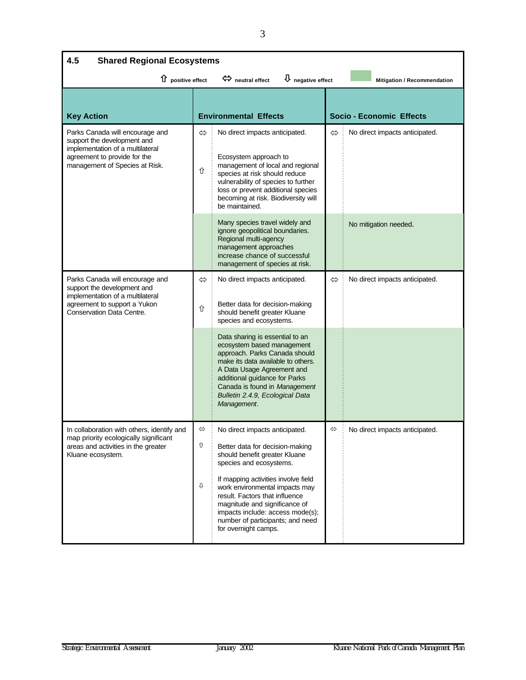| 4.5<br><b>Shared Regional Ecosystems</b>                                                                                                                             |                             |                                                                                                                                                                                                                                                                                                                                                                                                          |   |                                 |  |
|----------------------------------------------------------------------------------------------------------------------------------------------------------------------|-----------------------------|----------------------------------------------------------------------------------------------------------------------------------------------------------------------------------------------------------------------------------------------------------------------------------------------------------------------------------------------------------------------------------------------------------|---|---------------------------------|--|
| $\overline{\mathsf{U}}$ negative effect<br>$\hat{u}$ positive effect<br>$\Leftrightarrow$ neutral effect<br>Mitigation / Recommendation                              |                             |                                                                                                                                                                                                                                                                                                                                                                                                          |   |                                 |  |
| <b>Key Action</b>                                                                                                                                                    |                             | <b>Environmental Effects</b>                                                                                                                                                                                                                                                                                                                                                                             |   | <b>Socio - Economic Effects</b> |  |
| Parks Canada will encourage and<br>support the development and<br>implementation of a multilateral<br>agreement to provide for the<br>management of Species at Risk. | ⇔<br>⇧                      | No direct impacts anticipated.<br>Ecosystem approach to<br>management of local and regional<br>species at risk should reduce<br>vulnerability of species to further<br>loss or prevent additional species<br>becoming at risk. Biodiversity will<br>be maintained.                                                                                                                                       | ⇔ | No direct impacts anticipated.  |  |
|                                                                                                                                                                      |                             | Many species travel widely and<br>ignore geopolitical boundaries.<br>Regional multi-agency<br>management approaches<br>increase chance of successful<br>management of species at risk.                                                                                                                                                                                                                   |   | No mitigation needed.           |  |
| Parks Canada will encourage and<br>support the development and<br>implementation of a multilateral<br>agreement to support a Yukon<br>Conservation Data Centre.      | $\Leftrightarrow$<br>⇧      | No direct impacts anticipated.<br>Better data for decision-making<br>should benefit greater Kluane<br>species and ecosystems.<br>Data sharing is essential to an<br>ecosystem based management<br>approach. Parks Canada should<br>make its data available to others.<br>A Data Usage Agreement and<br>additional guidance for Parks<br>Canada is found in Management<br>Bulletin 2.4.9, Ecological Data | ⇔ | No direct impacts anticipated.  |  |
|                                                                                                                                                                      |                             | Management.                                                                                                                                                                                                                                                                                                                                                                                              |   |                                 |  |
| In collaboration with others, identify and<br>map priority ecologically significant<br>areas and activities in the greater<br>Kluane ecosystem.                      | $\Leftrightarrow$<br>⇧<br>⇩ | No direct impacts anticipated.<br>Better data for decision-making<br>should benefit greater Kluane<br>species and ecosystems.<br>If mapping activities involve field<br>work environmental impacts may<br>result. Factors that influence<br>magnitude and significance of<br>impacts include: access mode(s);<br>number of participants; and need<br>for overnight camps.                                | ⇔ | No direct impacts anticipated.  |  |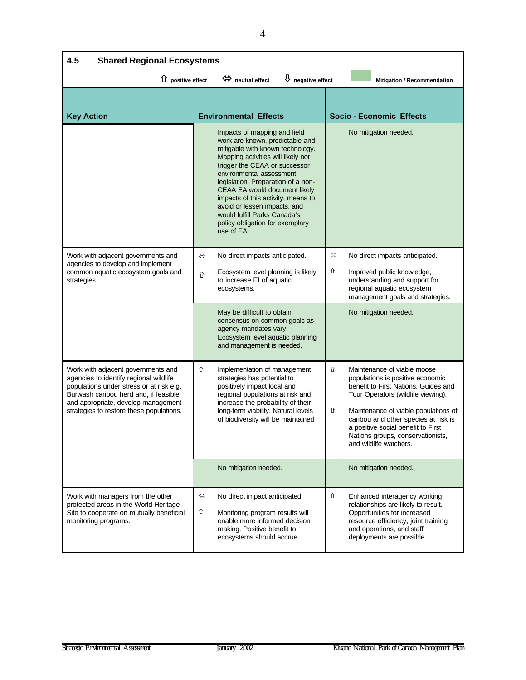| 4.5<br><b>Shared Regional Ecosystems</b>                                                                                                                                                                                                             |        |                                                                                                                                                                                                                                                                                                                                                                                                                                      |                        |                                                                                                                                                                                                                                                                                                                                    |  |
|------------------------------------------------------------------------------------------------------------------------------------------------------------------------------------------------------------------------------------------------------|--------|--------------------------------------------------------------------------------------------------------------------------------------------------------------------------------------------------------------------------------------------------------------------------------------------------------------------------------------------------------------------------------------------------------------------------------------|------------------------|------------------------------------------------------------------------------------------------------------------------------------------------------------------------------------------------------------------------------------------------------------------------------------------------------------------------------------|--|
| $\overline{\mathsf{U}}$ negative effect<br>$\hat{u}$ positive effect<br>$\Leftrightarrow$ neutral effect<br>Mitigation / Recommendation                                                                                                              |        |                                                                                                                                                                                                                                                                                                                                                                                                                                      |                        |                                                                                                                                                                                                                                                                                                                                    |  |
| <b>Key Action</b>                                                                                                                                                                                                                                    |        | <b>Environmental Effects</b>                                                                                                                                                                                                                                                                                                                                                                                                         |                        | <b>Socio - Economic Effects</b>                                                                                                                                                                                                                                                                                                    |  |
|                                                                                                                                                                                                                                                      |        | Impacts of mapping and field<br>work are known, predictable and<br>mitigable with known technology.<br>Mapping activities will likely not<br>trigger the CEAA or successor<br>environmental assessment<br>legislation. Preparation of a non-<br>CEAA EA would document likely<br>impacts of this activity, means to<br>avoid or lessen impacts, and<br>would fulfill Parks Canada's<br>policy obligation for exemplary<br>use of EA. |                        | No mitigation needed.                                                                                                                                                                                                                                                                                                              |  |
| Work with adjacent governments and<br>agencies to develop and implement<br>common aquatic ecosystem goals and<br>strategies.                                                                                                                         | ⇔<br>⇧ | No direct impacts anticipated.<br>Ecosystem level planning is likely<br>to increase EI of aquatic<br>ecosystems.                                                                                                                                                                                                                                                                                                                     | $\Leftrightarrow$<br>⇧ | No direct impacts anticipated.<br>Improved public knowledge,<br>understanding and support for<br>regional aquatic ecosystem<br>management goals and strategies.                                                                                                                                                                    |  |
|                                                                                                                                                                                                                                                      |        | May be difficult to obtain<br>consensus on common goals as<br>agency mandates vary.<br>Ecosystem level aquatic planning<br>and management is needed.                                                                                                                                                                                                                                                                                 |                        | No mitigation needed.                                                                                                                                                                                                                                                                                                              |  |
| Work with adjacent governments and<br>agencies to identify regional wildlife<br>populations under stress or at risk e.g.<br>Burwash caribou herd and, if feasible<br>and appropriate, develop management<br>strategies to restore these populations. | ⇧      | Implementation of management<br>strategies has potential to<br>positively impact local and<br>regional populations at risk and<br>increase the probability of their<br>long-term viability. Natural levels<br>of biodiversity will be maintained                                                                                                                                                                                     | ⇧<br>⇧                 | Maintenance of viable moose<br>populations is positive economic<br>benefit to First Nations, Guides and<br>Tour Operators (wildlife viewing).<br>Maintenance of viable populations of<br>caribou and other species at risk is<br>a positive social benefit to First<br>Nations groups, conservationists,<br>and wildlife watchers. |  |
|                                                                                                                                                                                                                                                      |        | No mitigation needed.                                                                                                                                                                                                                                                                                                                                                                                                                |                        | No mitigation needed.                                                                                                                                                                                                                                                                                                              |  |
| Work with managers from the other<br>protected areas in the World Heritage<br>Site to cooperate on mutually beneficial<br>monitoring programs.                                                                                                       | ⇔<br>⇧ | No direct impact anticipated.<br>Monitoring program results will<br>enable more informed decision<br>making. Positive benefit to<br>ecosystems should accrue.                                                                                                                                                                                                                                                                        | ⇧                      | Enhanced interagency working<br>relationships are likely to result.<br>Opportunities for increased<br>resource efficiency, joint training<br>and operations, and staff<br>deployments are possible.                                                                                                                                |  |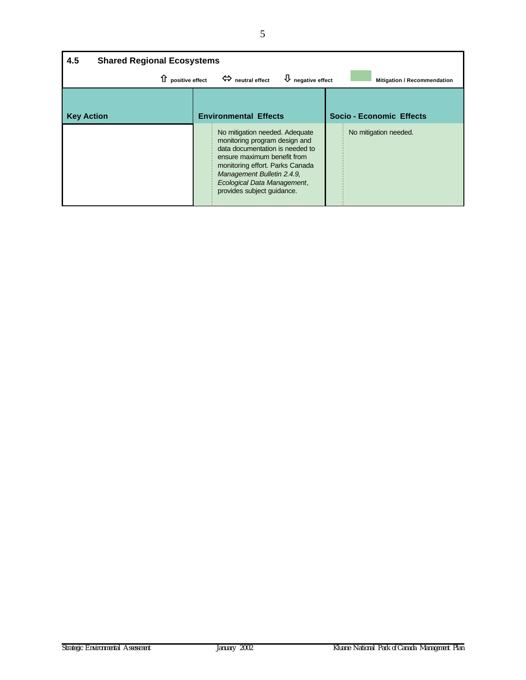| 4.5<br><b>Shared Regional Ecosystems</b> |                                                                                                                                                                                                                                                                 |                                    |  |  |
|------------------------------------------|-----------------------------------------------------------------------------------------------------------------------------------------------------------------------------------------------------------------------------------------------------------------|------------------------------------|--|--|
| $\hat{u}$ positive effect                | $\overline{\psi}$ negative effect<br>$\Leftrightarrow$ neutral effect                                                                                                                                                                                           | <b>Mitigation / Recommendation</b> |  |  |
| <b>Key Action</b>                        | <b>Environmental Effects</b>                                                                                                                                                                                                                                    | Socio - Economic Effects           |  |  |
|                                          | No mitigation needed. Adequate<br>monitoring program design and<br>data documentation is needed to<br>ensure maximum benefit from<br>monitoring effort. Parks Canada<br>Management Bulletin 2.4.9,<br>Ecological Data Management,<br>provides subject guidance. | No mitigation needed.              |  |  |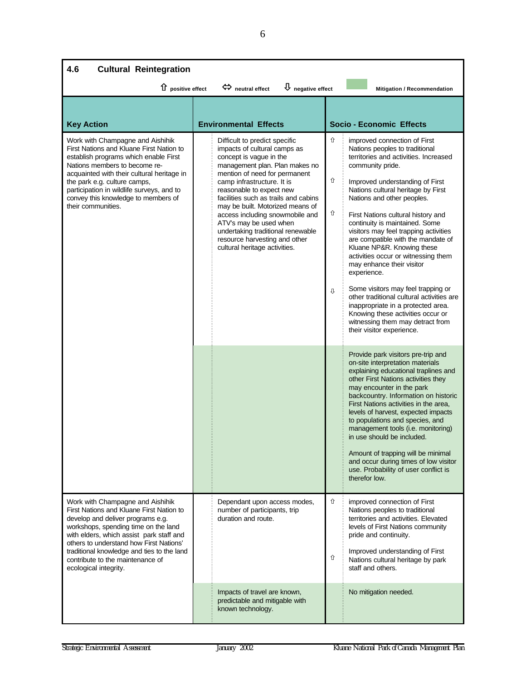| 4.6<br><b>Cultural Reintegration</b>                                                                                                                                                                                                                                                                                                                        |                                                                                                                                                                                                                                                                                                                                                                                                                                                                       |                                                                                                                                                                                                                                                                                                                                                                                                                                                                                                                                                                                                                                                                                                                                                                                                                                                                                                                                                                                                                                                                                                                                                                                                                                                                                                                            |  |  |  |
|-------------------------------------------------------------------------------------------------------------------------------------------------------------------------------------------------------------------------------------------------------------------------------------------------------------------------------------------------------------|-----------------------------------------------------------------------------------------------------------------------------------------------------------------------------------------------------------------------------------------------------------------------------------------------------------------------------------------------------------------------------------------------------------------------------------------------------------------------|----------------------------------------------------------------------------------------------------------------------------------------------------------------------------------------------------------------------------------------------------------------------------------------------------------------------------------------------------------------------------------------------------------------------------------------------------------------------------------------------------------------------------------------------------------------------------------------------------------------------------------------------------------------------------------------------------------------------------------------------------------------------------------------------------------------------------------------------------------------------------------------------------------------------------------------------------------------------------------------------------------------------------------------------------------------------------------------------------------------------------------------------------------------------------------------------------------------------------------------------------------------------------------------------------------------------------|--|--|--|
| 1 positive effect                                                                                                                                                                                                                                                                                                                                           | $\bigcup$ negative effect<br>meutral effect                                                                                                                                                                                                                                                                                                                                                                                                                           | Mitigation / Recommendation                                                                                                                                                                                                                                                                                                                                                                                                                                                                                                                                                                                                                                                                                                                                                                                                                                                                                                                                                                                                                                                                                                                                                                                                                                                                                                |  |  |  |
| <b>Key Action</b>                                                                                                                                                                                                                                                                                                                                           | <b>Environmental Effects</b>                                                                                                                                                                                                                                                                                                                                                                                                                                          | <b>Socio - Economic Effects</b>                                                                                                                                                                                                                                                                                                                                                                                                                                                                                                                                                                                                                                                                                                                                                                                                                                                                                                                                                                                                                                                                                                                                                                                                                                                                                            |  |  |  |
| Work with Champagne and Aishihik<br>First Nations and Kluane First Nation to<br>establish programs which enable First<br>Nations members to become re-<br>acquainted with their cultural heritage in<br>the park e.g. culture camps,<br>participation in wildlife surveys, and to<br>convey this knowledge to members of<br>their communities.              | Difficult to predict specific<br>impacts of cultural camps as<br>concept is vague in the<br>management plan. Plan makes no<br>mention of need for permanent<br>camp infrastructure. It is<br>reasonable to expect new<br>facilities such as trails and cabins<br>may be built. Motorized means of<br>access including snowmobile and<br>ATV's may be used when<br>undertaking traditional renewable<br>resource harvesting and other<br>cultural heritage activities. | ⇧<br>improved connection of First<br>Nations peoples to traditional<br>territories and activities. Increased<br>community pride.<br>⇧<br>Improved understanding of First<br>Nations cultural heritage by First<br>Nations and other peoples.<br>⇧<br>First Nations cultural history and<br>continuity is maintained. Some<br>visitors may feel trapping activities<br>are compatible with the mandate of<br>Kluane NP&R. Knowing these<br>activities occur or witnessing them<br>may enhance their visitor<br>experience.<br>Some visitors may feel trapping or<br>⇩<br>other traditional cultural activities are<br>inappropriate in a protected area.<br>Knowing these activities occur or<br>witnessing them may detract from<br>their visitor experience.<br>Provide park visitors pre-trip and<br>on-site interpretation materials<br>explaining educational traplines and<br>other First Nations activities they<br>may encounter in the park<br>backcountry. Information on historic<br>First Nations activities in the area,<br>levels of harvest, expected impacts<br>to populations and species, and<br>management tools (i.e. monitoring)<br>in use should be included.<br>Amount of trapping will be minimal<br>and occur during times of low visitor<br>use. Probability of user conflict is<br>therefor low. |  |  |  |
| Work with Champagne and Aishihik<br>First Nations and Kluane First Nation to<br>develop and deliver programs e.g.<br>workshops, spending time on the land<br>with elders, which assist park staff and<br>others to understand how First Nations'<br>traditional knowledge and ties to the land<br>contribute to the maintenance of<br>ecological integrity. | Dependant upon access modes,<br>number of participants, trip<br>duration and route.                                                                                                                                                                                                                                                                                                                                                                                   | ⇧<br>improved connection of First<br>Nations peoples to traditional<br>territories and activities. Elevated<br>levels of First Nations community<br>pride and continuity.<br>Improved understanding of First<br>⇧<br>Nations cultural heritage by park<br>staff and others.                                                                                                                                                                                                                                                                                                                                                                                                                                                                                                                                                                                                                                                                                                                                                                                                                                                                                                                                                                                                                                                |  |  |  |
|                                                                                                                                                                                                                                                                                                                                                             | Impacts of travel are known,<br>predictable and mitigable with<br>known technology.                                                                                                                                                                                                                                                                                                                                                                                   | No mitigation needed.                                                                                                                                                                                                                                                                                                                                                                                                                                                                                                                                                                                                                                                                                                                                                                                                                                                                                                                                                                                                                                                                                                                                                                                                                                                                                                      |  |  |  |

6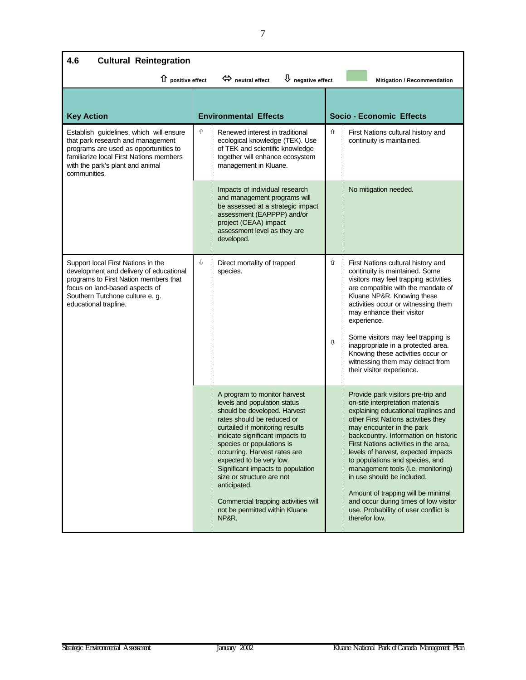| 4.6<br><b>Cultural Reintegration</b>                                                                                                                                                                                 |  |                                                                                                                                                                                                                                                                                                                                                                                                                                                               |                              |                                                                                                                                                                                                                                                                                                                                                                                                                                                                                                                                                           |
|----------------------------------------------------------------------------------------------------------------------------------------------------------------------------------------------------------------------|--|---------------------------------------------------------------------------------------------------------------------------------------------------------------------------------------------------------------------------------------------------------------------------------------------------------------------------------------------------------------------------------------------------------------------------------------------------------------|------------------------------|-----------------------------------------------------------------------------------------------------------------------------------------------------------------------------------------------------------------------------------------------------------------------------------------------------------------------------------------------------------------------------------------------------------------------------------------------------------------------------------------------------------------------------------------------------------|
| $\hat{u}$ positive effect                                                                                                                                                                                            |  | $\overline{\mathsf{U}}$ negative effect<br>$\Leftrightarrow$ neutral effect                                                                                                                                                                                                                                                                                                                                                                                   |                              | Mitigation / Recommendation                                                                                                                                                                                                                                                                                                                                                                                                                                                                                                                               |
| <b>Key Action</b>                                                                                                                                                                                                    |  | <b>Environmental Effects</b>                                                                                                                                                                                                                                                                                                                                                                                                                                  |                              | <b>Socio - Economic Effects</b>                                                                                                                                                                                                                                                                                                                                                                                                                                                                                                                           |
| Establish guidelines, which will ensure<br>that park research and management<br>programs are used as opportunities to<br>familiarize local First Nations members<br>with the park's plant and animal<br>communities. |  | Renewed interest in traditional<br>ecological knowledge (TEK). Use<br>of TEK and scientific knowledge<br>together will enhance ecosystem<br>management in Kluane.                                                                                                                                                                                                                                                                                             | ⇧                            | First Nations cultural history and<br>continuity is maintained.                                                                                                                                                                                                                                                                                                                                                                                                                                                                                           |
|                                                                                                                                                                                                                      |  | Impacts of individual research<br>and management programs will<br>be assessed at a strategic impact<br>assessment (EAPPPP) and/or<br>project (CEAA) impact<br>assessment level as they are<br>developed.                                                                                                                                                                                                                                                      |                              | No mitigation needed.                                                                                                                                                                                                                                                                                                                                                                                                                                                                                                                                     |
| Support local First Nations in the<br>development and delivery of educational<br>programs to First Nation members that<br>focus on land-based aspects of<br>Southern Tutchone culture e. g.<br>educational trapline. |  | Direct mortality of trapped<br>species.                                                                                                                                                                                                                                                                                                                                                                                                                       | ⇧<br>$\overline{\mathbb{G}}$ | First Nations cultural history and<br>continuity is maintained. Some<br>visitors may feel trapping activities<br>are compatible with the mandate of<br>Kluane NP&R. Knowing these<br>activities occur or witnessing them<br>may enhance their visitor<br>experience.<br>Some visitors may feel trapping is<br>inappropriate in a protected area.<br>Knowing these activities occur or<br>witnessing them may detract from<br>their visitor experience.                                                                                                    |
|                                                                                                                                                                                                                      |  | A program to monitor harvest<br>levels and population status<br>should be developed. Harvest<br>rates should be reduced or<br>curtailed if monitoring results<br>indicate significant impacts to<br>species or populations is<br>occurring. Harvest rates are<br>expected to be very low.<br>Significant impacts to population<br>size or structure are not<br>anticipated.<br>Commercial trapping activities will<br>not be permitted within Kluane<br>NP&R. |                              | Provide park visitors pre-trip and<br>on-site interpretation materials<br>explaining educational traplines and<br>other First Nations activities they<br>may encounter in the park<br>backcountry. Information on historic<br>First Nations activities in the area,<br>levels of harvest, expected impacts<br>to populations and species, and<br>management tools (i.e. monitoring)<br>in use should be included.<br>Amount of trapping will be minimal<br>and occur during times of low visitor<br>use. Probability of user conflict is<br>therefor low. |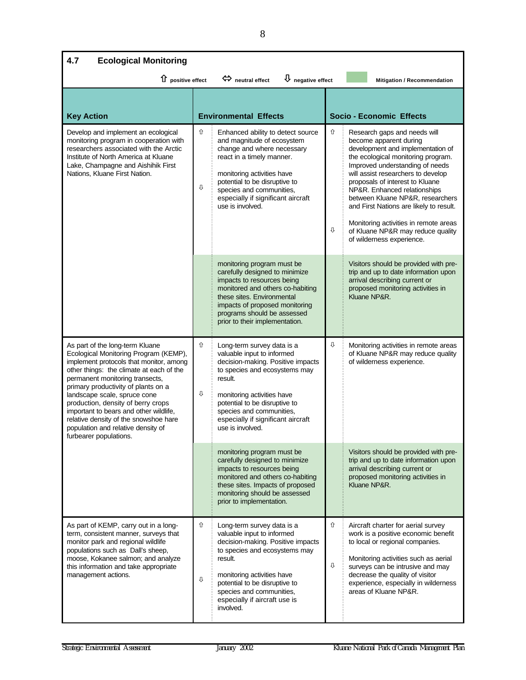| 4.7<br><b>Ecological Monitoring</b>                                                                                                                                                                                                                                                                                                                                                                                                                                |                                                                                                                                                                                                                                                                                                          |                                                                                                                                                                                                                                                                                                                                                                                                                                                                                             |  |  |  |  |
|--------------------------------------------------------------------------------------------------------------------------------------------------------------------------------------------------------------------------------------------------------------------------------------------------------------------------------------------------------------------------------------------------------------------------------------------------------------------|----------------------------------------------------------------------------------------------------------------------------------------------------------------------------------------------------------------------------------------------------------------------------------------------------------|---------------------------------------------------------------------------------------------------------------------------------------------------------------------------------------------------------------------------------------------------------------------------------------------------------------------------------------------------------------------------------------------------------------------------------------------------------------------------------------------|--|--|--|--|
|                                                                                                                                                                                                                                                                                                                                                                                                                                                                    | $\overline{\mathsf{U}}$ negative effect<br>$\hat{u}$ positive effect<br>$\Leftrightarrow$ neutral effect<br>Mitigation / Recommendation                                                                                                                                                                  |                                                                                                                                                                                                                                                                                                                                                                                                                                                                                             |  |  |  |  |
| <b>Key Action</b>                                                                                                                                                                                                                                                                                                                                                                                                                                                  | <b>Environmental Effects</b>                                                                                                                                                                                                                                                                             | <b>Socio - Economic Effects</b>                                                                                                                                                                                                                                                                                                                                                                                                                                                             |  |  |  |  |
| Develop and implement an ecological<br>monitoring program in cooperation with<br>researchers associated with the Arctic<br>Institute of North America at Kluane<br>Lake, Champagne and Aishihik First<br>Nations, Kluane First Nation.                                                                                                                                                                                                                             | ⇧<br>Enhanced ability to detect source<br>and magnitude of ecosystem<br>change and where necessary<br>react in a timely manner.<br>monitoring activities have<br>potential to be disruptive to<br>⊕<br>species and communities,<br>especially if significant aircraft<br>use is involved.                | ⇧<br>Research gaps and needs will<br>become apparent during<br>development and implementation of<br>the ecological monitoring program.<br>Improved understanding of needs<br>will assist researchers to develop<br>proposals of interest to Kluane<br>NP&R. Enhanced relationships<br>between Kluane NP&R, researchers<br>and First Nations are likely to result.<br>Monitoring activities in remote areas<br>$\mathbb Q$<br>of Kluane NP&R may reduce quality<br>of wilderness experience. |  |  |  |  |
|                                                                                                                                                                                                                                                                                                                                                                                                                                                                    | monitoring program must be<br>carefully designed to minimize<br>impacts to resources being<br>monitored and others co-habiting<br>these sites. Environmental<br>impacts of proposed monitoring<br>programs should be assessed<br>prior to their implementation.                                          | Visitors should be provided with pre-<br>trip and up to date information upon<br>arrival describing current or<br>proposed monitoring activities in<br>Kluane NP&R.                                                                                                                                                                                                                                                                                                                         |  |  |  |  |
| As part of the long-term Kluane<br>Ecological Monitoring Program (KEMP),<br>implement protocols that monitor, among<br>other things: the climate at each of the<br>permanent monitoring transects,<br>primary productivity of plants on a<br>landscape scale, spruce cone<br>production, density of berry crops<br>important to bears and other wildlife,<br>relative density of the snowshoe hare<br>population and relative density of<br>furbearer populations. | ⇧<br>Long-term survey data is a<br>valuable input to informed<br>decision-making. Positive impacts<br>to species and ecosystems may<br>result.<br>⇩<br>monitoring activities have<br>potential to be disruptive to<br>species and communities,<br>especially if significant aircraft<br>use is involved. | ⇩<br>Monitoring activities in remote areas<br>of Kluane NP&R may reduce quality<br>of wilderness experience.                                                                                                                                                                                                                                                                                                                                                                                |  |  |  |  |
|                                                                                                                                                                                                                                                                                                                                                                                                                                                                    | monitoring program must be<br>carefully designed to minimize<br>impacts to resources being<br>monitored and others co-habiting<br>these sites. Impacts of proposed<br>monitoring should be assessed<br>prior to implementation.                                                                          | Visitors should be provided with pre-<br>trip and up to date information upon<br>arrival describing current or<br>proposed monitoring activities in<br>Kluane NP&R.                                                                                                                                                                                                                                                                                                                         |  |  |  |  |
| As part of KEMP, carry out in a long-<br>term, consistent manner, surveys that<br>monitor park and regional wildlife<br>populations such as Dall's sheep,<br>moose, Kokanee salmon; and analyze<br>this information and take appropriate<br>management actions.                                                                                                                                                                                                    | ⇧<br>Long-term survey data is a<br>valuable input to informed<br>decision-making. Positive impacts<br>to species and ecosystems may<br>result.<br>monitoring activities have<br>⇩<br>potential to be disruptive to<br>species and communities,<br>especially if aircraft use is<br>involved.             | ⇧<br>Aircraft charter for aerial survey<br>work is a positive economic benefit<br>to local or regional companies.<br>Monitoring activities such as aerial<br>⇩<br>surveys can be intrusive and may<br>decrease the quality of visitor<br>experience, especially in wilderness<br>areas of Kluane NP&R.                                                                                                                                                                                      |  |  |  |  |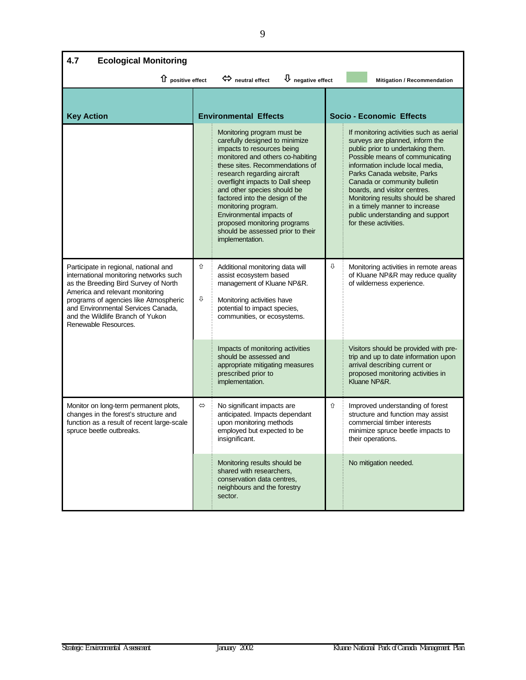| 4.7<br><b>Ecological Monitoring</b>                                                                                                                                                                                                                                                                   |                   |                                                                                                                                                                                                                                                                                                                                                                                                                                                   |   |                                                                                                                                                                                                                                                                                                                                                                                                                             |  |  |  |  |
|-------------------------------------------------------------------------------------------------------------------------------------------------------------------------------------------------------------------------------------------------------------------------------------------------------|-------------------|---------------------------------------------------------------------------------------------------------------------------------------------------------------------------------------------------------------------------------------------------------------------------------------------------------------------------------------------------------------------------------------------------------------------------------------------------|---|-----------------------------------------------------------------------------------------------------------------------------------------------------------------------------------------------------------------------------------------------------------------------------------------------------------------------------------------------------------------------------------------------------------------------------|--|--|--|--|
| 1 positive effect                                                                                                                                                                                                                                                                                     |                   | $\overline{\psi}$ negative effect<br>$\Leftrightarrow$ neutral effect                                                                                                                                                                                                                                                                                                                                                                             |   | <b>Mitigation / Recommendation</b>                                                                                                                                                                                                                                                                                                                                                                                          |  |  |  |  |
| <b>Key Action</b>                                                                                                                                                                                                                                                                                     |                   | <b>Environmental Effects</b>                                                                                                                                                                                                                                                                                                                                                                                                                      |   | <b>Socio - Economic Effects</b>                                                                                                                                                                                                                                                                                                                                                                                             |  |  |  |  |
|                                                                                                                                                                                                                                                                                                       |                   | Monitoring program must be<br>carefully designed to minimize<br>impacts to resources being<br>monitored and others co-habiting<br>these sites. Recommendations of<br>research regarding aircraft<br>overflight impacts to Dall sheep<br>and other species should be<br>factored into the design of the<br>monitoring program.<br>Environmental impacts of<br>proposed monitoring programs<br>should be assessed prior to their<br>implementation. |   | If monitoring activities such as aerial<br>surveys are planned, inform the<br>public prior to undertaking them.<br>Possible means of communicating<br>information include local media,<br>Parks Canada website, Parks<br>Canada or community bulletin<br>boards, and visitor centres.<br>Monitoring results should be shared<br>in a timely manner to increase<br>public understanding and support<br>for these activities. |  |  |  |  |
| Participate in regional, national and<br>international monitoring networks such<br>as the Breeding Bird Survey of North<br>America and relevant monitoring<br>programs of agencies like Atmospheric<br>and Environmental Services Canada,<br>and the Wildlife Branch of Yukon<br>Renewable Resources. | ⇧<br>⇩            | Additional monitoring data will<br>assist ecosystem based<br>management of Kluane NP&R.<br>Monitoring activities have<br>potential to impact species,<br>communities, or ecosystems.                                                                                                                                                                                                                                                              | ⇩ | Monitoring activities in remote areas<br>of Kluane NP&R may reduce quality<br>of wilderness experience.                                                                                                                                                                                                                                                                                                                     |  |  |  |  |
|                                                                                                                                                                                                                                                                                                       |                   | Impacts of monitoring activities<br>should be assessed and<br>appropriate mitigating measures<br>prescribed prior to<br>implementation.                                                                                                                                                                                                                                                                                                           |   | Visitors should be provided with pre-<br>trip and up to date information upon<br>arrival describing current or<br>proposed monitoring activities in<br>Kluane NP&R.                                                                                                                                                                                                                                                         |  |  |  |  |
| Monitor on long-term permanent plots,<br>changes in the forest's structure and<br>function as a result of recent large-scale<br>spruce beetle outbreaks.                                                                                                                                              | $\Leftrightarrow$ | No significant impacts are<br>anticipated. Impacts dependant<br>upon monitoring methods<br>employed but expected to be<br>insignificant.                                                                                                                                                                                                                                                                                                          | ⇧ | Improved understanding of forest<br>structure and function may assist<br>commercial timber interests<br>minimize spruce beetle impacts to<br>their operations.                                                                                                                                                                                                                                                              |  |  |  |  |
|                                                                                                                                                                                                                                                                                                       |                   | Monitoring results should be<br>shared with researchers.<br>conservation data centres.<br>neighbours and the forestry<br>sector.                                                                                                                                                                                                                                                                                                                  |   | No mitigation needed.                                                                                                                                                                                                                                                                                                                                                                                                       |  |  |  |  |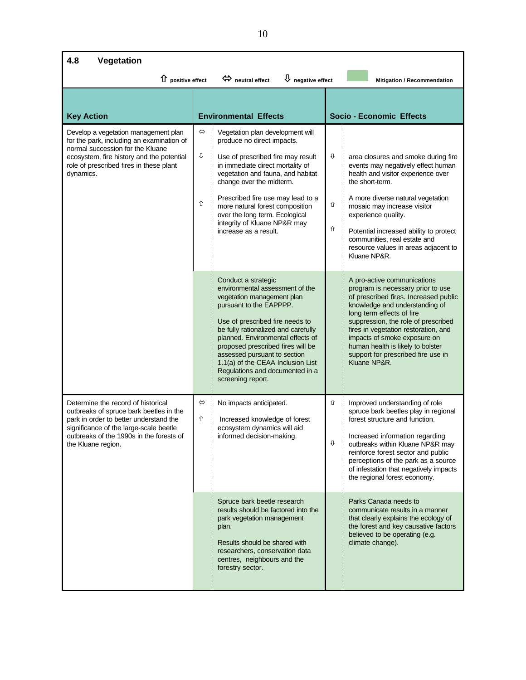| 4.8<br>Vegetation                                                                                                                                                                                                                   |             |                                                                                                                                                                                                                                                                                                                                                                                                  |             |                                                                                                                                                                                                                                                                                                                                                                                    |  |  |  |  |
|-------------------------------------------------------------------------------------------------------------------------------------------------------------------------------------------------------------------------------------|-------------|--------------------------------------------------------------------------------------------------------------------------------------------------------------------------------------------------------------------------------------------------------------------------------------------------------------------------------------------------------------------------------------------------|-------------|------------------------------------------------------------------------------------------------------------------------------------------------------------------------------------------------------------------------------------------------------------------------------------------------------------------------------------------------------------------------------------|--|--|--|--|
| $\hat{u}$ positive effect<br>heutral effect<br>$\bigcup$ negative effect<br>Mitigation / Recommendation                                                                                                                             |             |                                                                                                                                                                                                                                                                                                                                                                                                  |             |                                                                                                                                                                                                                                                                                                                                                                                    |  |  |  |  |
| <b>Key Action</b>                                                                                                                                                                                                                   |             | <b>Environmental Effects</b>                                                                                                                                                                                                                                                                                                                                                                     |             | <b>Socio - Economic Effects</b>                                                                                                                                                                                                                                                                                                                                                    |  |  |  |  |
| Develop a vegetation management plan<br>for the park, including an examination of<br>normal succession for the Kluane<br>ecosystem, fire history and the potential<br>role of prescribed fires in these plant<br>dynamics.          | ⇔<br>⇩<br>⇧ | Vegetation plan development will<br>produce no direct impacts.<br>Use of prescribed fire may result<br>in immediate direct mortality of<br>vegetation and fauna, and habitat<br>change over the midterm.<br>Prescribed fire use may lead to a<br>more natural forest composition<br>over the long term. Ecological<br>integrity of Kluane NP&R may<br>increase as a result.                      | ⇩<br>⇧<br>⇧ | area closures and smoke during fire<br>events may negatively effect human<br>health and visitor experience over<br>the short-term.<br>A more diverse natural vegetation<br>mosaic may increase visitor<br>experience quality.<br>Potential increased ability to protect<br>communities, real estate and<br>resource values in areas adjacent to<br>Kluane NP&R.                    |  |  |  |  |
|                                                                                                                                                                                                                                     |             | Conduct a strategic<br>environmental assessment of the<br>vegetation management plan<br>pursuant to the EAPPPP.<br>Use of prescribed fire needs to<br>be fully rationalized and carefully<br>planned. Environmental effects of<br>proposed prescribed fires will be<br>assessed pursuant to section<br>1.1(a) of the CEAA Inclusion List<br>Regulations and documented in a<br>screening report. |             | A pro-active communications<br>program is necessary prior to use<br>of prescribed fires. Increased public<br>knowledge and understanding of<br>long term effects of fire<br>suppression, the role of prescribed<br>fires in vegetation restoration, and<br>impacts of smoke exposure on<br>human health is likely to bolster<br>support for prescribed fire use in<br>Kluane NP&R. |  |  |  |  |
| Determine the record of historical<br>outbreaks of spruce bark beetles in the<br>park in order to better understand the<br>significance of the large-scale beetle<br>outbreaks of the 1990s in the forests of<br>the Kluane region. | ⇔<br>⇧      | No impacts anticipated.<br>Increased knowledge of forest<br>ecosystem dynamics will aid<br>informed decision-making.                                                                                                                                                                                                                                                                             | ⇧<br>⇩      | Improved understanding of role<br>spruce bark beetles play in regional<br>forest structure and function.<br>Increased information regarding<br>outbreaks within Kluane NP&R may<br>reinforce forest sector and public<br>perceptions of the park as a source<br>of infestation that negatively impacts<br>the regional forest economy.                                             |  |  |  |  |
|                                                                                                                                                                                                                                     |             | Spruce bark beetle research<br>results should be factored into the<br>park vegetation management<br>plan.<br>Results should be shared with<br>researchers, conservation data<br>centres, neighbours and the<br>forestry sector.                                                                                                                                                                  |             | Parks Canada needs to<br>communicate results in a manner<br>that clearly explains the ecology of<br>the forest and key causative factors<br>believed to be operating (e.g.<br>climate change).                                                                                                                                                                                     |  |  |  |  |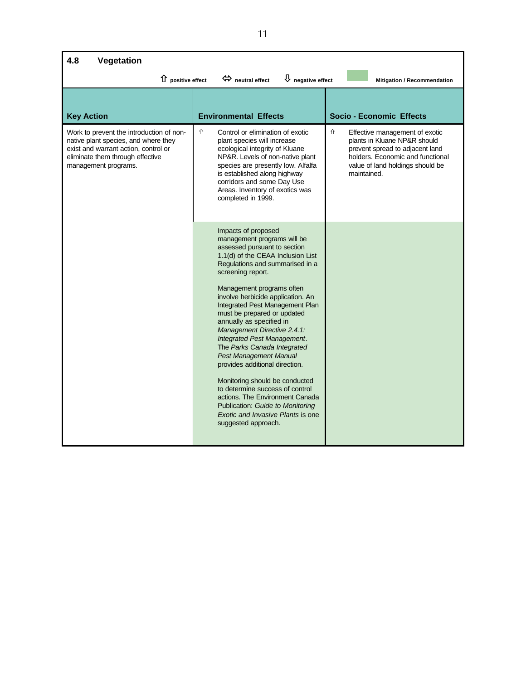| 4.8<br>Vegetation                                                                                                                                                                    |   |                                                                                                                                                                                                                                                                                                                                                                                                                                                                                                                                                                                                                                                                                                                         |   |                                                                                                                                                                                          |
|--------------------------------------------------------------------------------------------------------------------------------------------------------------------------------------|---|-------------------------------------------------------------------------------------------------------------------------------------------------------------------------------------------------------------------------------------------------------------------------------------------------------------------------------------------------------------------------------------------------------------------------------------------------------------------------------------------------------------------------------------------------------------------------------------------------------------------------------------------------------------------------------------------------------------------------|---|------------------------------------------------------------------------------------------------------------------------------------------------------------------------------------------|
| $\hat{u}$ positive effect                                                                                                                                                            |   | $\bigcup$ negative effect<br>$\Leftrightarrow$ neutral effect                                                                                                                                                                                                                                                                                                                                                                                                                                                                                                                                                                                                                                                           |   | Mitigation / Recommendation                                                                                                                                                              |
| <b>Key Action</b>                                                                                                                                                                    |   | <b>Environmental Effects</b>                                                                                                                                                                                                                                                                                                                                                                                                                                                                                                                                                                                                                                                                                            |   | <b>Socio - Economic Effects</b>                                                                                                                                                          |
| Work to prevent the introduction of non-<br>native plant species, and where they<br>exist and warrant action, control or<br>eliminate them through effective<br>management programs. | ⇧ | Control or elimination of exotic<br>plant species will increase<br>ecological integrity of Kluane<br>NP&R. Levels of non-native plant<br>species are presently low. Alfalfa<br>is established along highway<br>corridors and some Day Use<br>Areas. Inventory of exotics was<br>completed in 1999.                                                                                                                                                                                                                                                                                                                                                                                                                      | ⇧ | Effective management of exotic<br>plants in Kluane NP&R should<br>prevent spread to adjacent land<br>holders. Economic and functional<br>value of land holdings should be<br>maintained. |
|                                                                                                                                                                                      |   | Impacts of proposed<br>management programs will be<br>assessed pursuant to section<br>1.1(d) of the CEAA Inclusion List<br>Regulations and summarised in a<br>screening report.<br>Management programs often<br>involve herbicide application. An<br>Integrated Pest Management Plan<br>must be prepared or updated<br>annually as specified in<br>Management Directive 2.4.1:<br>Integrated Pest Management.<br>The Parks Canada Integrated<br><b>Pest Management Manual</b><br>provides additional direction.<br>Monitoring should be conducted<br>to determine success of control<br>actions. The Environment Canada<br>Publication: Guide to Monitoring<br>Exotic and Invasive Plants is one<br>suggested approach. |   |                                                                                                                                                                                          |

Ĭ

ï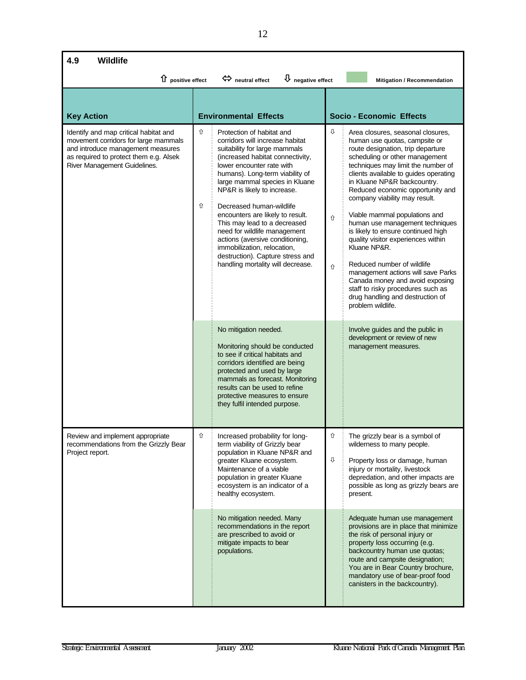| 4.9<br>Wildlife                                                                                                                                                                              |        |                                                                                                                                                                                                                                                                                                                                                                                                                                                                                                                                               |             |                                                                                                                                                                                                                                                                                                                                                                                                                                                                                                                                                                                                                                                                                                   |  |  |
|----------------------------------------------------------------------------------------------------------------------------------------------------------------------------------------------|--------|-----------------------------------------------------------------------------------------------------------------------------------------------------------------------------------------------------------------------------------------------------------------------------------------------------------------------------------------------------------------------------------------------------------------------------------------------------------------------------------------------------------------------------------------------|-------------|---------------------------------------------------------------------------------------------------------------------------------------------------------------------------------------------------------------------------------------------------------------------------------------------------------------------------------------------------------------------------------------------------------------------------------------------------------------------------------------------------------------------------------------------------------------------------------------------------------------------------------------------------------------------------------------------------|--|--|
| 1 positive effect                                                                                                                                                                            |        | $\bigcup$ negative effect<br>$\Leftrightarrow$ neutral effect                                                                                                                                                                                                                                                                                                                                                                                                                                                                                 |             | Mitigation / Recommendation                                                                                                                                                                                                                                                                                                                                                                                                                                                                                                                                                                                                                                                                       |  |  |
| <b>Key Action</b>                                                                                                                                                                            |        | <b>Environmental Effects</b>                                                                                                                                                                                                                                                                                                                                                                                                                                                                                                                  |             | <b>Socio - Economic Effects</b>                                                                                                                                                                                                                                                                                                                                                                                                                                                                                                                                                                                                                                                                   |  |  |
| Identify and map critical habitat and<br>movement corridors for large mammals<br>and introduce management measures<br>as required to protect them e.g. Alsek<br>River Management Guidelines. | ⇧<br>⇧ | Protection of habitat and<br>corridors will increase habitat<br>suitability for large mammals<br>(increased habitat connectivity,<br>lower encounter rate with<br>humans). Long-term viability of<br>large mammal species in Kluane<br>NP&R is likely to increase.<br>Decreased human-wildlife<br>encounters are likely to result.<br>This may lead to a decreased<br>need for wildlife management<br>actions (aversive conditioning,<br>immobilization, relocation,<br>destruction). Capture stress and<br>handling mortality will decrease. | ⇩<br>⇧<br>⇧ | Area closures, seasonal closures,<br>human use quotas, campsite or<br>route designation, trip departure<br>scheduling or other management<br>techniques may limit the number of<br>clients available to guides operating<br>in Kluane NP&R backcountry.<br>Reduced economic opportunity and<br>company viability may result.<br>Viable mammal populations and<br>human use management techniques<br>is likely to ensure continued high<br>quality visitor experiences within<br>Kluane NP&R.<br>Reduced number of wildlife<br>management actions will save Parks<br>Canada money and avoid exposing<br>staff to risky procedures such as<br>drug handling and destruction of<br>problem wildlife. |  |  |
|                                                                                                                                                                                              |        | No mitigation needed.<br>Monitoring should be conducted<br>to see if critical habitats and<br>corridors identified are being<br>protected and used by large<br>mammals as forecast. Monitoring<br>results can be used to refine<br>protective measures to ensure<br>they fulfil intended purpose.                                                                                                                                                                                                                                             |             | Involve guides and the public in<br>development or review of new<br>management measures.                                                                                                                                                                                                                                                                                                                                                                                                                                                                                                                                                                                                          |  |  |
| Review and implement appropriate<br>recommendations from the Grizzly Bear<br>Project report.                                                                                                 | ⇧      | Increased probability for long-<br>term viability of Grizzly bear<br>population in Kluane NP&R and<br>greater Kluane ecosystem.<br>Maintenance of a viable<br>population in greater Kluane<br>ecosystem is an indicator of a<br>healthy ecosystem.                                                                                                                                                                                                                                                                                            | ⇧<br>⇩      | The grizzly bear is a symbol of<br>wilderness to many people.<br>Property loss or damage, human<br>injury or mortality, livestock<br>depredation, and other impacts are<br>possible as long as grizzly bears are<br>present.                                                                                                                                                                                                                                                                                                                                                                                                                                                                      |  |  |
|                                                                                                                                                                                              |        | No mitigation needed. Many<br>recommendations in the report<br>are prescribed to avoid or<br>mitigate impacts to bear<br>populations.                                                                                                                                                                                                                                                                                                                                                                                                         |             | Adequate human use management<br>provisions are in place that minimize<br>the risk of personal injury or<br>property loss occurring (e.g.<br>backcountry human use quotas;<br>route and campsite designation;<br>You are in Bear Country brochure,<br>mandatory use of bear-proof food<br>canisters in the backcountry).                                                                                                                                                                                                                                                                                                                                                                          |  |  |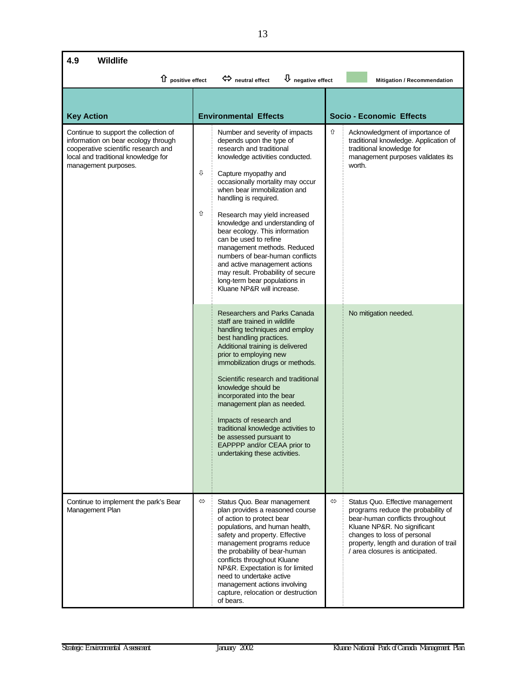| 4.9<br><b>Wildlife</b>                                                                                                                                                             |                                                                                                                                                                                                                                                                                                                                                                                                                                                                                                                                                                                              |                                                                                                                                                                                                                                                                           |  |  |  |  |
|------------------------------------------------------------------------------------------------------------------------------------------------------------------------------------|----------------------------------------------------------------------------------------------------------------------------------------------------------------------------------------------------------------------------------------------------------------------------------------------------------------------------------------------------------------------------------------------------------------------------------------------------------------------------------------------------------------------------------------------------------------------------------------------|---------------------------------------------------------------------------------------------------------------------------------------------------------------------------------------------------------------------------------------------------------------------------|--|--|--|--|
| 1 positive effect                                                                                                                                                                  | $\Leftrightarrow$ neutral effect<br>$\bigcup$ negative effect                                                                                                                                                                                                                                                                                                                                                                                                                                                                                                                                | Mitigation / Recommendation                                                                                                                                                                                                                                               |  |  |  |  |
| <b>Key Action</b>                                                                                                                                                                  | <b>Environmental Effects</b>                                                                                                                                                                                                                                                                                                                                                                                                                                                                                                                                                                 | <b>Socio - Economic Effects</b>                                                                                                                                                                                                                                           |  |  |  |  |
| Continue to support the collection of<br>information on bear ecology through<br>cooperative scientific research and<br>local and traditional knowledge for<br>management purposes. | Number and severity of impacts<br>depends upon the type of<br>research and traditional<br>knowledge activities conducted.<br>⇩<br>Capture myopathy and<br>occasionally mortality may occur<br>when bear immobilization and<br>handling is required.<br>⇧<br>Research may yield increased<br>knowledge and understanding of<br>bear ecology. This information<br>can be used to refine<br>management methods. Reduced<br>numbers of bear-human conflicts<br>and active management actions<br>may result. Probability of secure<br>long-term bear populations in<br>Kluane NP&R will increase. | ⇧<br>Acknowledgment of importance of<br>traditional knowledge. Application of<br>traditional knowledge for<br>management purposes validates its<br>worth.                                                                                                                 |  |  |  |  |
|                                                                                                                                                                                    | Researchers and Parks Canada<br>staff are trained in wildlife<br>handling techniques and employ<br>best handling practices.<br>Additional training is delivered<br>prior to employing new<br>immobilization drugs or methods.<br>Scientific research and traditional<br>knowledge should be<br>incorporated into the bear<br>management plan as needed.<br>Impacts of research and<br>traditional knowledge activities to<br>be assessed pursuant to<br>EAPPPP and/or CEAA prior to<br>undertaking these activities.                                                                         | No mitigation needed.                                                                                                                                                                                                                                                     |  |  |  |  |
| Continue to implement the park's Bear<br>Management Plan                                                                                                                           | $\Leftrightarrow$<br>Status Quo. Bear management<br>plan provides a reasoned course<br>of action to protect bear<br>populations, and human health,<br>safety and property. Effective<br>management programs reduce<br>the probability of bear-human<br>conflicts throughout Kluane<br>NP&R. Expectation is for limited<br>need to undertake active<br>management actions involving<br>capture, relocation or destruction<br>of bears.                                                                                                                                                        | $\Leftrightarrow$<br>Status Quo. Effective management<br>programs reduce the probability of<br>bear-human conflicts throughout<br>Kluane NP&R. No significant<br>changes to loss of personal<br>property, length and duration of trail<br>/ area closures is anticipated. |  |  |  |  |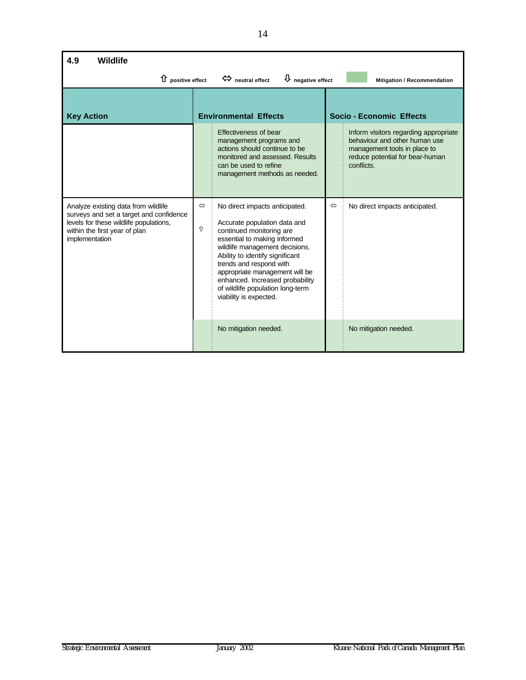| 4.9<br><b>Wildlife</b>                                                                                                                                                      |                                                               |                                                                                                                                                                                                                                                                                                                                                               |                             |                                                                                                                                                         |  |  |
|-----------------------------------------------------------------------------------------------------------------------------------------------------------------------------|---------------------------------------------------------------|---------------------------------------------------------------------------------------------------------------------------------------------------------------------------------------------------------------------------------------------------------------------------------------------------------------------------------------------------------------|-----------------------------|---------------------------------------------------------------------------------------------------------------------------------------------------------|--|--|
| $\hat{u}$ positive effect                                                                                                                                                   | $\bigcup$ negative effect<br>$\Leftrightarrow$ neutral effect |                                                                                                                                                                                                                                                                                                                                                               | Mitigation / Recommendation |                                                                                                                                                         |  |  |
| <b>Key Action</b>                                                                                                                                                           |                                                               | <b>Environmental Effects</b>                                                                                                                                                                                                                                                                                                                                  |                             | <b>Socio - Economic Effects</b>                                                                                                                         |  |  |
|                                                                                                                                                                             |                                                               | Effectiveness of bear<br>management programs and<br>actions should continue to be<br>monitored and assessed. Results<br>can be used to refine<br>management methods as needed.                                                                                                                                                                                |                             | Inform visitors regarding appropriate<br>behaviour and other human use<br>management tools in place to<br>reduce potential for bear-human<br>conflicts. |  |  |
| Analyze existing data from wildlife<br>surveys and set a target and confidence<br>levels for these wildlife populations,<br>within the first year of plan<br>implementation | $\Leftrightarrow$<br>⇧                                        | No direct impacts anticipated.<br>Accurate population data and<br>continued monitoring are<br>essential to making informed<br>wildlife management decisions.<br>Ability to identify significant<br>trends and respond with<br>appropriate management will be<br>enhanced. Increased probability<br>of wildlife population long-term<br>viability is expected. | $\Leftrightarrow$           | No direct impacts anticipated.                                                                                                                          |  |  |
|                                                                                                                                                                             |                                                               | No mitigation needed.                                                                                                                                                                                                                                                                                                                                         |                             | No mitigation needed.                                                                                                                                   |  |  |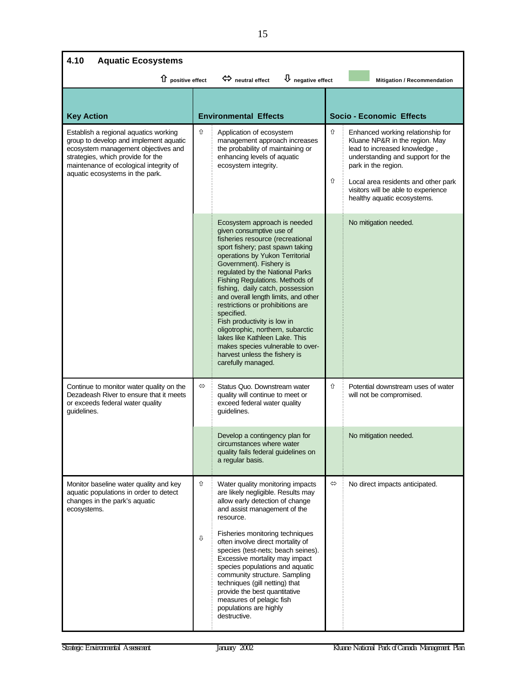| 4.10<br><b>Aquatic Ecosystems</b>                                                                                                                                                                                                        |        |                                                                                                                                                                                                                                                                                                                                                                                                                                                                                                                                                                                                      |        |                                                                                                                                                                                                                                                                              |  |
|------------------------------------------------------------------------------------------------------------------------------------------------------------------------------------------------------------------------------------------|--------|------------------------------------------------------------------------------------------------------------------------------------------------------------------------------------------------------------------------------------------------------------------------------------------------------------------------------------------------------------------------------------------------------------------------------------------------------------------------------------------------------------------------------------------------------------------------------------------------------|--------|------------------------------------------------------------------------------------------------------------------------------------------------------------------------------------------------------------------------------------------------------------------------------|--|
| 1 positive effect                                                                                                                                                                                                                        |        | $\overline{\mathbf{U}}$ negative effect<br>$\Leftrightarrow$ neutral effect                                                                                                                                                                                                                                                                                                                                                                                                                                                                                                                          |        | Mitigation / Recommendation                                                                                                                                                                                                                                                  |  |
| <b>Key Action</b>                                                                                                                                                                                                                        |        | <b>Environmental Effects</b>                                                                                                                                                                                                                                                                                                                                                                                                                                                                                                                                                                         |        | <b>Socio - Economic Effects</b>                                                                                                                                                                                                                                              |  |
| Establish a regional aquatics working<br>group to develop and implement aquatic<br>ecosystem management objectives and<br>strategies, which provide for the<br>maintenance of ecological integrity of<br>aquatic ecosystems in the park. | ⇧      | Application of ecosystem<br>management approach increases<br>the probability of maintaining or<br>enhancing levels of aquatic<br>ecosystem integrity.                                                                                                                                                                                                                                                                                                                                                                                                                                                | ⇧<br>⇧ | Enhanced working relationship for<br>Kluane NP&R in the region. May<br>lead to increased knowledge,<br>understanding and support for the<br>park in the region.<br>Local area residents and other park<br>visitors will be able to experience<br>healthy aquatic ecosystems. |  |
|                                                                                                                                                                                                                                          |        | Ecosystem approach is needed<br>given consumptive use of<br>fisheries resource (recreational<br>sport fishery; past spawn taking<br>operations by Yukon Territorial<br>Government). Fishery is<br>regulated by the National Parks<br>Fishing Regulations. Methods of<br>fishing, daily catch, possession<br>and overall length limits, and other<br>restrictions or prohibitions are<br>specified.<br>Fish productivity is low in<br>oligotrophic, northern, subarctic<br>lakes like Kathleen Lake. This<br>makes species vulnerable to over-<br>harvest unless the fishery is<br>carefully managed. |        | No mitigation needed.                                                                                                                                                                                                                                                        |  |
| Continue to monitor water quality on the<br>Dezadeash River to ensure that it meets<br>or exceeds federal water quality<br>guidelines.                                                                                                   | ⇔      | Status Quo. Downstream water<br>quality will continue to meet or<br>exceed federal water quality<br>guidelines.                                                                                                                                                                                                                                                                                                                                                                                                                                                                                      | ⇧      | Potential downstream uses of water<br>will not be compromised.                                                                                                                                                                                                               |  |
|                                                                                                                                                                                                                                          |        | Develop a contingency plan for<br>circumstances where water<br>quality fails federal guidelines on<br>a regular basis.                                                                                                                                                                                                                                                                                                                                                                                                                                                                               |        | No mitigation needed.                                                                                                                                                                                                                                                        |  |
| Monitor baseline water quality and key<br>aquatic populations in order to detect<br>changes in the park's aquatic<br>ecosystems.                                                                                                         | ⇧<br>⇩ | Water quality monitoring impacts<br>are likely negligible. Results may<br>allow early detection of change<br>and assist management of the<br>resource.<br>Fisheries monitoring techniques<br>often involve direct mortality of<br>species (test-nets; beach seines).<br>Excessive mortality may impact<br>species populations and aquatic<br>community structure. Sampling<br>techniques (gill netting) that<br>provide the best quantitative<br>measures of pelagic fish<br>populations are highly<br>destructive.                                                                                  | ⇔      | No direct impacts anticipated.                                                                                                                                                                                                                                               |  |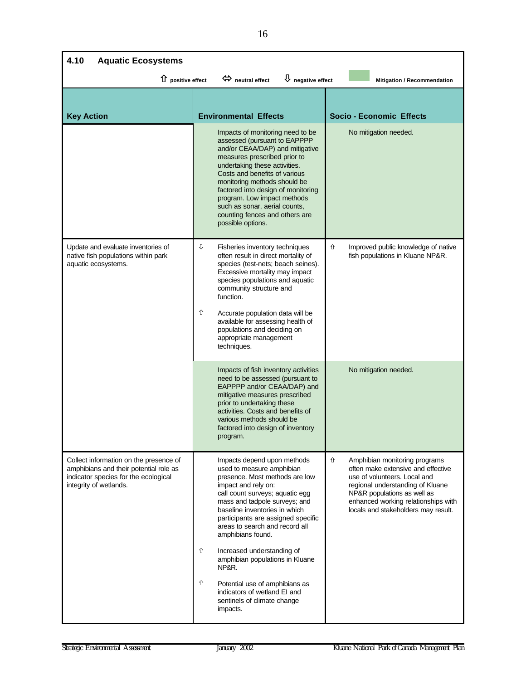| 4.10<br><b>Aquatic Ecosystems</b>                                                                                                                  |        |                                                                                                                                                                                                                                                                                                                                                                                                                                                                                                            |                                 |                                                                                                                                                                                                                                                      |  |  |
|----------------------------------------------------------------------------------------------------------------------------------------------------|--------|------------------------------------------------------------------------------------------------------------------------------------------------------------------------------------------------------------------------------------------------------------------------------------------------------------------------------------------------------------------------------------------------------------------------------------------------------------------------------------------------------------|---------------------------------|------------------------------------------------------------------------------------------------------------------------------------------------------------------------------------------------------------------------------------------------------|--|--|
| 1 positive effect                                                                                                                                  |        | $\overline{\mathsf{U}}$ negative effect<br>$\Leftrightarrow$ neutral effect                                                                                                                                                                                                                                                                                                                                                                                                                                |                                 | Mitigation / Recommendation                                                                                                                                                                                                                          |  |  |
| <b>Key Action</b>                                                                                                                                  |        | <b>Environmental Effects</b>                                                                                                                                                                                                                                                                                                                                                                                                                                                                               | <b>Socio - Economic Effects</b> |                                                                                                                                                                                                                                                      |  |  |
|                                                                                                                                                    |        | Impacts of monitoring need to be<br>assessed (pursuant to EAPPPP<br>and/or CEAA/DAP) and mitigative<br>measures prescribed prior to<br>undertaking these activities.<br>Costs and benefits of various<br>monitoring methods should be<br>factored into design of monitoring<br>program. Low impact methods<br>such as sonar, aerial counts,<br>counting fences and others are<br>possible options.                                                                                                         |                                 | No mitigation needed.                                                                                                                                                                                                                                |  |  |
| Update and evaluate inventories of<br>native fish populations within park<br>aquatic ecosystems.                                                   | ⇩<br>⇧ | Fisheries inventory techniques<br>often result in direct mortality of<br>species (test-nets; beach seines).<br>Excessive mortality may impact<br>species populations and aquatic<br>community structure and<br>function.<br>Accurate population data will be<br>available for assessing health of<br>populations and deciding on<br>appropriate management<br>techniques.                                                                                                                                  | ⇧                               | Improved public knowledge of native<br>fish populations in Kluane NP&R.                                                                                                                                                                              |  |  |
|                                                                                                                                                    |        | Impacts of fish inventory activities<br>need to be assessed (pursuant to<br>EAPPPP and/or CEAA/DAP) and<br>mitigative measures prescribed<br>prior to undertaking these<br>activities. Costs and benefits of<br>various methods should be<br>factored into design of inventory<br>program.                                                                                                                                                                                                                 |                                 | No mitigation needed.                                                                                                                                                                                                                                |  |  |
| Collect information on the presence of<br>amphibians and their potential role as<br>indicator species for the ecological<br>integrity of wetlands. | ⇧<br>⇧ | Impacts depend upon methods<br>used to measure amphibian<br>presence. Most methods are low<br>impact and rely on:<br>call count surveys; aquatic egg<br>mass and tadpole surveys; and<br>baseline inventories in which<br>participants are assigned specific<br>areas to search and record all<br>amphibians found.<br>Increased understanding of<br>amphibian populations in Kluane<br>NP&R.<br>Potential use of amphibians as<br>indicators of wetland EI and<br>sentinels of climate change<br>impacts. | ⇧                               | Amphibian monitoring programs<br>often make extensive and effective<br>use of volunteers. Local and<br>regional understanding of Kluane<br>NP&R populations as well as<br>enhanced working relationships with<br>locals and stakeholders may result. |  |  |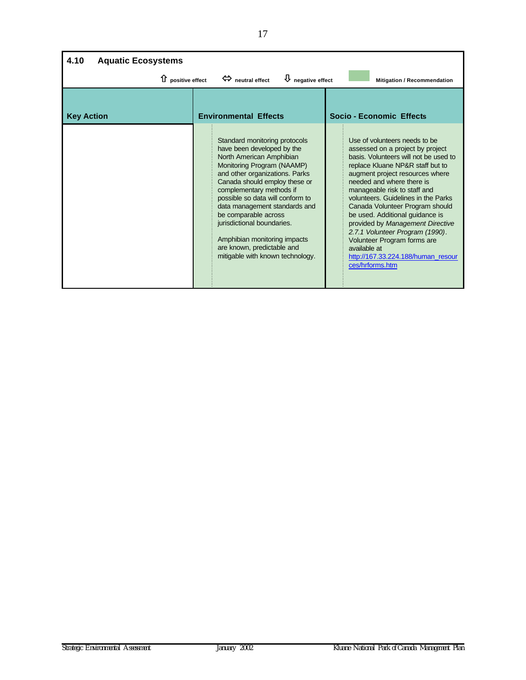| 4.10<br><b>Aquatic Ecosystems</b>                                                                                                |                                                                                                                                                                                                                                                                                                                                                                                                                                                   |                                                                                                                                                                                                                                                                                                                                                                                                                                                                                                                                            |  |  |  |  |  |
|----------------------------------------------------------------------------------------------------------------------------------|---------------------------------------------------------------------------------------------------------------------------------------------------------------------------------------------------------------------------------------------------------------------------------------------------------------------------------------------------------------------------------------------------------------------------------------------------|--------------------------------------------------------------------------------------------------------------------------------------------------------------------------------------------------------------------------------------------------------------------------------------------------------------------------------------------------------------------------------------------------------------------------------------------------------------------------------------------------------------------------------------------|--|--|--|--|--|
| $\bigcup$ negative effect<br>$\Leftrightarrow$ neutral effect<br>$\hat{u}$ positive effect<br><b>Mitigation / Recommendation</b> |                                                                                                                                                                                                                                                                                                                                                                                                                                                   |                                                                                                                                                                                                                                                                                                                                                                                                                                                                                                                                            |  |  |  |  |  |
| <b>Key Action</b>                                                                                                                | <b>Environmental Effects</b>                                                                                                                                                                                                                                                                                                                                                                                                                      | <b>Socio - Economic Effects</b>                                                                                                                                                                                                                                                                                                                                                                                                                                                                                                            |  |  |  |  |  |
|                                                                                                                                  | Standard monitoring protocols<br>have been developed by the<br>North American Amphibian<br>Monitoring Program (NAAMP)<br>and other organizations. Parks<br>Canada should employ these or<br>complementary methods if<br>possible so data will conform to<br>data management standards and<br>be comparable across<br>jurisdictional boundaries.<br>Amphibian monitoring impacts<br>are known, predictable and<br>mitigable with known technology. | Use of volunteers needs to be<br>assessed on a project by project<br>basis. Volunteers will not be used to<br>replace Kluane NP&R staff but to<br>augment project resources where<br>needed and where there is<br>manageable risk to staff and<br>volunteers. Guidelines in the Parks<br>Canada Volunteer Program should<br>be used. Additional guidance is<br>provided by Management Directive<br>2.7.1 Volunteer Program (1990).<br>Volunteer Program forms are<br>available at<br>http://167.33.224.188/human_resour<br>ces/hrforms.htm |  |  |  |  |  |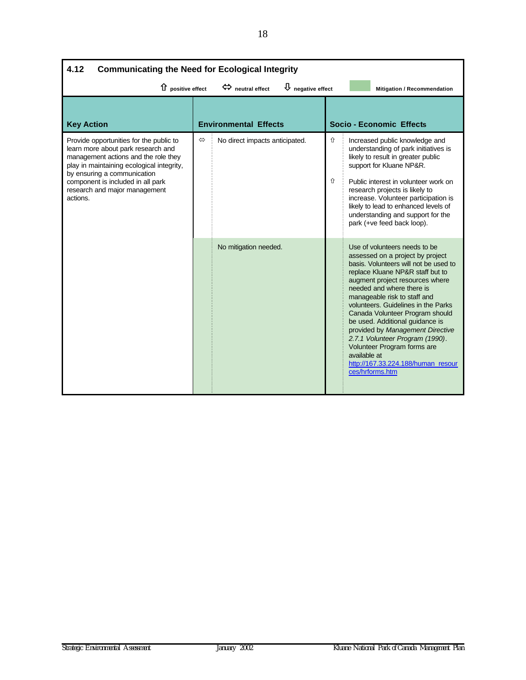| 4.12<br><b>Communicating the Need for Ecological Integrity</b>                                                                                                                                                                                                                      |                   |                                |        |                                                                                                                                                                                                                                                                                                                                                                                                                                                                                                                                            |  |  |
|-------------------------------------------------------------------------------------------------------------------------------------------------------------------------------------------------------------------------------------------------------------------------------------|-------------------|--------------------------------|--------|--------------------------------------------------------------------------------------------------------------------------------------------------------------------------------------------------------------------------------------------------------------------------------------------------------------------------------------------------------------------------------------------------------------------------------------------------------------------------------------------------------------------------------------------|--|--|
| $\bigcup$ negative effect<br>1 positive effect<br>$\Leftrightarrow$ neutral effect<br>Mitigation / Recommendation                                                                                                                                                                   |                   |                                |        |                                                                                                                                                                                                                                                                                                                                                                                                                                                                                                                                            |  |  |
| <b>Key Action</b>                                                                                                                                                                                                                                                                   |                   | <b>Environmental Effects</b>   |        | <b>Socio - Economic Effects</b>                                                                                                                                                                                                                                                                                                                                                                                                                                                                                                            |  |  |
| Provide opportunities for the public to<br>learn more about park research and<br>management actions and the role they<br>play in maintaining ecological integrity,<br>by ensuring a communication<br>component is included in all park<br>research and major management<br>actions. | $\Leftrightarrow$ | No direct impacts anticipated. | ⇧<br>⇧ | Increased public knowledge and<br>understanding of park initiatives is<br>likely to result in greater public<br>support for Kluane NP&R.<br>Public interest in volunteer work on<br>research projects is likely to<br>increase. Volunteer participation is<br>likely to lead to enhanced levels of<br>understanding and support for the<br>park (+ve feed back loop).                                                                                                                                                                      |  |  |
|                                                                                                                                                                                                                                                                                     |                   | No mitigation needed.          |        | Use of volunteers needs to be<br>assessed on a project by project<br>basis. Volunteers will not be used to<br>replace Kluane NP&R staff but to<br>augment project resources where<br>needed and where there is<br>manageable risk to staff and<br>volunteers. Guidelines in the Parks<br>Canada Volunteer Program should<br>be used. Additional guidance is<br>provided by Management Directive<br>2.7.1 Volunteer Program (1990).<br>Volunteer Program forms are<br>available at<br>http://167.33.224.188/human resour<br>ces/hrforms.htm |  |  |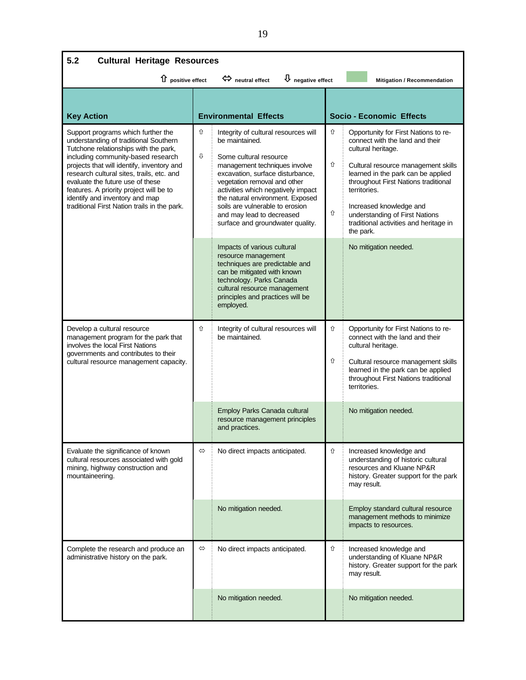| 5.2<br><b>Cultural Heritage Resources</b>                                                                                                                                                                                                                                                                                                                                                                              |                   |                                                                                                                                                                                                                                                                                                                                                                     |             |                                                                                                                                                                                                                                                                                                                                                        |  |
|------------------------------------------------------------------------------------------------------------------------------------------------------------------------------------------------------------------------------------------------------------------------------------------------------------------------------------------------------------------------------------------------------------------------|-------------------|---------------------------------------------------------------------------------------------------------------------------------------------------------------------------------------------------------------------------------------------------------------------------------------------------------------------------------------------------------------------|-------------|--------------------------------------------------------------------------------------------------------------------------------------------------------------------------------------------------------------------------------------------------------------------------------------------------------------------------------------------------------|--|
| 1 positive effect                                                                                                                                                                                                                                                                                                                                                                                                      |                   | $\overline{\mathsf{U}}$ negative effect<br>$\Leftrightarrow$ neutral effect                                                                                                                                                                                                                                                                                         |             | Mitigation / Recommendation                                                                                                                                                                                                                                                                                                                            |  |
| <b>Key Action</b>                                                                                                                                                                                                                                                                                                                                                                                                      |                   | <b>Environmental Effects</b>                                                                                                                                                                                                                                                                                                                                        |             | <b>Socio - Economic Effects</b>                                                                                                                                                                                                                                                                                                                        |  |
| Support programs which further the<br>understanding of traditional Southern<br>Tutchone relationships with the park,<br>including community-based research<br>projects that will identify, inventory and<br>research cultural sites, trails, etc. and<br>evaluate the future use of these<br>features. A priority project will be to<br>identify and inventory and map<br>traditional First Nation trails in the park. | ⇧<br>⇩            | Integrity of cultural resources will<br>be maintained.<br>Some cultural resource<br>management techniques involve<br>excavation, surface disturbance,<br>vegetation removal and other<br>activities which negatively impact<br>the natural environment. Exposed<br>soils are vulnerable to erosion<br>and may lead to decreased<br>surface and groundwater quality. | ⇧<br>⇧<br>⇧ | Opportunity for First Nations to re-<br>connect with the land and their<br>cultural heritage.<br>Cultural resource management skills<br>learned in the park can be applied<br>throughout First Nations traditional<br>territories.<br>Increased knowledge and<br>understanding of First Nations<br>traditional activities and heritage in<br>the park. |  |
|                                                                                                                                                                                                                                                                                                                                                                                                                        |                   | Impacts of various cultural<br>resource management<br>techniques are predictable and<br>can be mitigated with known<br>technology. Parks Canada<br>cultural resource management<br>principles and practices will be<br>employed.                                                                                                                                    |             | No mitigation needed.                                                                                                                                                                                                                                                                                                                                  |  |
| Develop a cultural resource<br>management program for the park that<br>involves the local First Nations<br>governments and contributes to their<br>cultural resource management capacity.                                                                                                                                                                                                                              | ⇧                 | Integrity of cultural resources will<br>be maintained.                                                                                                                                                                                                                                                                                                              | ⇧<br>⇧      | Opportunity for First Nations to re-<br>connect with the land and their<br>cultural heritage.<br>Cultural resource management skills<br>learned in the park can be applied<br>throughout First Nations traditional<br>territories.                                                                                                                     |  |
|                                                                                                                                                                                                                                                                                                                                                                                                                        |                   | Employ Parks Canada cultural<br>resource management principles<br>and practices.                                                                                                                                                                                                                                                                                    |             | No mitigation needed.                                                                                                                                                                                                                                                                                                                                  |  |
| Evaluate the significance of known<br>cultural resources associated with gold<br>mining, highway construction and<br>mountaineering.                                                                                                                                                                                                                                                                                   | $\Leftrightarrow$ | No direct impacts anticipated.                                                                                                                                                                                                                                                                                                                                      | ⇧           | Increased knowledge and<br>understanding of historic cultural<br>resources and Kluane NP&R<br>history. Greater support for the park<br>may result.                                                                                                                                                                                                     |  |
|                                                                                                                                                                                                                                                                                                                                                                                                                        |                   | No mitigation needed.                                                                                                                                                                                                                                                                                                                                               |             | Employ standard cultural resource<br>management methods to minimize<br>impacts to resources.                                                                                                                                                                                                                                                           |  |
| Complete the research and produce an<br>administrative history on the park.                                                                                                                                                                                                                                                                                                                                            | $\Leftrightarrow$ | No direct impacts anticipated.                                                                                                                                                                                                                                                                                                                                      | ⇧           | Increased knowledge and<br>understanding of Kluane NP&R<br>history. Greater support for the park<br>may result.                                                                                                                                                                                                                                        |  |
|                                                                                                                                                                                                                                                                                                                                                                                                                        |                   | No mitigation needed.                                                                                                                                                                                                                                                                                                                                               |             | No mitigation needed.                                                                                                                                                                                                                                                                                                                                  |  |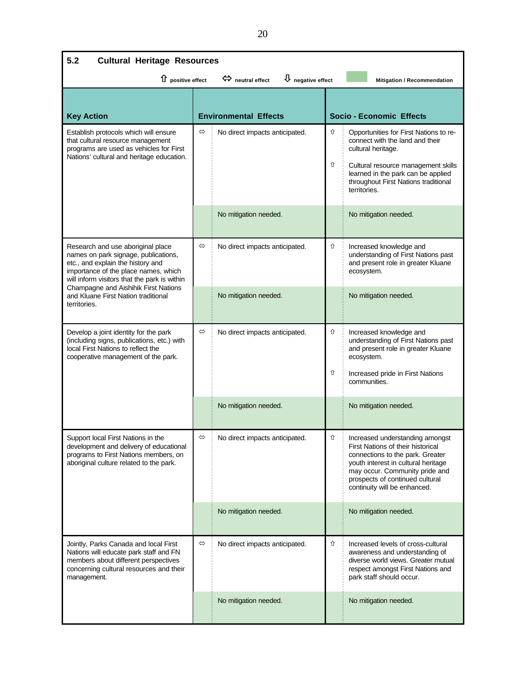| 5.2<br><b>Cultural Heritage Resources</b>                                                                                                                                                                                                                                                             |                   |                                                                       |        |                                                                                                                                                                                                                                                               |
|-------------------------------------------------------------------------------------------------------------------------------------------------------------------------------------------------------------------------------------------------------------------------------------------------------|-------------------|-----------------------------------------------------------------------|--------|---------------------------------------------------------------------------------------------------------------------------------------------------------------------------------------------------------------------------------------------------------------|
| 1 positive effect                                                                                                                                                                                                                                                                                     |                   | $\overline{\Psi}$ negative effect<br>$\Leftrightarrow$ neutral effect |        | Mitigation / Recommendation                                                                                                                                                                                                                                   |
| <b>Key Action</b>                                                                                                                                                                                                                                                                                     |                   | <b>Environmental Effects</b>                                          |        | Socio - Economic Effects                                                                                                                                                                                                                                      |
| Establish protocols which will ensure<br>that cultural resource management<br>programs are used as vehicles for First<br>Nations' cultural and heritage education.                                                                                                                                    | $\Leftrightarrow$ | No direct impacts anticipated.<br>No mitigation needed.               | ⇧<br>⇧ | Opportunities for First Nations to re-<br>connect with the land and their<br>cultural heritage.<br>Cultural resource management skills<br>learned in the park can be applied<br>throughout First Nations traditional<br>territories.<br>No mitigation needed. |
| Research and use aboriginal place<br>names on park signage, publications,<br>etc., and explain the history and<br>importance of the place names, which<br>will inform visitors that the park is within<br>Champagne and Aishihik First Nations<br>and Kluane First Nation traditional<br>territories. | $\Leftrightarrow$ | No direct impacts anticipated.<br>No mitigation needed.               | ⇧      | Increased knowledge and<br>understanding of First Nations past<br>and present role in greater Kluane<br>ecosystem.<br>No mitigation needed.                                                                                                                   |
| Develop a joint identity for the park<br>(including signs, publications, etc.) with<br>local First Nations to reflect the<br>cooperative management of the park.                                                                                                                                      | $\Leftrightarrow$ | No direct impacts anticipated.                                        | ⇧<br>⇧ | Increased knowledge and<br>understanding of First Nations past<br>and present role in greater Kluane<br>ecosystem.<br>Increased pride in First Nations<br>communities.                                                                                        |
|                                                                                                                                                                                                                                                                                                       |                   | No mitigation needed.                                                 |        | No mitigation needed.                                                                                                                                                                                                                                         |
| Support local First Nations in the<br>development and delivery of educational<br>programs to First Nations members, on<br>aboriginal culture related to the park.                                                                                                                                     |                   | No direct impacts anticipated.                                        | ⇧      | Increased understanding amongst<br>First Nations of their historical<br>connections to the park. Greater<br>youth interest in cultural heritage<br>may occur. Community pride and<br>prospects of continued cultural<br>continuity will be enhanced.          |
|                                                                                                                                                                                                                                                                                                       |                   | No mitigation needed.                                                 |        | No mitigation needed.                                                                                                                                                                                                                                         |
| Jointly, Parks Canada and local First<br>Nations will educate park staff and FN<br>members about different perspectives<br>concerning cultural resources and their<br>management.                                                                                                                     | $\Leftrightarrow$ | No direct impacts anticipated.                                        | ⇧      | Increased levels of cross-cultural<br>awareness and understanding of<br>diverse world views. Greater mutual<br>respect amongst First Nations and<br>park staff should occur.                                                                                  |
|                                                                                                                                                                                                                                                                                                       |                   | No mitigation needed.                                                 |        | No mitigation needed.                                                                                                                                                                                                                                         |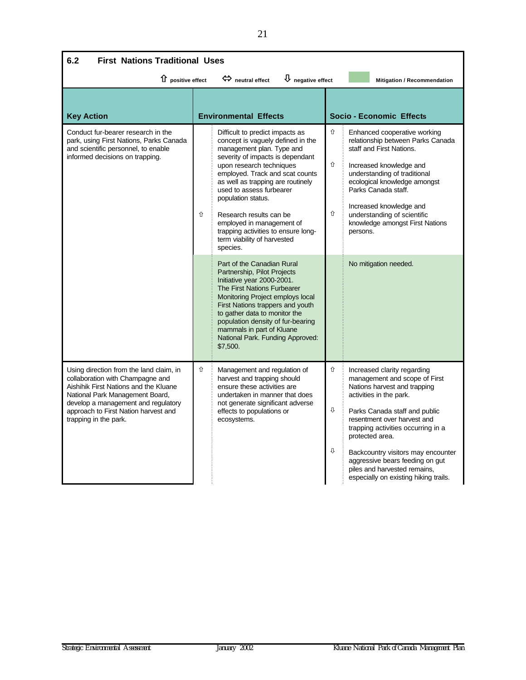| 6.2<br><b>First Nations Traditional Uses</b>                                                                                                                                                                                                                    |   |                                                                                                                                                                                                                                                                                                                                                                                                                                                                                                                                                                                                                                                                                                                                            |                                 |                                                                                                                                                                                                                                                                                                                                                   |  |  |  |
|-----------------------------------------------------------------------------------------------------------------------------------------------------------------------------------------------------------------------------------------------------------------|---|--------------------------------------------------------------------------------------------------------------------------------------------------------------------------------------------------------------------------------------------------------------------------------------------------------------------------------------------------------------------------------------------------------------------------------------------------------------------------------------------------------------------------------------------------------------------------------------------------------------------------------------------------------------------------------------------------------------------------------------------|---------------------------------|---------------------------------------------------------------------------------------------------------------------------------------------------------------------------------------------------------------------------------------------------------------------------------------------------------------------------------------------------|--|--|--|
| $\overline{\psi}$ negative effect<br>1 positive effect<br>$\Leftrightarrow$ neutral effect<br><b>Mitigation / Recommendation</b>                                                                                                                                |   |                                                                                                                                                                                                                                                                                                                                                                                                                                                                                                                                                                                                                                                                                                                                            |                                 |                                                                                                                                                                                                                                                                                                                                                   |  |  |  |
| <b>Key Action</b>                                                                                                                                                                                                                                               |   | <b>Environmental Effects</b>                                                                                                                                                                                                                                                                                                                                                                                                                                                                                                                                                                                                                                                                                                               | <b>Socio - Economic Effects</b> |                                                                                                                                                                                                                                                                                                                                                   |  |  |  |
| Conduct fur-bearer research in the<br>park, using First Nations, Parks Canada<br>and scientific personnel, to enable<br>informed decisions on trapping.                                                                                                         | ⇧ | Difficult to predict impacts as<br>concept is vaguely defined in the<br>management plan. Type and<br>severity of impacts is dependant<br>upon research techniques<br>employed. Track and scat counts<br>as well as trapping are routinely<br>used to assess furbearer<br>population status.<br>Research results can be<br>employed in management of<br>trapping activities to ensure long-<br>term viability of harvested<br>species.<br>Part of the Canadian Rural<br>Partnership, Pilot Projects<br>Initiative year 2000-2001.<br>The First Nations Furbearer<br>Monitoring Project employs local<br>First Nations trappers and youth<br>to gather data to monitor the<br>population density of fur-bearing<br>mammals in part of Kluane | ⇧<br>⇧<br>⇧                     | Enhanced cooperative working<br>relationship between Parks Canada<br>staff and First Nations.<br>Increased knowledge and<br>understanding of traditional<br>ecological knowledge amongst<br>Parks Canada staff.<br>Increased knowledge and<br>understanding of scientific<br>knowledge amongst First Nations<br>persons.<br>No mitigation needed. |  |  |  |
| Using direction from the land claim, in<br>collaboration with Champagne and<br>Aishihik First Nations and the Kluane<br>National Park Management Board,<br>develop a management and regulatory<br>approach to First Nation harvest and<br>trapping in the park. | ⇧ | National Park. Funding Approved:<br>\$7,500.<br>Management and regulation of<br>harvest and trapping should<br>ensure these activities are<br>undertaken in manner that does<br>not generate significant adverse<br>effects to populations or<br>ecosystems.                                                                                                                                                                                                                                                                                                                                                                                                                                                                               | ⇧<br>⇩                          | Increased clarity regarding<br>management and scope of First<br>Nations harvest and trapping<br>activities in the park.<br>Parks Canada staff and public<br>resentment over harvest and<br>trapping activities occurring in a<br>protected area.                                                                                                  |  |  |  |
|                                                                                                                                                                                                                                                                 |   |                                                                                                                                                                                                                                                                                                                                                                                                                                                                                                                                                                                                                                                                                                                                            | ⇩                               | Backcountry visitors may encounter<br>aggressive bears feeding on gut<br>piles and harvested remains,<br>especially on existing hiking trails.                                                                                                                                                                                                    |  |  |  |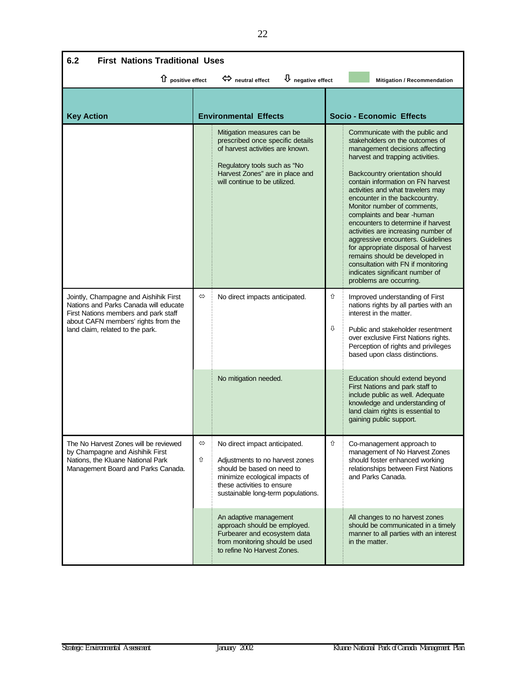| 6.2<br><b>First Nations Traditional Uses</b>                                                                                                                                                      |                   |                                                                                                                                                                                                        |        |                                                                                                                                                                                                                                                                                                                                                                                                                                                                                                                                                                                                                                                   |  |  |  |
|---------------------------------------------------------------------------------------------------------------------------------------------------------------------------------------------------|-------------------|--------------------------------------------------------------------------------------------------------------------------------------------------------------------------------------------------------|--------|---------------------------------------------------------------------------------------------------------------------------------------------------------------------------------------------------------------------------------------------------------------------------------------------------------------------------------------------------------------------------------------------------------------------------------------------------------------------------------------------------------------------------------------------------------------------------------------------------------------------------------------------------|--|--|--|
| 1 positive effect<br>$\Leftrightarrow$ neutral effect<br>$\overline{\mathsf{U}}$ negative effect<br>Mitigation / Recommendation                                                                   |                   |                                                                                                                                                                                                        |        |                                                                                                                                                                                                                                                                                                                                                                                                                                                                                                                                                                                                                                                   |  |  |  |
| <b>Key Action</b>                                                                                                                                                                                 |                   | <b>Environmental Effects</b>                                                                                                                                                                           |        | Socio - Economic Effects                                                                                                                                                                                                                                                                                                                                                                                                                                                                                                                                                                                                                          |  |  |  |
|                                                                                                                                                                                                   |                   | Mitigation measures can be<br>prescribed once specific details<br>of harvest activities are known.<br>Regulatory tools such as "No<br>Harvest Zones" are in place and<br>will continue to be utilized. |        | Communicate with the public and<br>stakeholders on the outcomes of<br>management decisions affecting<br>harvest and trapping activities.<br>Backcountry orientation should<br>contain information on FN harvest<br>activities and what travelers may<br>encounter in the backcountry.<br>Monitor number of comments,<br>complaints and bear -human<br>encounters to determine if harvest<br>activities are increasing number of<br>aggressive encounters. Guidelines<br>for appropriate disposal of harvest<br>remains should be developed in<br>consultation with FN if monitoring<br>indicates significant number of<br>problems are occurring. |  |  |  |
| Jointly, Champagne and Aishihik First<br>Nations and Parks Canada will educate<br>First Nations members and park staff<br>about CAFN members' rights from the<br>land claim, related to the park. | $\Leftrightarrow$ | No direct impacts anticipated.                                                                                                                                                                         | ⇧<br>⇩ | Improved understanding of First<br>nations rights by all parties with an<br>interest in the matter.<br>Public and stakeholder resentment<br>over exclusive First Nations rights.<br>Perception of rights and privileges<br>based upon class distinctions.                                                                                                                                                                                                                                                                                                                                                                                         |  |  |  |
|                                                                                                                                                                                                   |                   | No mitigation needed.                                                                                                                                                                                  |        | Education should extend beyond<br>First Nations and park staff to<br>include public as well. Adequate<br>knowledge and understanding of<br>land claim rights is essential to<br>gaining public support.                                                                                                                                                                                                                                                                                                                                                                                                                                           |  |  |  |
| The No Harvest Zones will be reviewed<br>by Champagne and Aishihik First<br>Nations, the Kluane National Park<br>Management Board and Parks Canada.                                               | ⇔<br>⇧            | No direct impact anticipated.<br>Adjustments to no harvest zones<br>should be based on need to<br>minimize ecological impacts of<br>these activities to ensure<br>sustainable long-term populations.   | ⇧      | Co-management approach to<br>management of No Harvest Zones<br>should foster enhanced working<br>relationships between First Nations<br>and Parks Canada.                                                                                                                                                                                                                                                                                                                                                                                                                                                                                         |  |  |  |
|                                                                                                                                                                                                   |                   | An adaptive management<br>approach should be employed.<br>Furbearer and ecosystem data<br>from monitoring should be used<br>to refine No Harvest Zones.                                                |        | All changes to no harvest zones<br>should be communicated in a timely<br>manner to all parties with an interest<br>in the matter.                                                                                                                                                                                                                                                                                                                                                                                                                                                                                                                 |  |  |  |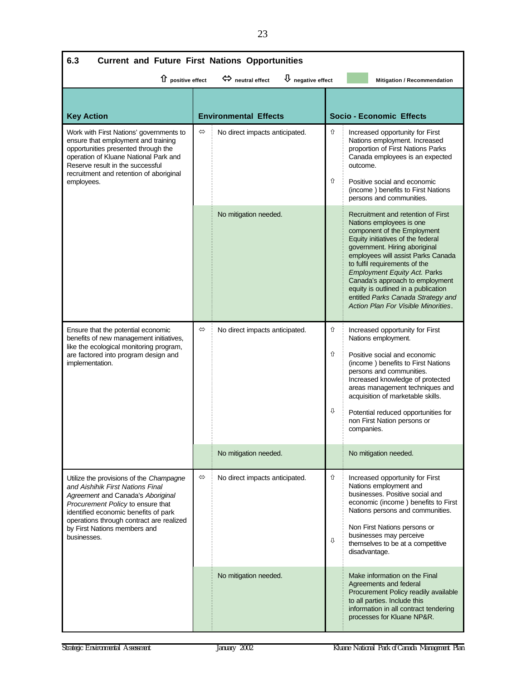| 6.3<br><b>Current and Future First Nations Opportunities</b>                                                                                                                                                                                                                             |                   |                                |             |                                                                                                                                                                                                                                                                                                                                                                                                                                          |  |  |  |
|------------------------------------------------------------------------------------------------------------------------------------------------------------------------------------------------------------------------------------------------------------------------------------------|-------------------|--------------------------------|-------------|------------------------------------------------------------------------------------------------------------------------------------------------------------------------------------------------------------------------------------------------------------------------------------------------------------------------------------------------------------------------------------------------------------------------------------------|--|--|--|
| $\overline{\Psi}$ negative effect<br>1 positive effect<br>$\Leftrightarrow$ neutral effect<br><b>Mitigation / Recommendation</b>                                                                                                                                                         |                   |                                |             |                                                                                                                                                                                                                                                                                                                                                                                                                                          |  |  |  |
| <b>Key Action</b>                                                                                                                                                                                                                                                                        |                   | <b>Environmental Effects</b>   |             | <b>Socio - Economic Effects</b>                                                                                                                                                                                                                                                                                                                                                                                                          |  |  |  |
| Work with First Nations' governments to<br>ensure that employment and training<br>opportunities presented through the<br>operation of Kluane National Park and<br>Reserve result in the successful<br>recruitment and retention of aboriginal<br>employees.                              | $\Leftrightarrow$ | No direct impacts anticipated. | ⇧<br>⇧      | Increased opportunity for First<br>Nations employment. Increased<br>proportion of First Nations Parks<br>Canada employees is an expected<br>outcome.<br>Positive social and economic<br>(income) benefits to First Nations<br>persons and communities.                                                                                                                                                                                   |  |  |  |
|                                                                                                                                                                                                                                                                                          |                   | No mitigation needed.          |             | Recruitment and retention of First<br>Nations employees is one<br>component of the Employment<br>Equity initiatives of the federal<br>government. Hiring aboriginal<br>employees will assist Parks Canada<br>to fulfil requirements of the<br><b>Employment Equity Act. Parks</b><br>Canada's approach to employment<br>equity is outlined in a publication<br>entitled Parks Canada Strategy and<br>Action Plan For Visible Minorities. |  |  |  |
| Ensure that the potential economic<br>benefits of new management initiatives,<br>like the ecological monitoring program,<br>are factored into program design and<br>implementation.                                                                                                      | $\Leftrightarrow$ | No direct impacts anticipated. | ⇧<br>⇧<br>⇩ | Increased opportunity for First<br>Nations employment.<br>Positive social and economic<br>(income) benefits to First Nations<br>persons and communities.<br>Increased knowledge of protected<br>areas management techniques and<br>acquisition of marketable skills.<br>Potential reduced opportunities for<br>non First Nation persons or<br>companies.                                                                                 |  |  |  |
|                                                                                                                                                                                                                                                                                          |                   | No mitigation needed.          |             | No mitigation needed.                                                                                                                                                                                                                                                                                                                                                                                                                    |  |  |  |
| Utilize the provisions of the Champagne<br>and Aishihik First Nations Final<br>Agreement and Canada's Aboriginal<br>Procurement Policy to ensure that<br>identified economic benefits of park<br>operations through contract are realized<br>by First Nations members and<br>businesses. | $\Leftrightarrow$ | No direct impacts anticipated. | ⇧<br>⇩      | Increased opportunity for First<br>Nations employment and<br>businesses. Positive social and<br>economic (income) benefits to First<br>Nations persons and communities.<br>Non First Nations persons or<br>businesses may perceive<br>themselves to be at a competitive<br>disadvantage.                                                                                                                                                 |  |  |  |
|                                                                                                                                                                                                                                                                                          |                   | No mitigation needed.          |             | Make information on the Final<br>Agreements and federal<br>Procurement Policy readily available<br>to all parties. Include this<br>information in all contract tendering<br>processes for Kluane NP&R.                                                                                                                                                                                                                                   |  |  |  |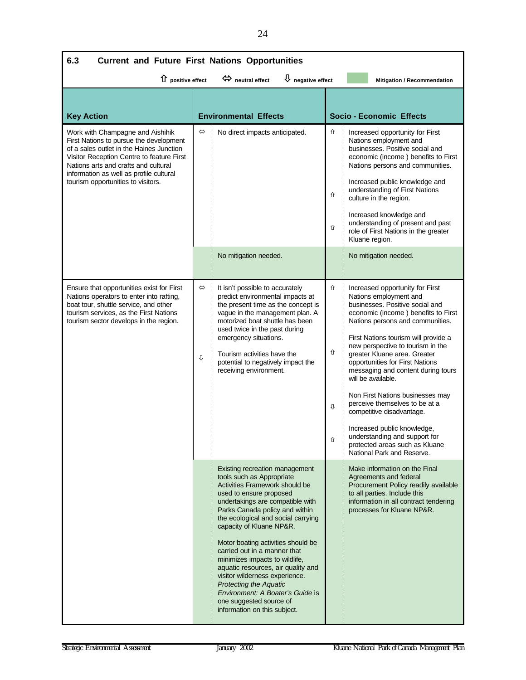| 6.3<br><b>Current and Future First Nations Opportunities</b>                                                                                                                                                                                                                                  |                        |                                                                                                                                                                                                                                                                                                                                                                                                                                                                                                                                                                                  |                                        |                                                                                                                                                                                                                                                                                                                                                                                                                                                                                                                                                                                                                        |  |
|-----------------------------------------------------------------------------------------------------------------------------------------------------------------------------------------------------------------------------------------------------------------------------------------------|------------------------|----------------------------------------------------------------------------------------------------------------------------------------------------------------------------------------------------------------------------------------------------------------------------------------------------------------------------------------------------------------------------------------------------------------------------------------------------------------------------------------------------------------------------------------------------------------------------------|----------------------------------------|------------------------------------------------------------------------------------------------------------------------------------------------------------------------------------------------------------------------------------------------------------------------------------------------------------------------------------------------------------------------------------------------------------------------------------------------------------------------------------------------------------------------------------------------------------------------------------------------------------------------|--|
| D negative effect<br>↑ positive effect<br>$\Leftrightarrow$ neutral effect<br>Mitigation / Recommendation                                                                                                                                                                                     |                        |                                                                                                                                                                                                                                                                                                                                                                                                                                                                                                                                                                                  |                                        |                                                                                                                                                                                                                                                                                                                                                                                                                                                                                                                                                                                                                        |  |
| <b>Key Action</b>                                                                                                                                                                                                                                                                             |                        | <b>Environmental Effects</b>                                                                                                                                                                                                                                                                                                                                                                                                                                                                                                                                                     |                                        | <b>Socio - Economic Effects</b>                                                                                                                                                                                                                                                                                                                                                                                                                                                                                                                                                                                        |  |
| Work with Champagne and Aishihik<br>First Nations to pursue the development<br>of a sales outlet in the Haines Junction<br>Visitor Reception Centre to feature First<br>Nations arts and crafts and cultural<br>information as well as profile cultural<br>tourism opportunities to visitors. | $\Leftrightarrow$      | No direct impacts anticipated.                                                                                                                                                                                                                                                                                                                                                                                                                                                                                                                                                   | ⇧<br>⇧<br>$\hat{\mathbb{U}}$           | Increased opportunity for First<br>Nations employment and<br>businesses. Positive social and<br>economic (income) benefits to First<br>Nations persons and communities.<br>Increased public knowledge and<br>understanding of First Nations<br>culture in the region.<br>Increased knowledge and<br>understanding of present and past<br>role of First Nations in the greater<br>Kluane region.                                                                                                                                                                                                                        |  |
|                                                                                                                                                                                                                                                                                               |                        | No mitigation needed.                                                                                                                                                                                                                                                                                                                                                                                                                                                                                                                                                            |                                        | No mitigation needed.                                                                                                                                                                                                                                                                                                                                                                                                                                                                                                                                                                                                  |  |
| Ensure that opportunities exist for First<br>Nations operators to enter into rafting,<br>boat tour, shuttle service, and other<br>tourism services, as the First Nations<br>tourism sector develops in the region.                                                                            | $\Leftrightarrow$<br>⇩ | It isn't possible to accurately<br>predict environmental impacts at<br>the present time as the concept is<br>vague in the management plan. A<br>motorized boat shuttle has been<br>used twice in the past during<br>emergency situations.<br>Tourism activities have the<br>potential to negatively impact the<br>receiving environment.                                                                                                                                                                                                                                         | ⇧<br>⇧<br>$\overline{\mathbb{G}}$<br>⇧ | Increased opportunity for First<br>Nations employment and<br>businesses. Positive social and<br>economic (income) benefits to First<br>Nations persons and communities.<br>First Nations tourism will provide a<br>new perspective to tourism in the<br>greater Kluane area. Greater<br>opportunities for First Nations<br>messaging and content during tours<br>will be available.<br>Non First Nations businesses may<br>perceive themselves to be at a<br>competitive disadvantage.<br>Increased public knowledge,<br>understanding and support for<br>protected areas such as Kluane<br>National Park and Reserve. |  |
|                                                                                                                                                                                                                                                                                               |                        | Existing recreation management<br>tools such as Appropriate<br>Activities Framework should be<br>used to ensure proposed<br>undertakings are compatible with<br>Parks Canada policy and within<br>the ecological and social carrying<br>capacity of Kluane NP&R.<br>Motor boating activities should be<br>carried out in a manner that<br>minimizes impacts to wildlife,<br>aquatic resources, air quality and<br>visitor wilderness experience.<br><b>Protecting the Aquatic</b><br>Environment: A Boater's Guide is<br>one suggested source of<br>information on this subject. |                                        | Make information on the Final<br>Agreements and federal<br>Procurement Policy readily available<br>to all parties. Include this<br>information in all contract tendering<br>processes for Kluane NP&R.                                                                                                                                                                                                                                                                                                                                                                                                                 |  |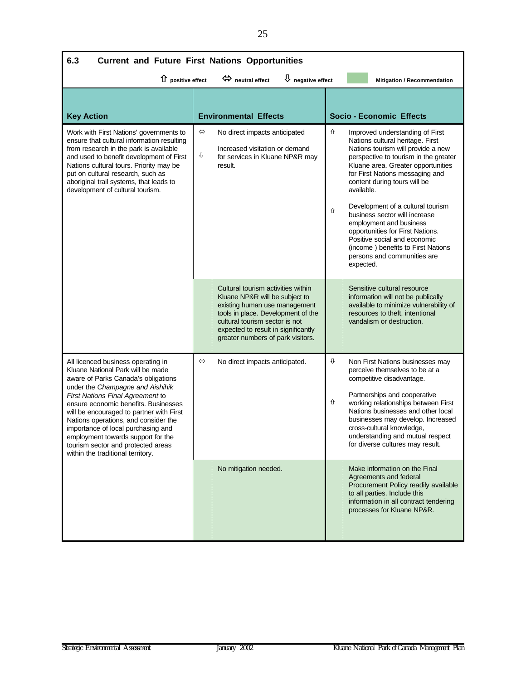| 6.3<br><b>Current and Future First Nations Opportunities</b>                                                                                                                                                                                                                                                                                                                                                                                                              |                                                                                                                           |                                                                                                                                                                                                                                                           |        |                                                                                                                                                                                                                                                                                                                                                                                                                                                                                                                                  |  |  |
|---------------------------------------------------------------------------------------------------------------------------------------------------------------------------------------------------------------------------------------------------------------------------------------------------------------------------------------------------------------------------------------------------------------------------------------------------------------------------|---------------------------------------------------------------------------------------------------------------------------|-----------------------------------------------------------------------------------------------------------------------------------------------------------------------------------------------------------------------------------------------------------|--------|----------------------------------------------------------------------------------------------------------------------------------------------------------------------------------------------------------------------------------------------------------------------------------------------------------------------------------------------------------------------------------------------------------------------------------------------------------------------------------------------------------------------------------|--|--|
|                                                                                                                                                                                                                                                                                                                                                                                                                                                                           | $\overline{\psi}$ negative effect<br>1 positive effect<br>$\Leftrightarrow$ neutral effect<br>Mitigation / Recommendation |                                                                                                                                                                                                                                                           |        |                                                                                                                                                                                                                                                                                                                                                                                                                                                                                                                                  |  |  |
| <b>Key Action</b>                                                                                                                                                                                                                                                                                                                                                                                                                                                         |                                                                                                                           | <b>Environmental Effects</b>                                                                                                                                                                                                                              |        | <b>Socio - Economic Effects</b>                                                                                                                                                                                                                                                                                                                                                                                                                                                                                                  |  |  |
| Work with First Nations' governments to<br>ensure that cultural information resulting<br>from research in the park is available<br>and used to benefit development of First<br>Nations cultural tours. Priority may be<br>put on cultural research, such as<br>aboriginal trail systems, that leads to<br>development of cultural tourism.                                                                                                                                | $\Leftrightarrow$<br>⇩                                                                                                    | No direct impacts anticipated<br>Increased visitation or demand<br>for services in Kluane NP&R may<br>result.                                                                                                                                             | ⇧<br>仓 | Improved understanding of First<br>Nations cultural heritage. First<br>Nations tourism will provide a new<br>perspective to tourism in the greater<br>Kluane area. Greater opportunities<br>for First Nations messaging and<br>content during tours will be<br>available.<br>Development of a cultural tourism<br>business sector will increase<br>employment and business<br>opportunities for First Nations.<br>Positive social and economic<br>(income) benefits to First Nations<br>persons and communities are<br>expected. |  |  |
|                                                                                                                                                                                                                                                                                                                                                                                                                                                                           |                                                                                                                           | Cultural tourism activities within<br>Kluane NP&R will be subject to<br>existing human use management<br>tools in place. Development of the<br>cultural tourism sector is not<br>expected to result in significantly<br>greater numbers of park visitors. |        | Sensitive cultural resource<br>information will not be publically<br>available to minimize vulnerability of<br>resources to theft, intentional<br>vandalism or destruction.                                                                                                                                                                                                                                                                                                                                                      |  |  |
| All licenced business operating in<br>Kluane National Park will be made<br>aware of Parks Canada's obligations<br>under the Champagne and Aishihik<br>First Nations Final Agreement to<br>ensure economic benefits. Businesses<br>will be encouraged to partner with First<br>Nations operations, and consider the<br>importance of local purchasing and<br>employment towards support for the<br>tourism sector and protected areas<br>within the traditional territory. | $\Leftrightarrow$                                                                                                         | No direct impacts anticipated.                                                                                                                                                                                                                            | ⇩<br>⇧ | Non First Nations businesses may<br>perceive themselves to be at a<br>competitive disadvantage.<br>Partnerships and cooperative<br>working relationships between First<br>Nations businesses and other local<br>businesses may develop. Increased<br>cross-cultural knowledge,<br>understanding and mutual respect<br>for diverse cultures may result.                                                                                                                                                                           |  |  |
|                                                                                                                                                                                                                                                                                                                                                                                                                                                                           |                                                                                                                           | No mitigation needed.                                                                                                                                                                                                                                     |        | Make information on the Final<br>Agreements and federal<br>Procurement Policy readily available<br>to all parties. Include this<br>information in all contract tendering<br>processes for Kluane NP&R.                                                                                                                                                                                                                                                                                                                           |  |  |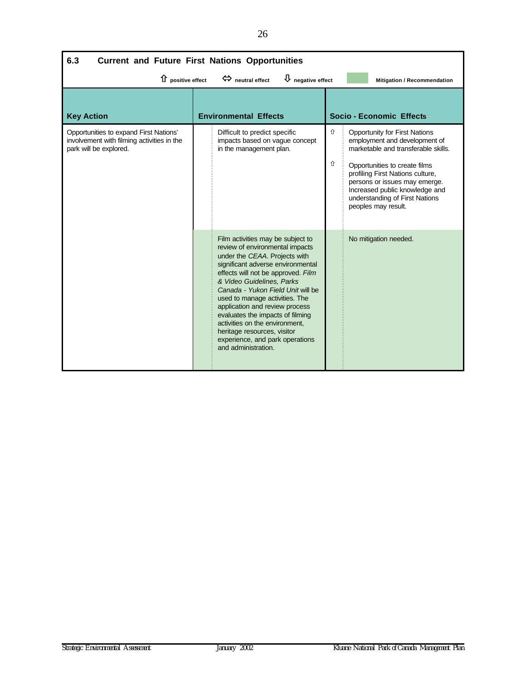| 6.3<br><b>Current and Future First Nations Opportunities</b>                                                   |                                                                                                                                          |                                                                                                                                                                                                                                                                                                                                                                                                                                                                                       |        |                                                                                                                                                                                                                                                                                                               |  |  |  |
|----------------------------------------------------------------------------------------------------------------|------------------------------------------------------------------------------------------------------------------------------------------|---------------------------------------------------------------------------------------------------------------------------------------------------------------------------------------------------------------------------------------------------------------------------------------------------------------------------------------------------------------------------------------------------------------------------------------------------------------------------------------|--------|---------------------------------------------------------------------------------------------------------------------------------------------------------------------------------------------------------------------------------------------------------------------------------------------------------------|--|--|--|
|                                                                                                                | $\overline{\psi}$ negative effect<br>$\hat{u}$ positive effect<br>$\Leftrightarrow$ neutral effect<br><b>Mitigation / Recommendation</b> |                                                                                                                                                                                                                                                                                                                                                                                                                                                                                       |        |                                                                                                                                                                                                                                                                                                               |  |  |  |
| <b>Key Action</b>                                                                                              |                                                                                                                                          | <b>Environmental Effects</b>                                                                                                                                                                                                                                                                                                                                                                                                                                                          |        | <b>Socio - Economic Effects</b>                                                                                                                                                                                                                                                                               |  |  |  |
| Opportunities to expand First Nations'<br>involvement with filming activities in the<br>park will be explored. |                                                                                                                                          | Difficult to predict specific<br>impacts based on vague concept<br>in the management plan.                                                                                                                                                                                                                                                                                                                                                                                            | ⇧<br>⇧ | <b>Opportunity for First Nations</b><br>employment and development of<br>marketable and transferable skills.<br>Opportunities to create films<br>profiling First Nations culture,<br>persons or issues may emerge.<br>Increased public knowledge and<br>understanding of First Nations<br>peoples may result. |  |  |  |
|                                                                                                                |                                                                                                                                          | Film activities may be subject to<br>review of environmental impacts<br>under the CEAA. Projects with<br>significant adverse environmental<br>effects will not be approved. Film<br>& Video Guidelines, Parks<br>Canada - Yukon Field Unit will be<br>used to manage activities. The<br>application and review process<br>evaluates the impacts of filming<br>activities on the environment.<br>heritage resources, visitor<br>experience, and park operations<br>and administration. |        | No mitigation needed.                                                                                                                                                                                                                                                                                         |  |  |  |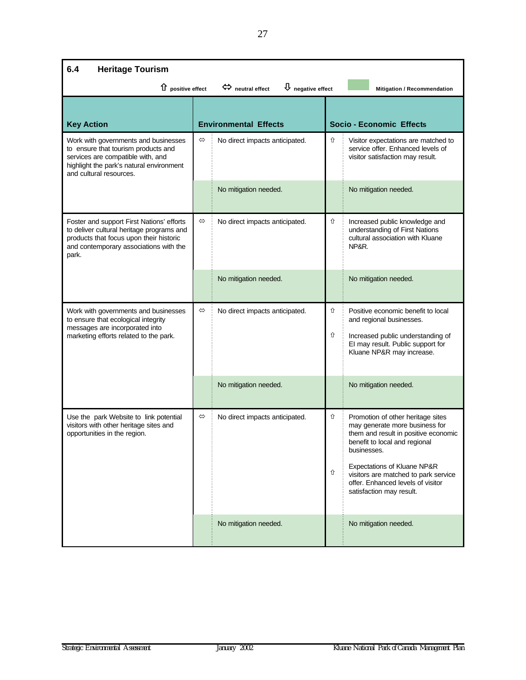| 6.4<br><b>Heritage Tourism</b>                                                                                                                                                          |                   |                                |        |                                                                                                                                                                                                                                                                                                     |  |
|-----------------------------------------------------------------------------------------------------------------------------------------------------------------------------------------|-------------------|--------------------------------|--------|-----------------------------------------------------------------------------------------------------------------------------------------------------------------------------------------------------------------------------------------------------------------------------------------------------|--|
| $\overline{\mathbf{\mathsf{U}}}$ negative effect<br>1 positive effect<br>$\Leftrightarrow$ neutral effect<br>Mitigation / Recommendation                                                |                   |                                |        |                                                                                                                                                                                                                                                                                                     |  |
| <b>Key Action</b>                                                                                                                                                                       |                   | <b>Environmental Effects</b>   |        | <b>Socio - Economic Effects</b>                                                                                                                                                                                                                                                                     |  |
| Work with governments and businesses<br>to ensure that tourism products and<br>services are compatible with, and<br>highlight the park's natural environment<br>and cultural resources. | $\Leftrightarrow$ | No direct impacts anticipated. | ⇧      | Visitor expectations are matched to<br>service offer. Enhanced levels of<br>visitor satisfaction may result.                                                                                                                                                                                        |  |
|                                                                                                                                                                                         |                   | No mitigation needed.          |        | No mitigation needed.                                                                                                                                                                                                                                                                               |  |
| Foster and support First Nations' efforts<br>to deliver cultural heritage programs and<br>products that focus upon their historic<br>and contemporary associations with the<br>park.    | $\Leftrightarrow$ | No direct impacts anticipated. | ⇧      | Increased public knowledge and<br>understanding of First Nations<br>cultural association with Kluane<br>NP&R.                                                                                                                                                                                       |  |
|                                                                                                                                                                                         |                   | No mitigation needed.          |        | No mitigation needed.                                                                                                                                                                                                                                                                               |  |
| Work with governments and businesses<br>to ensure that ecological integrity<br>messages are incorporated into<br>marketing efforts related to the park.                                 | $\Leftrightarrow$ | No direct impacts anticipated. | ⇧<br>⇧ | Positive economic benefit to local<br>and regional businesses.<br>Increased public understanding of<br>EI may result. Public support for<br>Kluane NP&R may increase.                                                                                                                               |  |
|                                                                                                                                                                                         |                   | No mitigation needed.          |        | No mitigation needed.                                                                                                                                                                                                                                                                               |  |
| Use the park Website to link potential<br>visitors with other heritage sites and<br>opportunities in the region.                                                                        | $\Leftrightarrow$ | No direct impacts anticipated. | ⇧<br>⇧ | Promotion of other heritage sites<br>may generate more business for<br>them and result in positive economic<br>benefit to local and regional<br>businesses.<br>Expectations of Kluane NP&R<br>visitors are matched to park service<br>offer. Enhanced levels of visitor<br>satisfaction may result. |  |
|                                                                                                                                                                                         |                   | No mitigation needed.          |        | No mitigation needed.                                                                                                                                                                                                                                                                               |  |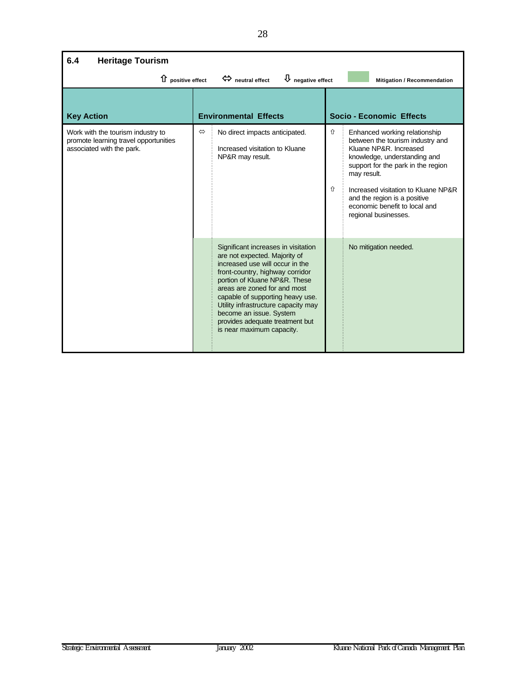| <b>Heritage Tourism</b><br>6.4                                                                          |                   |                                                                                                                                                                                                                                                                                                                                                                                   |        |                                                                                                                                                                                                                                                                                                                  |
|---------------------------------------------------------------------------------------------------------|-------------------|-----------------------------------------------------------------------------------------------------------------------------------------------------------------------------------------------------------------------------------------------------------------------------------------------------------------------------------------------------------------------------------|--------|------------------------------------------------------------------------------------------------------------------------------------------------------------------------------------------------------------------------------------------------------------------------------------------------------------------|
| 1 positive effect                                                                                       |                   | $\bigcup$ negative effect<br>$\Leftrightarrow$ neutral effect                                                                                                                                                                                                                                                                                                                     |        | <b>Mitigation / Recommendation</b>                                                                                                                                                                                                                                                                               |
| <b>Key Action</b>                                                                                       |                   | <b>Environmental Effects</b>                                                                                                                                                                                                                                                                                                                                                      |        | <b>Socio - Economic Effects</b>                                                                                                                                                                                                                                                                                  |
| Work with the tourism industry to<br>promote learning travel opportunities<br>associated with the park. | $\Leftrightarrow$ | No direct impacts anticipated.<br>Increased visitation to Kluane<br>NP&R may result.                                                                                                                                                                                                                                                                                              | ⇧<br>⇧ | Enhanced working relationship<br>between the tourism industry and<br>Kluane NP&R. Increased<br>knowledge, understanding and<br>support for the park in the region<br>may result.<br>Increased visitation to Kluane NP&R<br>and the region is a positive<br>economic benefit to local and<br>regional businesses. |
|                                                                                                         |                   | Significant increases in visitation<br>are not expected. Majority of<br>increased use will occur in the<br>front-country, highway corridor<br>portion of Kluane NP&R. These<br>areas are zoned for and most<br>capable of supporting heavy use.<br>Utility infrastructure capacity may<br>become an issue. System<br>provides adequate treatment but<br>is near maximum capacity. |        | No mitigation needed.                                                                                                                                                                                                                                                                                            |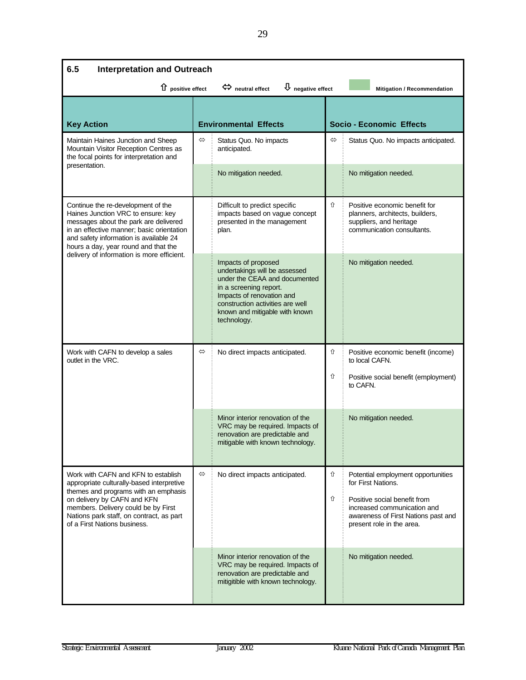| 6.5<br><b>Interpretation and Outreach</b>                                                                                                                                                                                                        |                   |                                                                                                                                                                                                                                   |                   |                                                                                                                                 |  |
|--------------------------------------------------------------------------------------------------------------------------------------------------------------------------------------------------------------------------------------------------|-------------------|-----------------------------------------------------------------------------------------------------------------------------------------------------------------------------------------------------------------------------------|-------------------|---------------------------------------------------------------------------------------------------------------------------------|--|
| $\hat{u}$ positive effect                                                                                                                                                                                                                        |                   | $\overline{\mathbf{\downarrow}}$ negative effect<br>$\Leftrightarrow$ neutral effect                                                                                                                                              |                   | Mitigation / Recommendation                                                                                                     |  |
| <b>Key Action</b>                                                                                                                                                                                                                                |                   | <b>Environmental Effects</b>                                                                                                                                                                                                      |                   | <b>Socio - Economic Effects</b>                                                                                                 |  |
| Maintain Haines Junction and Sheep<br>Mountain Visitor Reception Centres as<br>the focal points for interpretation and                                                                                                                           | $\Leftrightarrow$ | Status Quo. No impacts<br>anticipated.                                                                                                                                                                                            | $\Leftrightarrow$ | Status Quo. No impacts anticipated.                                                                                             |  |
| presentation.                                                                                                                                                                                                                                    |                   | No mitigation needed.                                                                                                                                                                                                             |                   | No mitigation needed.                                                                                                           |  |
| Continue the re-development of the<br>Haines Junction VRC to ensure: key<br>messages about the park are delivered<br>in an effective manner; basic orientation<br>and safety information is available 24<br>hours a day, year round and that the |                   | Difficult to predict specific<br>impacts based on vague concept<br>presented in the management<br>plan.                                                                                                                           | ⇧                 | Positive economic benefit for<br>planners, architects, builders,<br>suppliers, and heritage<br>communication consultants.       |  |
| delivery of information is more efficient.                                                                                                                                                                                                       |                   | Impacts of proposed<br>undertakings will be assessed<br>under the CEAA and documented<br>in a screening report.<br>Impacts of renovation and<br>construction activities are well<br>known and mitigable with known<br>technology. |                   | No mitigation needed.                                                                                                           |  |
| Work with CAFN to develop a sales<br>outlet in the VRC.                                                                                                                                                                                          | $\Leftrightarrow$ | No direct impacts anticipated.                                                                                                                                                                                                    | ⇧                 | Positive economic benefit (income)<br>to local CAFN.                                                                            |  |
|                                                                                                                                                                                                                                                  |                   |                                                                                                                                                                                                                                   | ⇧                 | Positive social benefit (employment)<br>to CAFN.                                                                                |  |
|                                                                                                                                                                                                                                                  |                   | Minor interior renovation of the<br>VRC may be required. Impacts of<br>renovation are predictable and<br>mitigable with known technology.                                                                                         |                   | No mitigation needed.                                                                                                           |  |
| Work with CAFN and KFN to establish<br>appropriate culturally-based interpretive<br>themes and programs with an emphasis                                                                                                                         | $\Leftrightarrow$ | No direct impacts anticipated.                                                                                                                                                                                                    | ⇧                 | Potential employment opportunities<br>for First Nations.                                                                        |  |
| on delivery by CAFN and KFN<br>members. Delivery could be by First<br>Nations park staff, on contract, as part<br>of a First Nations business.                                                                                                   |                   |                                                                                                                                                                                                                                   | ⇧                 | Positive social benefit from<br>increased communication and<br>awareness of First Nations past and<br>present role in the area. |  |
|                                                                                                                                                                                                                                                  |                   | Minor interior renovation of the<br>VRC may be required. Impacts of<br>renovation are predictable and<br>mitigitible with known technology.                                                                                       |                   | No mitigation needed.                                                                                                           |  |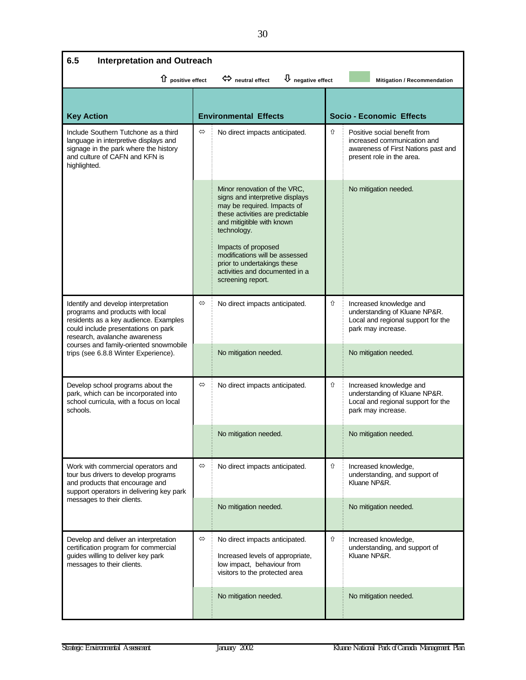| 6.5<br><b>Interpretation and Outreach</b>                                                                                                                                                |                   |                                                                                                                                                                                                                                                                                                                                |   |                                                                                                                                 |  |
|------------------------------------------------------------------------------------------------------------------------------------------------------------------------------------------|-------------------|--------------------------------------------------------------------------------------------------------------------------------------------------------------------------------------------------------------------------------------------------------------------------------------------------------------------------------|---|---------------------------------------------------------------------------------------------------------------------------------|--|
| $\overline{\Psi}$ negative effect<br>$\hat{u}$ positive effect<br>$\Leftrightarrow$ neutral effect<br>Mitigation / Recommendation                                                        |                   |                                                                                                                                                                                                                                                                                                                                |   |                                                                                                                                 |  |
|                                                                                                                                                                                          |                   |                                                                                                                                                                                                                                                                                                                                |   |                                                                                                                                 |  |
| <b>Key Action</b>                                                                                                                                                                        |                   | <b>Environmental Effects</b>                                                                                                                                                                                                                                                                                                   |   | <b>Socio - Economic Effects</b>                                                                                                 |  |
| Include Southern Tutchone as a third<br>language in interpretive displays and<br>signage in the park where the history<br>and culture of CAFN and KFN is<br>highlighted.                 | ⇔                 | No direct impacts anticipated.                                                                                                                                                                                                                                                                                                 | ⇧ | Positive social benefit from<br>increased communication and<br>awareness of First Nations past and<br>present role in the area. |  |
|                                                                                                                                                                                          |                   | Minor renovation of the VRC.<br>signs and interpretive displays<br>may be required. Impacts of<br>these activities are predictable<br>and mitigitible with known<br>technology.<br>Impacts of proposed<br>modifications will be assessed<br>prior to undertakings these<br>activities and documented in a<br>screening report. |   | No mitigation needed.                                                                                                           |  |
| Identify and develop interpretation<br>programs and products with local<br>residents as a key audience. Examples<br>could include presentations on park<br>research, avalanche awareness | $\Leftrightarrow$ | No direct impacts anticipated.                                                                                                                                                                                                                                                                                                 | ⇧ | Increased knowledge and<br>understanding of Kluane NP&R.<br>Local and regional support for the<br>park may increase.            |  |
| courses and family-oriented snowmobile<br>trips (see 6.8.8 Winter Experience).                                                                                                           |                   | No mitigation needed.                                                                                                                                                                                                                                                                                                          |   | No mitigation needed.                                                                                                           |  |
| Develop school programs about the<br>park, which can be incorporated into<br>school curricula, with a focus on local<br>schools.                                                         | $\Leftrightarrow$ | No direct impacts anticipated.                                                                                                                                                                                                                                                                                                 | ⇧ | Increased knowledge and<br>understanding of Kluane NP&R.<br>Local and regional support for the<br>park may increase.            |  |
|                                                                                                                                                                                          |                   | No mitigation needed.                                                                                                                                                                                                                                                                                                          |   | No mitigation needed.                                                                                                           |  |
| Work with commercial operators and<br>tour bus drivers to develop programs<br>and products that encourage and<br>support operators in delivering key park                                | $\Leftrightarrow$ | No direct impacts anticipated.                                                                                                                                                                                                                                                                                                 | ⇧ | Increased knowledge,<br>understanding, and support of<br>Kluane NP&R.                                                           |  |
| messages to their clients.                                                                                                                                                               |                   | No mitigation needed.                                                                                                                                                                                                                                                                                                          |   | No mitigation needed.                                                                                                           |  |
| Develop and deliver an interpretation<br>certification program for commercial<br>guides willing to deliver key park<br>messages to their clients.                                        | $\Leftrightarrow$ | No direct impacts anticipated.<br>Increased levels of appropriate,<br>low impact, behaviour from<br>visitors to the protected area                                                                                                                                                                                             | ⇧ | Increased knowledge,<br>understanding, and support of<br>Kluane NP&R.                                                           |  |
|                                                                                                                                                                                          |                   | No mitigation needed.                                                                                                                                                                                                                                                                                                          |   | No mitigation needed.                                                                                                           |  |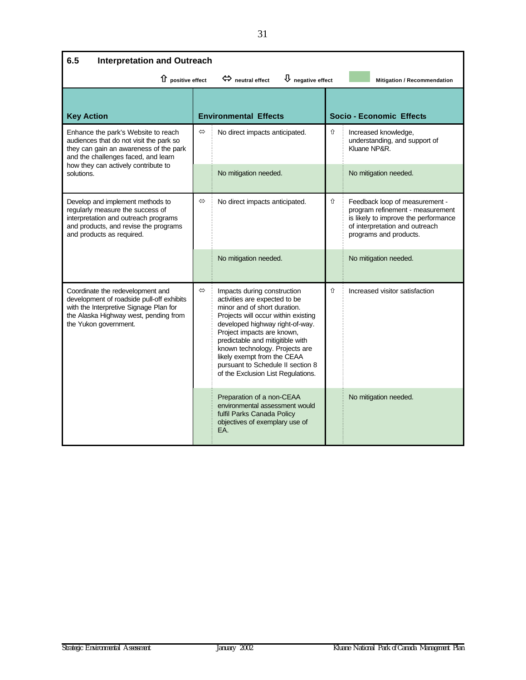| 6.5<br><b>Interpretation and Outreach</b>                                                                                                                                                 |                   |                                                                                                                                                                                                                                                                                                                                                                                      |   |                                                                                                                                                                        |  |
|-------------------------------------------------------------------------------------------------------------------------------------------------------------------------------------------|-------------------|--------------------------------------------------------------------------------------------------------------------------------------------------------------------------------------------------------------------------------------------------------------------------------------------------------------------------------------------------------------------------------------|---|------------------------------------------------------------------------------------------------------------------------------------------------------------------------|--|
| $\overline{\psi}$ negative effect<br>$\hat{u}$ positive effect<br>$\Leftrightarrow$ neutral effect<br>Mitigation / Recommendation                                                         |                   |                                                                                                                                                                                                                                                                                                                                                                                      |   |                                                                                                                                                                        |  |
| <b>Key Action</b>                                                                                                                                                                         |                   | <b>Environmental Effects</b>                                                                                                                                                                                                                                                                                                                                                         |   | <b>Socio - Economic Effects</b>                                                                                                                                        |  |
| Enhance the park's Website to reach<br>audiences that do not visit the park so<br>they can gain an awareness of the park<br>and the challenges faced, and learn                           | ⇔                 | No direct impacts anticipated.                                                                                                                                                                                                                                                                                                                                                       | ⇧ | Increased knowledge,<br>understanding, and support of<br>Kluane NP&R.                                                                                                  |  |
| how they can actively contribute to<br>solutions.                                                                                                                                         |                   | No mitigation needed.                                                                                                                                                                                                                                                                                                                                                                |   | No mitigation needed.                                                                                                                                                  |  |
| Develop and implement methods to<br>regularly measure the success of<br>interpretation and outreach programs<br>and products, and revise the programs<br>and products as required.        | $\Leftrightarrow$ | No direct impacts anticipated.                                                                                                                                                                                                                                                                                                                                                       | ⇧ | Feedback loop of measurement -<br>program refinement - measurement<br>is likely to improve the performance<br>of interpretation and outreach<br>programs and products. |  |
|                                                                                                                                                                                           |                   | No mitigation needed.                                                                                                                                                                                                                                                                                                                                                                |   | No mitigation needed.                                                                                                                                                  |  |
| Coordinate the redevelopment and<br>development of roadside pull-off exhibits<br>with the Interpretive Signage Plan for<br>the Alaska Highway west, pending from<br>the Yukon government. | $\Leftrightarrow$ | Impacts during construction<br>activities are expected to be<br>minor and of short duration.<br>Projects will occur within existing<br>developed highway right-of-way.<br>Project impacts are known,<br>predictable and mitigitible with<br>known technology. Projects are<br>likely exempt from the CEAA<br>pursuant to Schedule II section 8<br>of the Exclusion List Regulations. | 介 | Increased visitor satisfaction                                                                                                                                         |  |
|                                                                                                                                                                                           |                   | Preparation of a non-CEAA<br>environmental assessment would<br>fulfil Parks Canada Policy<br>objectives of exemplary use of<br>EA.                                                                                                                                                                                                                                                   |   | No mitigation needed.                                                                                                                                                  |  |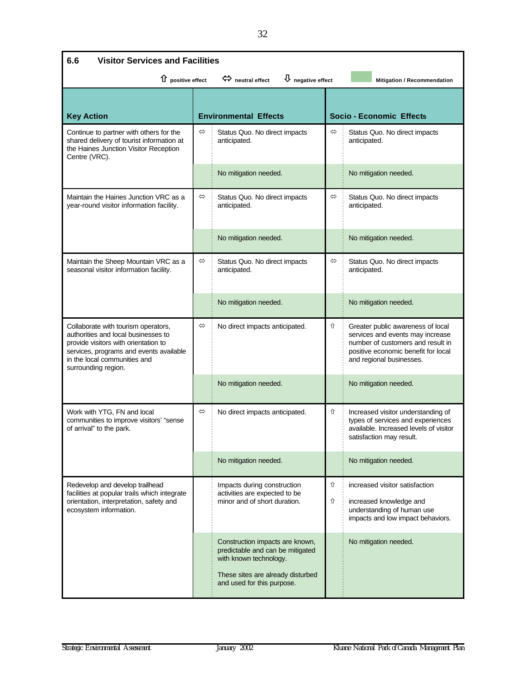| 6.6<br><b>Visitor Services and Facilities</b>                                                                                                                                                                        |                   |                                                                                                                                                                  |                   |                                                                                                                                                                               |
|----------------------------------------------------------------------------------------------------------------------------------------------------------------------------------------------------------------------|-------------------|------------------------------------------------------------------------------------------------------------------------------------------------------------------|-------------------|-------------------------------------------------------------------------------------------------------------------------------------------------------------------------------|
| 1 positive effect                                                                                                                                                                                                    |                   | $\bigcup$ negative effect<br>$\Leftrightarrow$ neutral effect                                                                                                    |                   | Mitigation / Recommendation                                                                                                                                                   |
|                                                                                                                                                                                                                      |                   |                                                                                                                                                                  |                   |                                                                                                                                                                               |
| <b>Key Action</b>                                                                                                                                                                                                    |                   | <b>Environmental Effects</b>                                                                                                                                     |                   | <b>Socio - Economic Effects</b>                                                                                                                                               |
| Continue to partner with others for the<br>shared delivery of tourist information at<br>the Haines Junction Visitor Reception<br>Centre (VRC).                                                                       | ⇔                 | Status Quo. No direct impacts<br>anticipated.                                                                                                                    | ⇔                 | Status Quo. No direct impacts<br>anticipated.                                                                                                                                 |
|                                                                                                                                                                                                                      |                   | No mitigation needed.                                                                                                                                            |                   | No mitigation needed.                                                                                                                                                         |
| Maintain the Haines Junction VRC as a<br>year-round visitor information facility.                                                                                                                                    | ⇔                 | Status Quo. No direct impacts<br>anticipated.                                                                                                                    | $\Leftrightarrow$ | Status Quo. No direct impacts<br>anticipated.                                                                                                                                 |
|                                                                                                                                                                                                                      |                   | No mitigation needed.                                                                                                                                            |                   | No mitigation needed.                                                                                                                                                         |
| Maintain the Sheep Mountain VRC as a<br>seasonal visitor information facility.                                                                                                                                       | $\Leftrightarrow$ | Status Quo. No direct impacts<br>anticipated.                                                                                                                    | ⇔                 | Status Quo. No direct impacts<br>anticipated.                                                                                                                                 |
|                                                                                                                                                                                                                      |                   | No mitigation needed.                                                                                                                                            |                   | No mitigation needed.                                                                                                                                                         |
| Collaborate with tourism operators,<br>authorities and local businesses to<br>provide visitors with orientation to<br>services, programs and events available<br>in the local communities and<br>surrounding region. | $\Leftrightarrow$ | No direct impacts anticipated.                                                                                                                                   | ⇧                 | Greater public awareness of local<br>services and events may increase<br>number of customers and result in<br>positive economic benefit for local<br>and regional businesses. |
|                                                                                                                                                                                                                      |                   | No mitigation needed.                                                                                                                                            |                   | No mitigation needed.                                                                                                                                                         |
| Work with YTG, FN and local<br>communities to improve visitors' "sense<br>of arrival" to the park.                                                                                                                   | $\Leftrightarrow$ | No direct impacts anticipated.                                                                                                                                   | ⇧                 | Increased visitor understanding of<br>types of services and experiences<br>available. Increased levels of visitor<br>satistaction may result.                                 |
|                                                                                                                                                                                                                      |                   | No mitigation needed.                                                                                                                                            |                   | No mitigation needed.                                                                                                                                                         |
| Redevelop and develop trailhead<br>facilities at popular trails which integrate<br>orientation, interpretation, safety and<br>ecosystem information.                                                                 |                   | Impacts during construction<br>activities are expected to be<br>minor and of short duration.                                                                     | ⇧<br>⇧            | increased visitor satisfaction<br>increased knowledge and<br>understanding of human use<br>impacts and low impact behaviors.                                                  |
|                                                                                                                                                                                                                      |                   | Construction impacts are known,<br>predictable and can be mitigated<br>with known technology.<br>These sites are already disturbed<br>and used for this purpose. |                   | No mitigation needed.                                                                                                                                                         |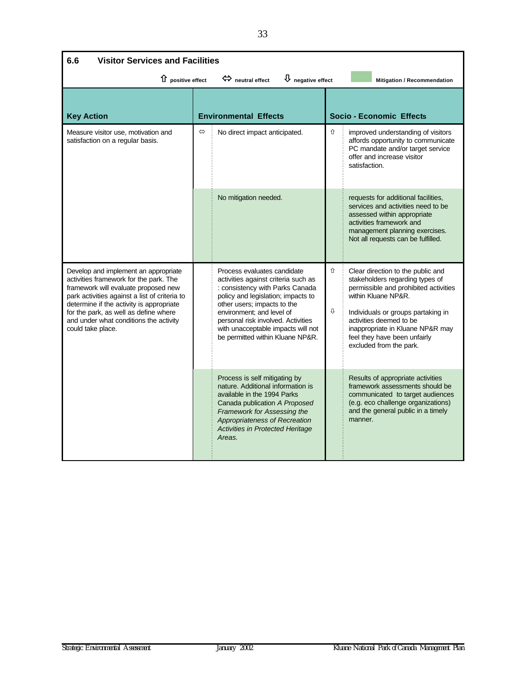| <b>Visitor Services and Facilities</b><br>6.6                                                                                                                                                                                                                                                                               |   |                                                                                                                                                                                                                                                                                                                         |        |                                                                                                                                                                                                                                                                                                      |
|-----------------------------------------------------------------------------------------------------------------------------------------------------------------------------------------------------------------------------------------------------------------------------------------------------------------------------|---|-------------------------------------------------------------------------------------------------------------------------------------------------------------------------------------------------------------------------------------------------------------------------------------------------------------------------|--------|------------------------------------------------------------------------------------------------------------------------------------------------------------------------------------------------------------------------------------------------------------------------------------------------------|
| 1 positive effect                                                                                                                                                                                                                                                                                                           |   | $\Leftrightarrow$ neutral effect<br>$\bigcup$ negative effect                                                                                                                                                                                                                                                           |        | <b>Mitigation / Recommendation</b>                                                                                                                                                                                                                                                                   |
| <b>Key Action</b>                                                                                                                                                                                                                                                                                                           |   | <b>Environmental Effects</b>                                                                                                                                                                                                                                                                                            |        | <b>Socio - Economic Effects</b>                                                                                                                                                                                                                                                                      |
| Measure visitor use, motivation and<br>satisfaction on a regular basis.                                                                                                                                                                                                                                                     | ⇔ | No direct impact anticipated.                                                                                                                                                                                                                                                                                           | ⇧      | improved understanding of visitors<br>affords opportunity to communicate<br>PC mandate and/or target service<br>offer and increase visitor<br>satisfaction.                                                                                                                                          |
|                                                                                                                                                                                                                                                                                                                             |   | No mitigation needed.                                                                                                                                                                                                                                                                                                   |        | requests for additional facilities,<br>services and activities need to be<br>assessed within appropriate<br>activities framework and<br>management planning exercises.<br>Not all requests can be fulfilled.                                                                                         |
| Develop and implement an appropriate<br>activities framework for the park. The<br>framework will evaluate proposed new<br>park activities against a list of criteria to<br>determine if the activity is appropriate<br>for the park, as well as define where<br>and under what conditions the activity<br>could take place. |   | Process evaluates candidate<br>activities against criteria such as<br>: consistency with Parks Canada<br>policy and legislation; impacts to<br>other users; impacts to the<br>environment; and level of<br>personal risk involved. Activities<br>with unacceptable impacts will not<br>be permitted within Kluane NP&R. | ⇧<br>⇕ | Clear direction to the public and<br>stakeholders regarding types of<br>permissible and prohibited activities<br>within Kluane NP&R.<br>Individuals or groups partaking in<br>activities deemed to be<br>inappropriate in Kluane NP&R may<br>feel they have been unfairly<br>excluded from the park. |
|                                                                                                                                                                                                                                                                                                                             |   | Process is self mitigating by<br>nature. Additional information is<br>available in the 1994 Parks<br>Canada publication A Proposed<br>Framework for Assessing the<br>Appropriateness of Recreation<br>Activities in Protected Heritage<br>Areas.                                                                        |        | Results of appropriate activities<br>framework assessments should be<br>communicated to target audiences<br>(e.g. eco challenge organizations)<br>and the general public in a timely<br>manner.                                                                                                      |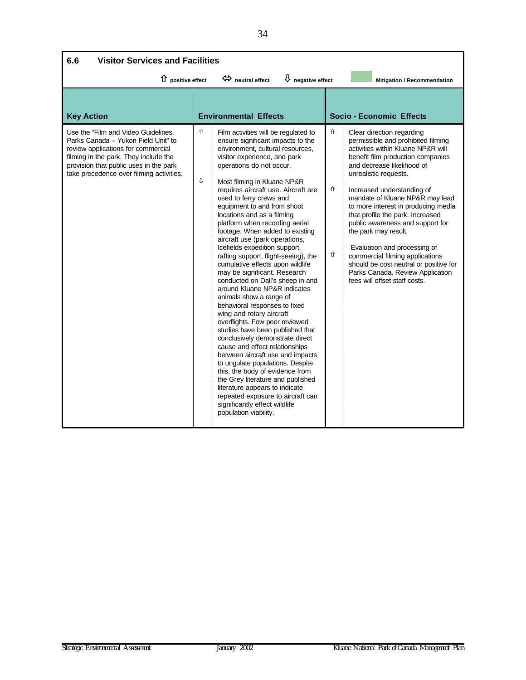| 6.6<br><b>Visitor Services and Facilities</b>                                                                                                                                                                                                   |        |                                                                                                                                                                                                                                                                                                                                                                                                                                                                                                                                                                                                                                                                                                                                                                                                                                                                                                                                                                                                                                                                                                                                                                                     |             |                                                                                                                                                                                                                                                                                                                                                                                                                                                                                                                                                                                             |
|-------------------------------------------------------------------------------------------------------------------------------------------------------------------------------------------------------------------------------------------------|--------|-------------------------------------------------------------------------------------------------------------------------------------------------------------------------------------------------------------------------------------------------------------------------------------------------------------------------------------------------------------------------------------------------------------------------------------------------------------------------------------------------------------------------------------------------------------------------------------------------------------------------------------------------------------------------------------------------------------------------------------------------------------------------------------------------------------------------------------------------------------------------------------------------------------------------------------------------------------------------------------------------------------------------------------------------------------------------------------------------------------------------------------------------------------------------------------|-------------|---------------------------------------------------------------------------------------------------------------------------------------------------------------------------------------------------------------------------------------------------------------------------------------------------------------------------------------------------------------------------------------------------------------------------------------------------------------------------------------------------------------------------------------------------------------------------------------------|
| ↑ positive effect                                                                                                                                                                                                                               |        | $\overline{\psi}$ negative effect<br>$\Leftrightarrow$ neutral effect                                                                                                                                                                                                                                                                                                                                                                                                                                                                                                                                                                                                                                                                                                                                                                                                                                                                                                                                                                                                                                                                                                               |             | Mitigation / Recommendation                                                                                                                                                                                                                                                                                                                                                                                                                                                                                                                                                                 |
| <b>Key Action</b>                                                                                                                                                                                                                               |        | <b>Environmental Effects</b>                                                                                                                                                                                                                                                                                                                                                                                                                                                                                                                                                                                                                                                                                                                                                                                                                                                                                                                                                                                                                                                                                                                                                        |             | Socio - Economic Effects                                                                                                                                                                                                                                                                                                                                                                                                                                                                                                                                                                    |
| Use the "Film and Video Guidelines,<br>Parks Canada - Yukon Field Unit" to<br>review applications for commercial<br>filming in the park. They include the<br>provision that public uses in the park<br>take precedence over filming activities. | ⇧<br>⇩ | Film activities will be regulated to<br>ensure significant impacts to the<br>environment, cultural resources,<br>visitor experience, and park<br>operations do not occur.<br>Most filming in Kluane NP&R<br>requires aircraft use. Aircraft are<br>used to ferry crews and<br>equipment to and from shoot<br>locations and as a filming<br>platform when recording aerial<br>footage. When added to existing<br>aircraft use (park operations,<br>Icefields expedition support,<br>rafting support, flight-seeing), the<br>cumulative effects upon wildlife<br>may be significant. Research<br>conducted on Dall's sheep in and<br>around Kluane NP&R indicates<br>animals show a range of<br>behavioral responses to fixed<br>wing and rotary aircraft<br>overflights. Few peer reviewed<br>studies have been published that<br>conclusively demonstrate direct<br>cause and effect relationships<br>between aircraft use and impacts<br>to ungulate populations. Despite<br>this, the body of evidence from<br>the Grey literature and published<br>literature appears to indicate<br>repeated exposure to aircraft can<br>significantly effect wildlife<br>population viability. | ⇧<br>⇧<br>⇧ | Clear direction regarding<br>permissible and prohibited filming<br>activities within Kluane NP&R will<br>benefit film production companies<br>and decrease likelihood of<br>unrealistic requests.<br>Increased understanding of<br>mandate of Kluane NP&R may lead<br>to more interest in producing media<br>that profile the park. Increased<br>public awareness and support for<br>the park may result.<br>Evaluation and processing of<br>commercial filming applications<br>should be cost neutral or positive for<br>Parks Canada. Review Application<br>fees will offset staff costs. |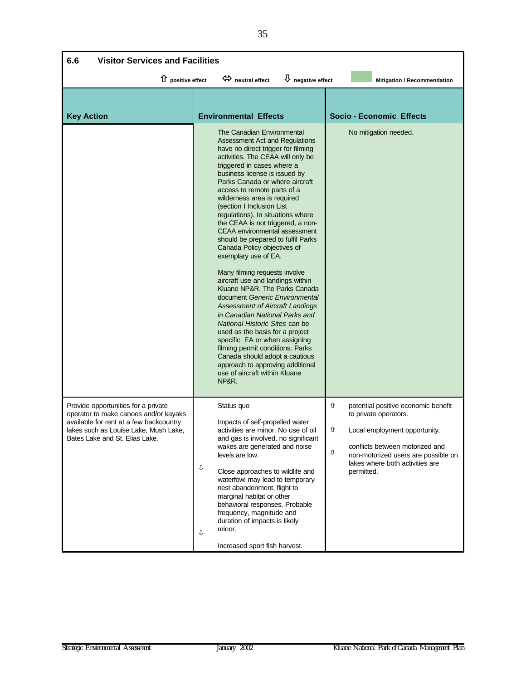| <b>Visitor Services and Facilities</b><br>6.6                                                                                                                                                      |                                                                                                                                                                                                                                                                                                                                                                                                                                                                                                                                                                                                                                                                                                                                                                                                                                                                                                                                                                                                                                  |                                                                                                                                                                                                                                         |  |  |  |
|----------------------------------------------------------------------------------------------------------------------------------------------------------------------------------------------------|----------------------------------------------------------------------------------------------------------------------------------------------------------------------------------------------------------------------------------------------------------------------------------------------------------------------------------------------------------------------------------------------------------------------------------------------------------------------------------------------------------------------------------------------------------------------------------------------------------------------------------------------------------------------------------------------------------------------------------------------------------------------------------------------------------------------------------------------------------------------------------------------------------------------------------------------------------------------------------------------------------------------------------|-----------------------------------------------------------------------------------------------------------------------------------------------------------------------------------------------------------------------------------------|--|--|--|
| $\hat{u}$ positive effect                                                                                                                                                                          | $\bigcup$ negative effect<br>$\Leftrightarrow$ neutral effect                                                                                                                                                                                                                                                                                                                                                                                                                                                                                                                                                                                                                                                                                                                                                                                                                                                                                                                                                                    | Mitigation / Recommendation                                                                                                                                                                                                             |  |  |  |
| <b>Key Action</b>                                                                                                                                                                                  | <b>Environmental Effects</b>                                                                                                                                                                                                                                                                                                                                                                                                                                                                                                                                                                                                                                                                                                                                                                                                                                                                                                                                                                                                     | <b>Socio - Economic Effects</b>                                                                                                                                                                                                         |  |  |  |
|                                                                                                                                                                                                    | The Canadian Environmental<br><b>Assessment Act and Regulations</b><br>have no direct trigger for filming<br>activities. The CEAA will only be<br>triggered in cases where a<br>business license is issued by<br>Parks Canada or where aircraft<br>access to remote parts of a<br>wilderness area is required<br>(section I Inclusion List<br>regulations). In situations where<br>the CEAA is not triggered, a non-<br>CEAA environmental assessment<br>should be prepared to fulfil Parks<br>Canada Policy objectives of<br>exemplary use of EA.<br>Many filming requests involve<br>aircraft use and landings within<br>Kluane NP&R. The Parks Canada<br>document Generic Environmental<br><b>Assessment of Aircraft Landings</b><br>in Canadian National Parks and<br>National Historic Sites can be<br>used as the basis for a project<br>specific EA or when assigning<br>filming permit conditions. Parks<br>Canada should adopt a cautious<br>approach to approving additional<br>use of aircraft within Kluane<br>NP&R. | No mitigation needed.                                                                                                                                                                                                                   |  |  |  |
| Provide opportunities for a private<br>operator to make canoes and/or kayaks<br>available for rent at a few backcountry<br>lakes such as Louise Lake, Mush Lake,<br>Bates Lake and St. Elias Lake. | Status quo<br>Impacts of self-propelled water<br>activities are minor. No use of oil<br>and gas is involved, no significant<br>wakes are generated and noise<br>levels are low.<br>⇩<br>Close approaches to wildlife and<br>waterfowl may lead to temporary<br>nest abandonment, flight to<br>marginal habitat or other<br>behavioral responses. Probable<br>frequency, magnitude and<br>duration of impacts is likely<br>minor.<br>⇩<br>Increased sport fish harvest.                                                                                                                                                                                                                                                                                                                                                                                                                                                                                                                                                           | ⇧<br>potential positive economic benefit<br>to private operators.<br>⇧<br>Local employment opportunity.<br>conflicts between motorized and<br>⇩<br>non-motorized users are possible on<br>lakes where both activities are<br>permitted. |  |  |  |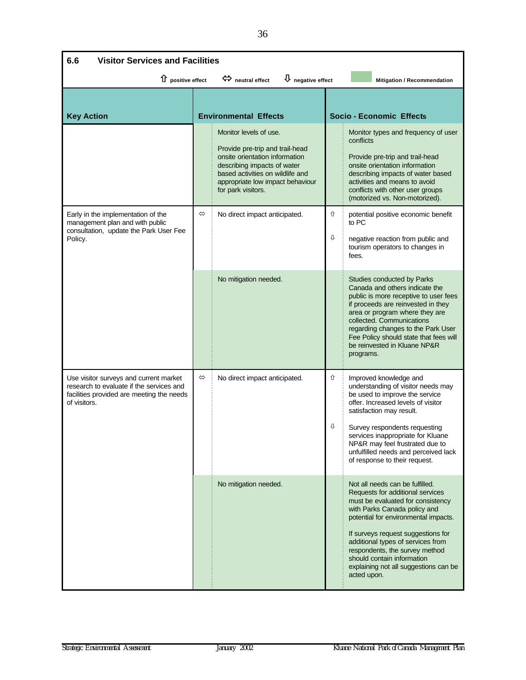| 6.6<br><b>Visitor Services and Facilities</b>                                                                                                   |                                                                                                                   |                                                                                                                                                                                                                          |        |                                                                                                                                                                                                                                                                                                                                                                                     |  |  |
|-------------------------------------------------------------------------------------------------------------------------------------------------|-------------------------------------------------------------------------------------------------------------------|--------------------------------------------------------------------------------------------------------------------------------------------------------------------------------------------------------------------------|--------|-------------------------------------------------------------------------------------------------------------------------------------------------------------------------------------------------------------------------------------------------------------------------------------------------------------------------------------------------------------------------------------|--|--|
|                                                                                                                                                 | 1 positive effect<br>$\bigcup$ negative effect<br>$\Leftrightarrow$ neutral effect<br>Mitigation / Recommendation |                                                                                                                                                                                                                          |        |                                                                                                                                                                                                                                                                                                                                                                                     |  |  |
| <b>Key Action</b>                                                                                                                               |                                                                                                                   | <b>Environmental Effects</b>                                                                                                                                                                                             |        | <b>Socio - Economic Effects</b>                                                                                                                                                                                                                                                                                                                                                     |  |  |
|                                                                                                                                                 |                                                                                                                   | Monitor levels of use.<br>Provide pre-trip and trail-head<br>onsite orientation information<br>describing impacts of water<br>based activities on wildlife and<br>appropriate low impact behaviour<br>for park visitors. |        | Monitor types and frequency of user<br>conflicts<br>Provide pre-trip and trail-head<br>onsite orientation information<br>describing impacts of water based<br>activities and means to avoid<br>conflicts with other user groups<br>(motorized vs. Non-motorized).                                                                                                                   |  |  |
| Early in the implementation of the<br>management plan and with public<br>consultation, update the Park User Fee<br>Policy.                      | $\Leftrightarrow$                                                                                                 | No direct impact anticipated.                                                                                                                                                                                            | 仚<br>⇩ | potential positive economic benefit<br>to PC<br>negative reaction from public and<br>tourism operators to changes in<br>fees.                                                                                                                                                                                                                                                       |  |  |
|                                                                                                                                                 |                                                                                                                   | No mitigation needed.                                                                                                                                                                                                    |        | Studies conducted by Parks<br>Canada and others indicate the<br>public is more receptive to user fees<br>if proceeds are reinvested in they<br>area or program where they are<br>collected. Communications<br>regarding changes to the Park User<br>Fee Policy should state that fees will<br>be reinvested in Kluane NP&R<br>programs.                                             |  |  |
| Use visitor surveys and current market<br>research to evaluate if the services and<br>facilities provided are meeting the needs<br>of visitors. | $\Leftrightarrow$                                                                                                 | No direct impact anticipated.                                                                                                                                                                                            | ⇧<br>⇩ | Improved knowledge and<br>understanding of visitor needs may<br>be used to improve the service<br>offer. Increased levels of visitor<br>satisfaction may result.<br>Survey respondents requesting<br>services inappropriate for Kluane<br>NP&R may feel frustrated due to<br>unfulfilled needs and perceived lack<br>of response to their request.                                  |  |  |
|                                                                                                                                                 |                                                                                                                   | No mitigation needed.                                                                                                                                                                                                    |        | Not all needs can be fulfilled.<br>Requests for additional services<br>must be evaluated for consistency<br>with Parks Canada policy and<br>potential for environmental impacts.<br>If surveys request suggestions for<br>additional types of services from<br>respondents, the survey method<br>should contain information<br>explaining not all suggestions can be<br>acted upon. |  |  |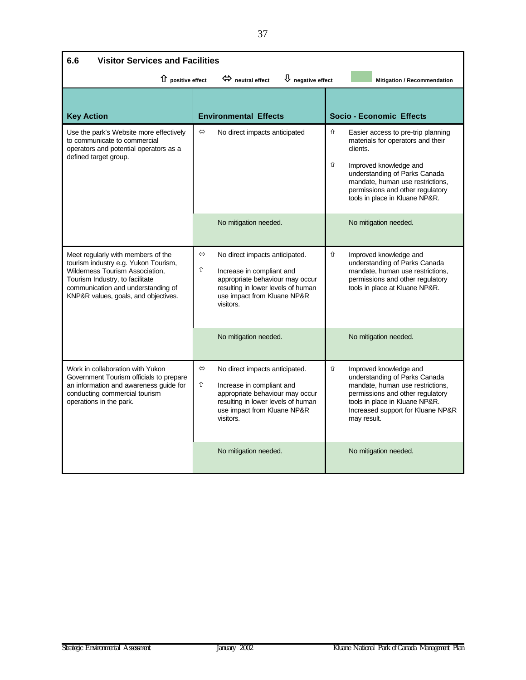| <b>Visitor Services and Facilities</b><br>6.6                                                                                                                                                                                  |                                                                                            |                                                                                                                                                                                  |        |                                                                                                                                                                                                                                                          |  |
|--------------------------------------------------------------------------------------------------------------------------------------------------------------------------------------------------------------------------------|--------------------------------------------------------------------------------------------|----------------------------------------------------------------------------------------------------------------------------------------------------------------------------------|--------|----------------------------------------------------------------------------------------------------------------------------------------------------------------------------------------------------------------------------------------------------------|--|
|                                                                                                                                                                                                                                | $\overline{\psi}$ negative effect<br>1 positive effect<br>$\Leftrightarrow$ neutral effect |                                                                                                                                                                                  |        |                                                                                                                                                                                                                                                          |  |
| <b>Key Action</b>                                                                                                                                                                                                              |                                                                                            | <b>Environmental Effects</b>                                                                                                                                                     |        | <b>Socio - Economic Effects</b>                                                                                                                                                                                                                          |  |
| Use the park's Website more effectively<br>to communicate to commercial<br>operators and potential operators as a<br>defined target group.                                                                                     | $\Leftrightarrow$                                                                          | No direct impacts anticipated                                                                                                                                                    | ⇧<br>⇧ | Easier access to pre-trip planning<br>materials for operators and their<br>clients.<br>Improved knowledge and<br>understanding of Parks Canada<br>mandate, human use restrictions,<br>permissions and other regulatory<br>tools in place in Kluane NP&R. |  |
|                                                                                                                                                                                                                                |                                                                                            | No mitigation needed.                                                                                                                                                            |        | No mitigation needed.                                                                                                                                                                                                                                    |  |
| Meet regularly with members of the<br>tourism industry e.g. Yukon Tourism,<br>Wilderness Tourism Association,<br>Tourism Industry, to facilitate<br>communication and understanding of<br>KNP&R values, goals, and objectives. | $\Leftrightarrow$<br>⇧                                                                     | No direct impacts anticipated.<br>Increase in compliant and<br>appropriate behaviour may occur<br>resulting in lower levels of human<br>use impact from Kluane NP&R<br>visitors. | ⇧      | Improved knowledge and<br>understanding of Parks Canada<br>mandate, human use restrictions,<br>permissions and other regulatory<br>tools in place at Kluane NP&R.                                                                                        |  |
|                                                                                                                                                                                                                                |                                                                                            | No mitigation needed.                                                                                                                                                            |        | No mitigation needed.                                                                                                                                                                                                                                    |  |
| Work in collaboration with Yukon<br>Government Tourism officials to prepare<br>an information and awareness guide for<br>conducting commercial tourism<br>operations in the park.                                              | $\Leftrightarrow$<br>⇧                                                                     | No direct impacts anticipated.<br>Increase in compliant and<br>appropriate behaviour may occur<br>resulting in lower levels of human<br>use impact from Kluane NP&R<br>visitors. | ⇧      | Improved knowledge and<br>understanding of Parks Canada<br>mandate, human use restrictions,<br>permissions and other regulatory<br>tools in place in Kluane NP&R.<br>Increased support for Kluane NP&R<br>may result.                                    |  |
|                                                                                                                                                                                                                                |                                                                                            | No mitigation needed.                                                                                                                                                            |        | No mitigation needed.                                                                                                                                                                                                                                    |  |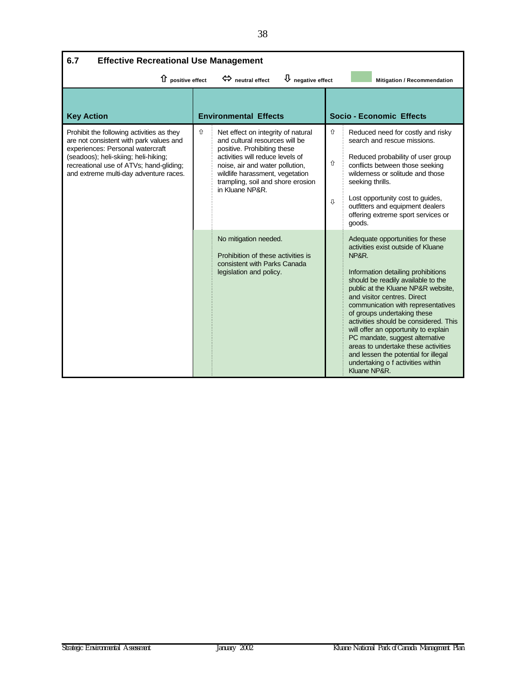| 6.7<br><b>Effective Recreational Use Management</b>                                                                                                                                                                                                   |   |                                                                                                                                                                                                                                                                       |             |                                                                                                                                                                                                                                                                                                                                                                                                                                                                                                                                                               |  |  |
|-------------------------------------------------------------------------------------------------------------------------------------------------------------------------------------------------------------------------------------------------------|---|-----------------------------------------------------------------------------------------------------------------------------------------------------------------------------------------------------------------------------------------------------------------------|-------------|---------------------------------------------------------------------------------------------------------------------------------------------------------------------------------------------------------------------------------------------------------------------------------------------------------------------------------------------------------------------------------------------------------------------------------------------------------------------------------------------------------------------------------------------------------------|--|--|
| $\overline{\psi}$ negative effect<br>$\hat{u}$ positive effect<br>$\Leftrightarrow$ neutral effect<br><b>Mitigation / Recommendation</b>                                                                                                              |   |                                                                                                                                                                                                                                                                       |             |                                                                                                                                                                                                                                                                                                                                                                                                                                                                                                                                                               |  |  |
| <b>Key Action</b>                                                                                                                                                                                                                                     |   | <b>Environmental Effects</b>                                                                                                                                                                                                                                          |             | Socio - Economic Effects                                                                                                                                                                                                                                                                                                                                                                                                                                                                                                                                      |  |  |
| Prohibit the following activities as they<br>are not consistent with park values and<br>experiences: Personal watercraft<br>(seadoos); heli-skiing; heli-hiking;<br>recreational use of ATVs; hand-gliding;<br>and extreme multi-day adventure races. | ⇧ | Net effect on integrity of natural<br>and cultural resources will be<br>positive. Prohibiting these<br>activities will reduce levels of<br>noise, air and water pollution,<br>wildlife harassment, vegetation<br>trampling, soil and shore erosion<br>in Kluane NP&R. | ⇧<br>⇧<br>⇩ | Reduced need for costly and risky<br>search and rescue missions.<br>Reduced probability of user group<br>conflicts between those seeking<br>wilderness or solitude and those<br>seeking thrills.<br>Lost opportunity cost to guides,<br>outfitters and equipment dealers<br>offering extreme sport services or<br>goods.                                                                                                                                                                                                                                      |  |  |
|                                                                                                                                                                                                                                                       |   | No mitigation needed.<br>Prohibition of these activities is<br>consistent with Parks Canada<br>legislation and policy.                                                                                                                                                |             | Adequate opportunities for these<br>activities exist outside of Kluane<br>NP&R.<br>Information detailing prohibitions<br>should be readily available to the<br>public at the Kluane NP&R website,<br>and visitor centres. Direct<br>communication with representatives<br>of groups undertaking these<br>activities should be considered. This<br>will offer an opportunity to explain<br>PC mandate, suggest alternative<br>areas to undertake these activities<br>and lessen the potential for illegal<br>undertaking o f activities within<br>Kluane NP&R. |  |  |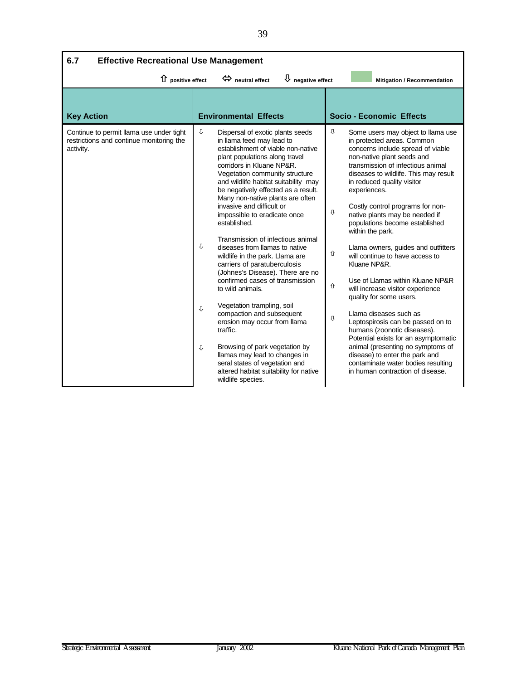| 6.7<br><b>Effective Recreational Use Management</b>                                               |                   |                                                                                                                                                                                                                                                                                                                                                                                                                                                                                                                                                                                                                                                                                                                                                                                                                                                                                                                      |                       |                                                                                                                                                                                                                                                                                                                                                                                                                                                                                                                                                                                                                                                                                                                                                                                                                                                                                 |  |  |
|---------------------------------------------------------------------------------------------------|-------------------|----------------------------------------------------------------------------------------------------------------------------------------------------------------------------------------------------------------------------------------------------------------------------------------------------------------------------------------------------------------------------------------------------------------------------------------------------------------------------------------------------------------------------------------------------------------------------------------------------------------------------------------------------------------------------------------------------------------------------------------------------------------------------------------------------------------------------------------------------------------------------------------------------------------------|-----------------------|---------------------------------------------------------------------------------------------------------------------------------------------------------------------------------------------------------------------------------------------------------------------------------------------------------------------------------------------------------------------------------------------------------------------------------------------------------------------------------------------------------------------------------------------------------------------------------------------------------------------------------------------------------------------------------------------------------------------------------------------------------------------------------------------------------------------------------------------------------------------------------|--|--|
| 1 positive effect                                                                                 |                   | $\bigcup$ negative effect<br>$\Leftrightarrow$ neutral effect                                                                                                                                                                                                                                                                                                                                                                                                                                                                                                                                                                                                                                                                                                                                                                                                                                                        |                       | Mitigation / Recommendation                                                                                                                                                                                                                                                                                                                                                                                                                                                                                                                                                                                                                                                                                                                                                                                                                                                     |  |  |
| <b>Key Action</b>                                                                                 |                   | <b>Environmental Effects</b>                                                                                                                                                                                                                                                                                                                                                                                                                                                                                                                                                                                                                                                                                                                                                                                                                                                                                         |                       | <b>Socio - Economic Effects</b>                                                                                                                                                                                                                                                                                                                                                                                                                                                                                                                                                                                                                                                                                                                                                                                                                                                 |  |  |
| Continue to permit llama use under tight<br>restrictions and continue monitoring the<br>activity. | ⇩<br>⇩<br>ſ,<br>⇩ | Dispersal of exotic plants seeds<br>in llama feed may lead to<br>establishment of viable non-native<br>plant populations along travel<br>corridors in Kluane NP&R.<br>Vegetation community structure<br>and wildlife habitat suitability may<br>be negatively effected as a result.<br>Many non-native plants are often<br>invasive and difficult or<br>impossible to eradicate once<br>established.<br>Transmission of infectious animal<br>diseases from llamas to native<br>wildlife in the park. Llama are<br>carriers of paratuberculosis<br>(Johnes's Disease). There are no<br>confirmed cases of transmission<br>to wild animals.<br>Vegetation trampling, soil<br>compaction and subsequent<br>erosion may occur from llama<br>traffic.<br>Browsing of park vegetation by<br>llamas may lead to changes in<br>seral states of vegetation and<br>altered habitat suitability for native<br>wildlife species. | ⇩<br>⊕<br>⇧<br>介<br>⇩ | Some users may object to llama use<br>in protected areas. Common<br>concerns include spread of viable<br>non-native plant seeds and<br>transmission of infectious animal<br>diseases to wildlife. This may result<br>in reduced quality visitor<br>experiences.<br>Costly control programs for non-<br>native plants may be needed if<br>populations become established<br>within the park.<br>Llama owners, guides and outfitters<br>will continue to have access to<br>Kluane NP&R.<br>Use of Llamas within Kluane NP&R<br>will increase visitor experience<br>quality for some users.<br>Llama diseases such as<br>Leptospirosis can be passed on to<br>humans (zoonotic diseases).<br>Potential exists for an asymptomatic<br>animal (presenting no symptoms of<br>disease) to enter the park and<br>contaminate water bodies resulting<br>in human contraction of disease. |  |  |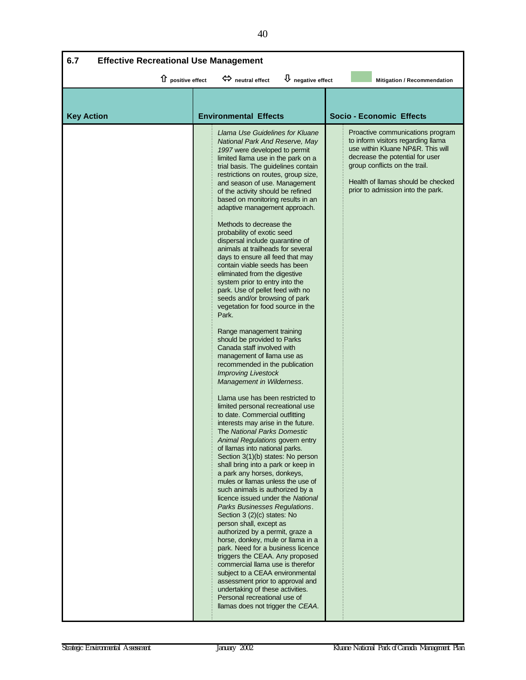| $\overline{\mathsf{U}}$ negative effect<br>1 positive effect<br>meutral effect<br>Mitigation / Recommendation<br><b>Environmental Effects</b><br><b>Socio - Economic Effects</b><br><b>Key Action</b><br>Llama Use Guidelines for Kluane<br>Proactive communications program<br>to inform visitors regarding Ilama<br>National Park And Reserve, May<br>use within Kluane NP&R. This will<br>1997 were developed to permit<br>decrease the potential for user<br>limited llama use in the park on a<br>group conflicts on the trail.<br>trial basis. The guidelines contain<br>restrictions on routes, group size,<br>Health of Ilamas should be checked<br>and season of use. Management<br>prior to admission into the park.<br>of the activity should be refined<br>based on monitoring results in an<br>adaptive management approach.<br>Methods to decrease the<br>probability of exotic seed<br>dispersal include quarantine of<br>animals at trailheads for several<br>days to ensure all feed that may<br>contain viable seeds has been<br>eliminated from the digestive<br>system prior to entry into the<br>park. Use of pellet feed with no<br>seeds and/or browsing of park<br>vegetation for food source in the<br>Park.<br>Range management training<br>should be provided to Parks<br>Canada staff involved with<br>management of llama use as<br>recommended in the publication<br><b>Improving Livestock</b><br>Management in Wilderness.<br>Llama use has been restricted to<br>limited personal recreational use<br>to date. Commercial outfitting<br>interests may arise in the future.<br>The National Parks Domestic<br>Animal Regulations govern entry<br>of llamas into national parks.<br>Section 3(1)(b) states: No person<br>shall bring into a park or keep in<br>a park any horses, donkeys,<br>mules or llamas unless the use of<br>such animals is authorized by a<br>licence issued under the National<br>Parks Businesses Regulations.<br>Section 3 (2)(c) states: No<br>person shall, except as<br>authorized by a permit, graze a<br>horse, donkey, mule or llama in a<br>park. Need for a business licence<br>triggers the CEAA. Any proposed<br>commercial llama use is therefor<br>subject to a CEAA environmental<br>assessment prior to approval and<br>undertaking of these activities.<br>Personal recreational use of | 6.7<br><b>Effective Recreational Use Management</b> |                                   |  |  |  |  |  |
|------------------------------------------------------------------------------------------------------------------------------------------------------------------------------------------------------------------------------------------------------------------------------------------------------------------------------------------------------------------------------------------------------------------------------------------------------------------------------------------------------------------------------------------------------------------------------------------------------------------------------------------------------------------------------------------------------------------------------------------------------------------------------------------------------------------------------------------------------------------------------------------------------------------------------------------------------------------------------------------------------------------------------------------------------------------------------------------------------------------------------------------------------------------------------------------------------------------------------------------------------------------------------------------------------------------------------------------------------------------------------------------------------------------------------------------------------------------------------------------------------------------------------------------------------------------------------------------------------------------------------------------------------------------------------------------------------------------------------------------------------------------------------------------------------------------------------------------------------------------------------------------------------------------------------------------------------------------------------------------------------------------------------------------------------------------------------------------------------------------------------------------------------------------------------------------------------------------------------------------------------------------------------------------------------------------------------------------------------------------|-----------------------------------------------------|-----------------------------------|--|--|--|--|--|
|                                                                                                                                                                                                                                                                                                                                                                                                                                                                                                                                                                                                                                                                                                                                                                                                                                                                                                                                                                                                                                                                                                                                                                                                                                                                                                                                                                                                                                                                                                                                                                                                                                                                                                                                                                                                                                                                                                                                                                                                                                                                                                                                                                                                                                                                                                                                                                  |                                                     |                                   |  |  |  |  |  |
|                                                                                                                                                                                                                                                                                                                                                                                                                                                                                                                                                                                                                                                                                                                                                                                                                                                                                                                                                                                                                                                                                                                                                                                                                                                                                                                                                                                                                                                                                                                                                                                                                                                                                                                                                                                                                                                                                                                                                                                                                                                                                                                                                                                                                                                                                                                                                                  |                                                     |                                   |  |  |  |  |  |
|                                                                                                                                                                                                                                                                                                                                                                                                                                                                                                                                                                                                                                                                                                                                                                                                                                                                                                                                                                                                                                                                                                                                                                                                                                                                                                                                                                                                                                                                                                                                                                                                                                                                                                                                                                                                                                                                                                                                                                                                                                                                                                                                                                                                                                                                                                                                                                  |                                                     |                                   |  |  |  |  |  |
|                                                                                                                                                                                                                                                                                                                                                                                                                                                                                                                                                                                                                                                                                                                                                                                                                                                                                                                                                                                                                                                                                                                                                                                                                                                                                                                                                                                                                                                                                                                                                                                                                                                                                                                                                                                                                                                                                                                                                                                                                                                                                                                                                                                                                                                                                                                                                                  |                                                     | llamas does not trigger the CEAA. |  |  |  |  |  |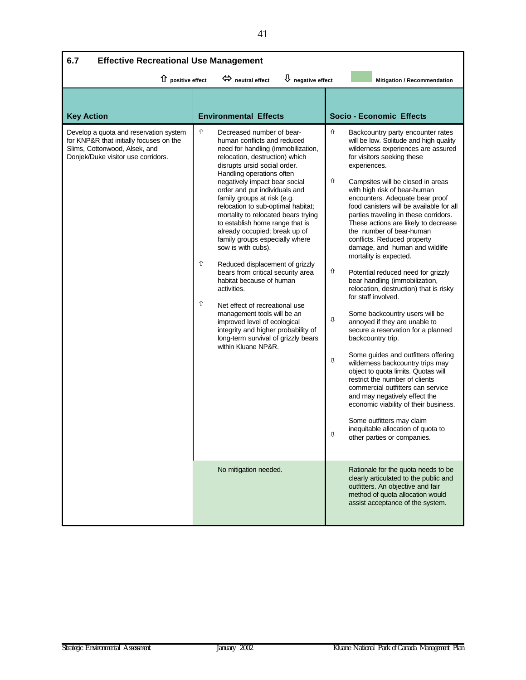| 6.7<br><b>Effective Recreational Use Management</b>                                                                                                      |             |                                                                                                                                                                                                                                                                                                                                                                                                                                                                                                                                                                                                                                                                                                                                                                                                                                  |                            |                                                                                                                                                                                                                                                                                                                                                                                                                                                                                                                                                                                                                                                                                                                                                                                                                                                                                                                                                                                                                                                                                                                                                                         |  |  |
|----------------------------------------------------------------------------------------------------------------------------------------------------------|-------------|----------------------------------------------------------------------------------------------------------------------------------------------------------------------------------------------------------------------------------------------------------------------------------------------------------------------------------------------------------------------------------------------------------------------------------------------------------------------------------------------------------------------------------------------------------------------------------------------------------------------------------------------------------------------------------------------------------------------------------------------------------------------------------------------------------------------------------|----------------------------|-------------------------------------------------------------------------------------------------------------------------------------------------------------------------------------------------------------------------------------------------------------------------------------------------------------------------------------------------------------------------------------------------------------------------------------------------------------------------------------------------------------------------------------------------------------------------------------------------------------------------------------------------------------------------------------------------------------------------------------------------------------------------------------------------------------------------------------------------------------------------------------------------------------------------------------------------------------------------------------------------------------------------------------------------------------------------------------------------------------------------------------------------------------------------|--|--|
| 1 positive effect                                                                                                                                        |             | $\overline{\psi}$ negative effect<br>heutral effect                                                                                                                                                                                                                                                                                                                                                                                                                                                                                                                                                                                                                                                                                                                                                                              |                            | Mitigation / Recommendation                                                                                                                                                                                                                                                                                                                                                                                                                                                                                                                                                                                                                                                                                                                                                                                                                                                                                                                                                                                                                                                                                                                                             |  |  |
| <b>Key Action</b>                                                                                                                                        |             | <b>Environmental Effects</b>                                                                                                                                                                                                                                                                                                                                                                                                                                                                                                                                                                                                                                                                                                                                                                                                     |                            | <b>Socio - Economic Effects</b>                                                                                                                                                                                                                                                                                                                                                                                                                                                                                                                                                                                                                                                                                                                                                                                                                                                                                                                                                                                                                                                                                                                                         |  |  |
| Develop a quota and reservation system<br>for KNP&R that initially focuses on the<br>Slims, Cottonwood, Alsek, and<br>Donjek/Duke visitor use corridors. | ⇧<br>⇧<br>⇧ | Decreased number of bear-<br>human conflicts and reduced<br>need for handling (immobilization,<br>relocation, destruction) which<br>disrupts ursid social order.<br>Handling operations often<br>negatively impact bear social<br>order and put individuals and<br>family groups at risk (e.g.<br>relocation to sub-optimal habitat;<br>mortality to relocated bears trying<br>to establish home range that is<br>already occupied; break up of<br>family groups especially where<br>sow is with cubs).<br>Reduced displacement of grizzly<br>bears from critical security area<br>habitat because of human<br>activities.<br>Net effect of recreational use<br>management tools will be an<br>improved level of ecological<br>integrity and higher probability of<br>long-term survival of grizzly bears<br>within Kluane NP&R. | ⇧<br>⇧<br>⇧<br>⇩<br>⇩<br>Л | Backcountry party encounter rates<br>will be low. Solitude and high quality<br>wilderness experiences are assured<br>for visitors seeking these<br>experiences.<br>Campsites will be closed in areas<br>with high risk of bear-human<br>encounters. Adequate bear proof<br>food canisters will be available for all<br>parties traveling in these corridors.<br>These actions are likely to decrease<br>the number of bear-human<br>conflicts. Reduced property<br>damage, and human and wildlife<br>mortality is expected.<br>Potential reduced need for grizzly<br>bear handling (immobilization,<br>relocation, destruction) that is risky<br>for staff involved.<br>Some backcountry users will be<br>annoyed if they are unable to<br>secure a reservation for a planned<br>backcountry trip.<br>Some guides and outfitters offering<br>wilderness backcountry trips may<br>object to quota limits. Quotas will<br>restrict the number of clients<br>commercial outfitters can service<br>and may negatively effect the<br>economic viability of their business.<br>Some outfitters may claim<br>inequitable allocation of quota to<br>other parties or companies. |  |  |
|                                                                                                                                                          |             | No mitigation needed.                                                                                                                                                                                                                                                                                                                                                                                                                                                                                                                                                                                                                                                                                                                                                                                                            |                            | Rationale for the quota needs to be<br>clearly articulated to the public and<br>outfitters. An objective and fair<br>method of quota allocation would<br>assist acceptance of the system.                                                                                                                                                                                                                                                                                                                                                                                                                                                                                                                                                                                                                                                                                                                                                                                                                                                                                                                                                                               |  |  |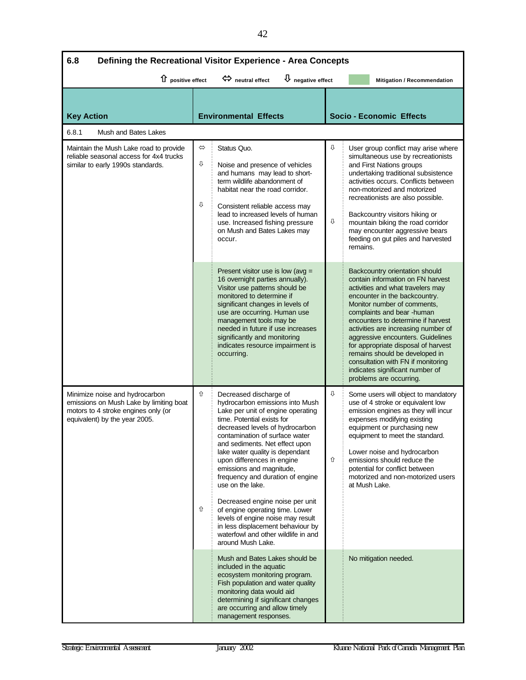| 6.8<br>Defining the Recreational Visitor Experience - Area Concepts                                                                               |                                                                                                                                 |                                                                                                                                                                                                                                                                                                                                                                                                                                                                                                                                                                                                      |                         |                                                                                                                                                                                                                                                                                                                                                                                                                                                                                                       |  |  |  |
|---------------------------------------------------------------------------------------------------------------------------------------------------|---------------------------------------------------------------------------------------------------------------------------------|------------------------------------------------------------------------------------------------------------------------------------------------------------------------------------------------------------------------------------------------------------------------------------------------------------------------------------------------------------------------------------------------------------------------------------------------------------------------------------------------------------------------------------------------------------------------------------------------------|-------------------------|-------------------------------------------------------------------------------------------------------------------------------------------------------------------------------------------------------------------------------------------------------------------------------------------------------------------------------------------------------------------------------------------------------------------------------------------------------------------------------------------------------|--|--|--|
|                                                                                                                                                   | $\overline{\mathsf{U}}$ negative effect<br>1 positive effect<br>$\Leftrightarrow$ neutral effect<br>Mitigation / Recommendation |                                                                                                                                                                                                                                                                                                                                                                                                                                                                                                                                                                                                      |                         |                                                                                                                                                                                                                                                                                                                                                                                                                                                                                                       |  |  |  |
|                                                                                                                                                   |                                                                                                                                 |                                                                                                                                                                                                                                                                                                                                                                                                                                                                                                                                                                                                      |                         |                                                                                                                                                                                                                                                                                                                                                                                                                                                                                                       |  |  |  |
| <b>Key Action</b>                                                                                                                                 |                                                                                                                                 | <b>Environmental Effects</b>                                                                                                                                                                                                                                                                                                                                                                                                                                                                                                                                                                         |                         | <b>Socio - Economic Effects</b>                                                                                                                                                                                                                                                                                                                                                                                                                                                                       |  |  |  |
| 6.8.1<br>Mush and Bates Lakes                                                                                                                     |                                                                                                                                 |                                                                                                                                                                                                                                                                                                                                                                                                                                                                                                                                                                                                      |                         |                                                                                                                                                                                                                                                                                                                                                                                                                                                                                                       |  |  |  |
| Maintain the Mush Lake road to provide<br>reliable seasonal access for 4x4 trucks<br>similar to early 1990s standards.                            | $\Leftrightarrow$<br>⇩<br>⇩                                                                                                     | Status Quo.<br>Noise and presence of vehicles<br>and humans may lead to short-<br>term wildlife abandonment of<br>habitat near the road corridor.<br>Consistent reliable access may<br>lead to increased levels of human<br>use. Increased fishing pressure<br>on Mush and Bates Lakes may<br>occur.                                                                                                                                                                                                                                                                                                 | ⇩<br>⇩                  | User group conflict may arise where<br>simultaneous use by recreationists<br>and First Nations groups<br>undertaking traditional subsistence<br>activities occurs. Conflicts between<br>non-motorized and motorized<br>recreationists are also possible.<br>Backcountry visitors hiking or<br>mountain biking the road corridor<br>may encounter aggressive bears<br>feeding on gut piles and harvested<br>remains.                                                                                   |  |  |  |
|                                                                                                                                                   |                                                                                                                                 | Present visitor use is low (avg =<br>16 overnight parties annually).<br>Visitor use patterns should be<br>monitored to determine if<br>significant changes in levels of<br>use are occurring. Human use<br>management tools may be<br>needed in future if use increases<br>significantly and monitoring<br>indicates resource impairment is<br>occurring.                                                                                                                                                                                                                                            |                         | Backcountry orientation should<br>contain information on FN harvest<br>activities and what travelers may<br>encounter in the backcountry.<br>Monitor number of comments,<br>complaints and bear -human<br>encounters to determine if harvest<br>activities are increasing number of<br>aggressive encounters. Guidelines<br>for appropriate disposal of harvest<br>remains should be developed in<br>consultation with FN if monitoring<br>indicates significant number of<br>problems are occurring. |  |  |  |
| Minimize noise and hydrocarbon<br>emissions on Mush Lake by limiting boat<br>motors to 4 stroke engines only (or<br>equivalent) by the year 2005. | ⇧<br>⇧                                                                                                                          | Decreased discharge of<br>hydrocarbon emissions into Mush<br>Lake per unit of engine operating<br>time. Potential exists for<br>decreased levels of hydrocarbon<br>contamination of surface water<br>and sediments. Net effect upon<br>lake water quality is dependant<br>upon differences in engine<br>emissions and magnitude,<br>frequency and duration of engine<br>use on the lake.<br>Decreased engine noise per unit<br>of engine operating time. Lower<br>levels of engine noise may result<br>in less displacement behaviour by<br>waterfowl and other wildlife in and<br>around Mush Lake. | ⇩<br>$\hat{\mathbb{U}}$ | Some users will object to mandatory<br>use of 4 stroke or equivalent low<br>emission engines as they will incur<br>expenses modifying existing<br>equipment or purchasing new<br>equipment to meet the standard.<br>Lower noise and hydrocarbon<br>emissions should reduce the<br>potential for conflict between<br>motorized and non-motorized users<br>at Mush Lake.                                                                                                                                |  |  |  |
|                                                                                                                                                   |                                                                                                                                 | Mush and Bates Lakes should be<br>included in the aquatic<br>ecosystem monitoring program.<br>Fish population and water quality<br>monitoring data would aid<br>determining if significant changes<br>are occurring and allow timely<br>management responses.                                                                                                                                                                                                                                                                                                                                        |                         | No mitigation needed.                                                                                                                                                                                                                                                                                                                                                                                                                                                                                 |  |  |  |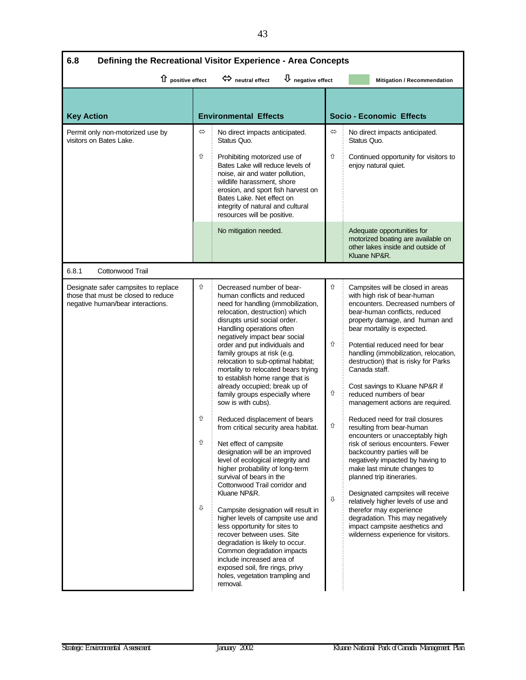| 6.8<br>Defining the Recreational Visitor Experience - Area Concepts                                              |                                                                                                                   |                                                                                                                                                                                                                                                                                                                                                                                                                                                                                                                                                                                                                                                                                                                                                                                                                                                                                                                                                                                                                                                                                                                               |                       |                                                                                                                                                                                                                                                                                                                                                                                                                                                                                                                                                                                                                                                                                                                                                                                                                                                                                                                                          |  |
|------------------------------------------------------------------------------------------------------------------|-------------------------------------------------------------------------------------------------------------------|-------------------------------------------------------------------------------------------------------------------------------------------------------------------------------------------------------------------------------------------------------------------------------------------------------------------------------------------------------------------------------------------------------------------------------------------------------------------------------------------------------------------------------------------------------------------------------------------------------------------------------------------------------------------------------------------------------------------------------------------------------------------------------------------------------------------------------------------------------------------------------------------------------------------------------------------------------------------------------------------------------------------------------------------------------------------------------------------------------------------------------|-----------------------|------------------------------------------------------------------------------------------------------------------------------------------------------------------------------------------------------------------------------------------------------------------------------------------------------------------------------------------------------------------------------------------------------------------------------------------------------------------------------------------------------------------------------------------------------------------------------------------------------------------------------------------------------------------------------------------------------------------------------------------------------------------------------------------------------------------------------------------------------------------------------------------------------------------------------------------|--|
|                                                                                                                  | $\bigcup$ negative effect<br>1 positive effect<br>$\Leftrightarrow$ neutral effect<br>Mitigation / Recommendation |                                                                                                                                                                                                                                                                                                                                                                                                                                                                                                                                                                                                                                                                                                                                                                                                                                                                                                                                                                                                                                                                                                                               |                       |                                                                                                                                                                                                                                                                                                                                                                                                                                                                                                                                                                                                                                                                                                                                                                                                                                                                                                                                          |  |
| <b>Key Action</b>                                                                                                |                                                                                                                   | <b>Environmental Effects</b>                                                                                                                                                                                                                                                                                                                                                                                                                                                                                                                                                                                                                                                                                                                                                                                                                                                                                                                                                                                                                                                                                                  |                       | <b>Socio - Economic Effects</b>                                                                                                                                                                                                                                                                                                                                                                                                                                                                                                                                                                                                                                                                                                                                                                                                                                                                                                          |  |
| Permit only non-motorized use by<br>visitors on Bates Lake.                                                      | $\Leftrightarrow$<br>⇧                                                                                            | No direct impacts anticipated.<br>Status Quo.<br>Prohibiting motorized use of<br>Bates Lake will reduce levels of<br>noise, air and water pollution,<br>wildlife harassment, shore<br>erosion, and sport fish harvest on<br>Bates Lake. Net effect on<br>integrity of natural and cultural<br>resources will be positive.                                                                                                                                                                                                                                                                                                                                                                                                                                                                                                                                                                                                                                                                                                                                                                                                     | ⇔<br>⇧                | No direct impacts anticipated.<br>Status Quo.<br>Continued opportunity for visitors to<br>enjoy natural quiet.                                                                                                                                                                                                                                                                                                                                                                                                                                                                                                                                                                                                                                                                                                                                                                                                                           |  |
|                                                                                                                  |                                                                                                                   | No mitigation needed.                                                                                                                                                                                                                                                                                                                                                                                                                                                                                                                                                                                                                                                                                                                                                                                                                                                                                                                                                                                                                                                                                                         |                       | Adequate opportunities for<br>motorized boating are available on<br>other lakes inside and outside of<br>Kluane NP&R.                                                                                                                                                                                                                                                                                                                                                                                                                                                                                                                                                                                                                                                                                                                                                                                                                    |  |
| 6.8.1<br>Cottonwood Trail                                                                                        |                                                                                                                   |                                                                                                                                                                                                                                                                                                                                                                                                                                                                                                                                                                                                                                                                                                                                                                                                                                                                                                                                                                                                                                                                                                                               |                       |                                                                                                                                                                                                                                                                                                                                                                                                                                                                                                                                                                                                                                                                                                                                                                                                                                                                                                                                          |  |
| Designate safer campsites to replace<br>those that must be closed to reduce<br>negative human/bear interactions. | ⇧<br>⇧<br>⇧<br>⇩                                                                                                  | Decreased number of bear-<br>human conflicts and reduced<br>need for handling (immobilization,<br>relocation, destruction) which<br>disrupts ursid social order.<br>Handling operations often<br>negatively impact bear social<br>order and put individuals and<br>family groups at risk (e.g.<br>relocation to sub-optimal habitat;<br>mortality to relocated bears trying<br>to establish home range that is<br>already occupied; break up of<br>family groups especially where<br>sow is with cubs).<br>Reduced displacement of bears<br>from critical security area habitat.<br>Net effect of campsite<br>designation will be an improved<br>level of ecological integrity and<br>higher probability of long-term<br>survival of bears in the<br>Cottonwood Trail corridor and<br>Kluane NP&R.<br>Campsite designation will result in<br>higher levels of campsite use and<br>less opportunity for sites to<br>recover between uses. Site<br>degradation is likely to occur.<br>Common degradation impacts<br>include increased area of<br>exposed soil, fire rings, privy<br>holes, vegetation trampling and<br>removal. | ⇧<br>⇧<br>⇧<br>⇧<br>⇩ | Campsites will be closed in areas<br>with high risk of bear-human<br>encounters. Decreased numbers of<br>bear-human conflicts, reduced<br>property damage, and human and<br>bear mortality is expected.<br>Potential reduced need for bear<br>handling (immobilization, relocation,<br>destruction) that is risky for Parks<br>Canada staff.<br>Cost savings to Kluane NP&R if<br>reduced numbers of bear<br>management actions are required.<br>Reduced need for trail closures<br>resulting from bear-human<br>encounters or unacceptably high<br>risk of serious encounters. Fewer<br>backcountry parties will be<br>negatively impacted by having to<br>make last minute changes to<br>planned trip itineraries.<br>Designated campsites will receive<br>relatively higher levels of use and<br>therefor may experience<br>degradation. This may negatively<br>impact campsite aesthetics and<br>wilderness experience for visitors. |  |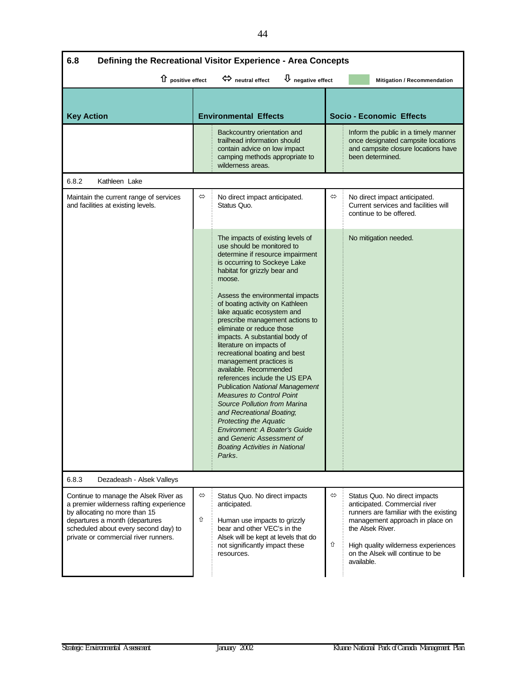| 6.8<br>Defining the Recreational Visitor Experience - Area Concepts                                                                                                                                                                 |                                                                                                                                                                                                                                                                                                                                                                                                                                                                                                                                                                                                                                                                                                                                                                                                                                      |                                                                                                                                                                                                                                                                    |  |  |
|-------------------------------------------------------------------------------------------------------------------------------------------------------------------------------------------------------------------------------------|--------------------------------------------------------------------------------------------------------------------------------------------------------------------------------------------------------------------------------------------------------------------------------------------------------------------------------------------------------------------------------------------------------------------------------------------------------------------------------------------------------------------------------------------------------------------------------------------------------------------------------------------------------------------------------------------------------------------------------------------------------------------------------------------------------------------------------------|--------------------------------------------------------------------------------------------------------------------------------------------------------------------------------------------------------------------------------------------------------------------|--|--|
| 1 positive effect                                                                                                                                                                                                                   | $\overline{\mathbf{\mathsf{U}}}$ negative effect<br>$\Leftrightarrow$ neutral effect                                                                                                                                                                                                                                                                                                                                                                                                                                                                                                                                                                                                                                                                                                                                                 | Mitigation / Recommendation                                                                                                                                                                                                                                        |  |  |
| <b>Key Action</b>                                                                                                                                                                                                                   | <b>Environmental Effects</b>                                                                                                                                                                                                                                                                                                                                                                                                                                                                                                                                                                                                                                                                                                                                                                                                         | <b>Socio - Economic Effects</b>                                                                                                                                                                                                                                    |  |  |
|                                                                                                                                                                                                                                     | Backcountry orientation and<br>trailhead information should<br>contain advice on low impact<br>camping methods appropriate to<br>wilderness areas.                                                                                                                                                                                                                                                                                                                                                                                                                                                                                                                                                                                                                                                                                   | Inform the public in a timely manner<br>once designated campsite locations<br>and campsite closure locations have<br>been determined.                                                                                                                              |  |  |
| 6.8.2<br>Kathleen Lake                                                                                                                                                                                                              |                                                                                                                                                                                                                                                                                                                                                                                                                                                                                                                                                                                                                                                                                                                                                                                                                                      |                                                                                                                                                                                                                                                                    |  |  |
| Maintain the current range of services<br>and facilities at existing levels.                                                                                                                                                        | ⇔<br>No direct impact anticipated.<br>Status Quo.                                                                                                                                                                                                                                                                                                                                                                                                                                                                                                                                                                                                                                                                                                                                                                                    | ⇔<br>No direct impact anticipated.<br>Current services and facilities will<br>continue to be offered.                                                                                                                                                              |  |  |
|                                                                                                                                                                                                                                     | The impacts of existing levels of<br>use should be monitored to<br>determine if resource impairment<br>is occurring to Sockeye Lake<br>habitat for grizzly bear and<br>moose.<br>Assess the environmental impacts<br>of boating activity on Kathleen<br>lake aquatic ecosystem and<br>prescribe management actions to<br>eliminate or reduce those<br>impacts. A substantial body of<br>literature on impacts of<br>recreational boating and best<br>management practices is<br>available. Recommended<br>references include the US EPA<br><b>Publication National Management</b><br><b>Measures to Control Point</b><br>Source Pollution from Marina<br>and Recreational Boating,<br><b>Protecting the Aquatic</b><br>Environment: A Boater's Guide<br>and Generic Assessment of<br><b>Boating Activities in National</b><br>Parks. | No mitigation needed.                                                                                                                                                                                                                                              |  |  |
| 6.8.3<br>Dezadeash - Alsek Valleys                                                                                                                                                                                                  |                                                                                                                                                                                                                                                                                                                                                                                                                                                                                                                                                                                                                                                                                                                                                                                                                                      |                                                                                                                                                                                                                                                                    |  |  |
| Continue to manage the Alsek River as<br>a premier wilderness rafting experience<br>by allocating no more than 15<br>departures a month (departures<br>scheduled about every second day) to<br>private or commercial river runners. | ⇔<br>Status Quo. No direct impacts<br>anticipated.<br>⇧<br>Human use impacts to grizzly<br>bear and other VEC's in the<br>Alsek will be kept at levels that do<br>not significantly impact these<br>resources.                                                                                                                                                                                                                                                                                                                                                                                                                                                                                                                                                                                                                       | ⇔<br>Status Quo. No direct impacts<br>anticipated. Commercial river<br>runners are familiar with the existing<br>management approach in place on<br>the Alsek River.<br>⇧<br>High quality wilderness experiences<br>on the Alsek will continue to be<br>available. |  |  |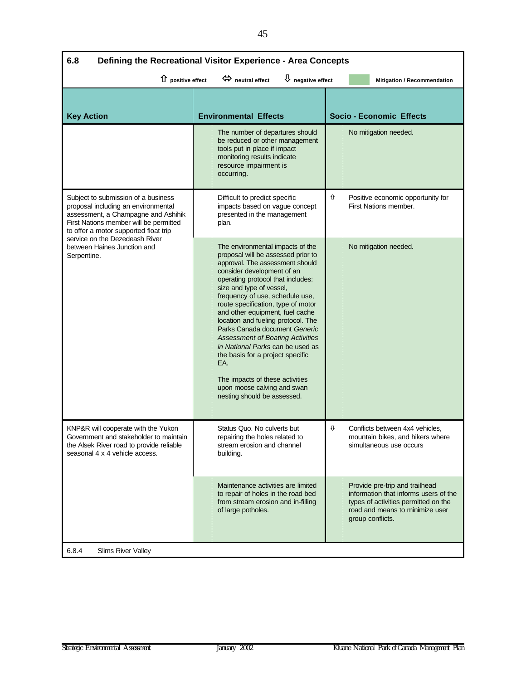| 6.8<br>Defining the Recreational Visitor Experience - Area Concepts                                                                                                                                  |                                                                                                                                                                                                                                                                                                                                                                                                                                                                                                                                                                                                                        |                                                                                                                                                                        |  |  |  |  |
|------------------------------------------------------------------------------------------------------------------------------------------------------------------------------------------------------|------------------------------------------------------------------------------------------------------------------------------------------------------------------------------------------------------------------------------------------------------------------------------------------------------------------------------------------------------------------------------------------------------------------------------------------------------------------------------------------------------------------------------------------------------------------------------------------------------------------------|------------------------------------------------------------------------------------------------------------------------------------------------------------------------|--|--|--|--|
|                                                                                                                                                                                                      | $\overline{\psi}$ negative effect<br>$\hat{u}$ positive effect<br>heutral effect<br>Mitigation / Recommendation                                                                                                                                                                                                                                                                                                                                                                                                                                                                                                        |                                                                                                                                                                        |  |  |  |  |
| <b>Key Action</b>                                                                                                                                                                                    | <b>Environmental Effects</b>                                                                                                                                                                                                                                                                                                                                                                                                                                                                                                                                                                                           | <b>Socio - Economic Effects</b>                                                                                                                                        |  |  |  |  |
|                                                                                                                                                                                                      | The number of departures should<br>be reduced or other management<br>tools put in place if impact<br>monitoring results indicate<br>resource impairment is<br>occurring.                                                                                                                                                                                                                                                                                                                                                                                                                                               | No mitigation needed.                                                                                                                                                  |  |  |  |  |
| Subject to submission of a business<br>proposal including an environmental<br>assessment, a Champagne and Ashihik<br>First Nations member will be permitted<br>to offer a motor supported float trip | Difficult to predict specific<br>impacts based on vague concept<br>presented in the management<br>plan.                                                                                                                                                                                                                                                                                                                                                                                                                                                                                                                | ⇧<br>Positive economic opportunity for<br>First Nations member.                                                                                                        |  |  |  |  |
| service on the Dezedeash River<br>between Haines Junction and<br>Serpentine.                                                                                                                         | The environmental impacts of the<br>proposal will be assessed prior to<br>approval. The assessment should<br>consider development of an<br>operating protocol that includes:<br>size and type of vessel,<br>frequency of use, schedule use,<br>route specification, type of motor<br>and other equipment, fuel cache<br>location and fueling protocol. The<br>Parks Canada document Generic<br><b>Assessment of Boating Activities</b><br>in National Parks can be used as<br>the basis for a project specific<br>EA.<br>The impacts of these activities<br>upon moose calving and swan<br>nesting should be assessed. | No mitigation needed.                                                                                                                                                  |  |  |  |  |
| KNP&R will cooperate with the Yukon<br>Government and stakeholder to maintain<br>the Alsek River road to provide reliable<br>seasonal 4 x 4 vehicle access.                                          | Status Quo. No culverts but<br>repairing the holes related to<br>stream erosion and channel<br>buildina.                                                                                                                                                                                                                                                                                                                                                                                                                                                                                                               | ⇩<br>Conflicts between 4x4 vehicles,<br>mountain bikes, and hikers where<br>simultaneous use occurs                                                                    |  |  |  |  |
|                                                                                                                                                                                                      | Maintenance activities are limited<br>to repair of holes in the road bed<br>from stream erosion and in-filling<br>of large potholes.                                                                                                                                                                                                                                                                                                                                                                                                                                                                                   | Provide pre-trip and trailhead<br>information that informs users of the<br>types of activities permitted on the<br>road and means to minimize user<br>group conflicts. |  |  |  |  |
| 6.8.4<br>Slims River Valley                                                                                                                                                                          |                                                                                                                                                                                                                                                                                                                                                                                                                                                                                                                                                                                                                        |                                                                                                                                                                        |  |  |  |  |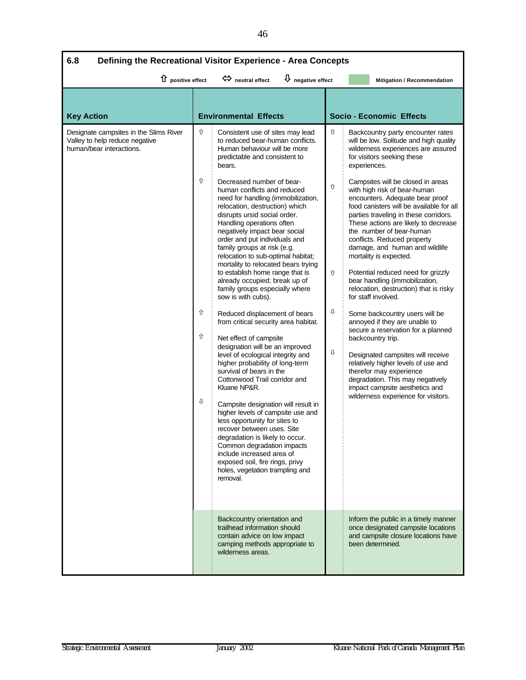| 6.8<br>Defining the Recreational Visitor Experience - Area Concepts                                  |                                                                                                                                                                                                                                                                                                                                                                                                                                                                                                                                                                                                                                                                                                                                                                                                                                                                                                                                                                                                                                                                                                                                                                                                                                                                                                           |                                                                                                                                                                                                                                                                                                                                                                                                                                                                                                                                                                                                                                                                                                                                                                                                                                                                                                                                                                                                                                                 |  |  |  |
|------------------------------------------------------------------------------------------------------|-----------------------------------------------------------------------------------------------------------------------------------------------------------------------------------------------------------------------------------------------------------------------------------------------------------------------------------------------------------------------------------------------------------------------------------------------------------------------------------------------------------------------------------------------------------------------------------------------------------------------------------------------------------------------------------------------------------------------------------------------------------------------------------------------------------------------------------------------------------------------------------------------------------------------------------------------------------------------------------------------------------------------------------------------------------------------------------------------------------------------------------------------------------------------------------------------------------------------------------------------------------------------------------------------------------|-------------------------------------------------------------------------------------------------------------------------------------------------------------------------------------------------------------------------------------------------------------------------------------------------------------------------------------------------------------------------------------------------------------------------------------------------------------------------------------------------------------------------------------------------------------------------------------------------------------------------------------------------------------------------------------------------------------------------------------------------------------------------------------------------------------------------------------------------------------------------------------------------------------------------------------------------------------------------------------------------------------------------------------------------|--|--|--|
| $\hat{u}$ positive effect                                                                            | $\overline{\mathsf{U}}$ negative effect<br>$\Leftrightarrow$ neutral effect                                                                                                                                                                                                                                                                                                                                                                                                                                                                                                                                                                                                                                                                                                                                                                                                                                                                                                                                                                                                                                                                                                                                                                                                                               | Mitigation / Recommendation                                                                                                                                                                                                                                                                                                                                                                                                                                                                                                                                                                                                                                                                                                                                                                                                                                                                                                                                                                                                                     |  |  |  |
| <b>Key Action</b>                                                                                    | <b>Environmental Effects</b>                                                                                                                                                                                                                                                                                                                                                                                                                                                                                                                                                                                                                                                                                                                                                                                                                                                                                                                                                                                                                                                                                                                                                                                                                                                                              | <b>Socio - Economic Effects</b>                                                                                                                                                                                                                                                                                                                                                                                                                                                                                                                                                                                                                                                                                                                                                                                                                                                                                                                                                                                                                 |  |  |  |
| Designate campsites in the Slims River<br>Valley to help reduce negative<br>human/bear interactions. | ⇧<br>Consistent use of sites may lead<br>to reduced bear-human conflicts.<br>Human behaviour will be more<br>predictable and consistent to<br>bears.<br>⇧<br>Decreased number of bear-<br>human conflicts and reduced<br>need for handling (immobilization,<br>relocation, destruction) which<br>disrupts ursid social order.<br>Handling operations often<br>negatively impact bear social<br>order and put individuals and<br>family groups at risk (e.g.<br>relocation to sub-optimal habitat;<br>mortality to relocated bears trying<br>to establish home range that is<br>already occupied; break up of<br>family groups especially where<br>sow is with cubs).<br>⇧<br>Reduced displacement of bears<br>from critical security area habitat.<br>⇧<br>Net effect of campsite<br>designation will be an improved<br>level of ecological integrity and<br>higher probability of long-term<br>survival of bears in the<br>Cottonwood Trail corridor and<br>Kluane NP&R.<br>⇩<br>Campsite designation will result in<br>higher levels of campsite use and<br>less opportunity for sites to<br>recover between uses. Site<br>degradation is likely to occur.<br>Common degradation impacts<br>include increased area of<br>exposed soil, fire rings, privy<br>holes, vegetation trampling and<br>removal. | ⇧<br>Backcountry party encounter rates<br>will be low. Solitude and high quality<br>wilderness experiences are assured<br>for visitors seeking these<br>experiences.<br>Campsites will be closed in areas<br>⇧<br>with high risk of bear-human<br>encounters. Adequate bear proof<br>food canisters will be available for all<br>parties traveling in these corridors.<br>These actions are likely to decrease<br>the number of bear-human<br>conflicts. Reduced property<br>damage, and human and wildlife<br>mortality is expected.<br>Potential reduced need for grizzly<br>⇧<br>bear handling (immobilization,<br>relocation, destruction) that is risky<br>for staff involved.<br>⇩<br>Some backcountry users will be<br>annoyed if they are unable to<br>secure a reservation for a planned<br>backcountry trip.<br>⇩<br>Designated campsites will receive<br>relatively higher levels of use and<br>therefor may experience<br>degradation. This may negatively<br>impact campsite aesthetics and<br>wilderness experience for visitors. |  |  |  |
|                                                                                                      | Backcountry orientation and<br>trailhead information should<br>contain advice on low impact<br>camping methods appropriate to<br>wilderness areas.                                                                                                                                                                                                                                                                                                                                                                                                                                                                                                                                                                                                                                                                                                                                                                                                                                                                                                                                                                                                                                                                                                                                                        | Inform the public in a timely manner<br>once designated campsite locations<br>and campsite closure locations have<br>been determined.                                                                                                                                                                                                                                                                                                                                                                                                                                                                                                                                                                                                                                                                                                                                                                                                                                                                                                           |  |  |  |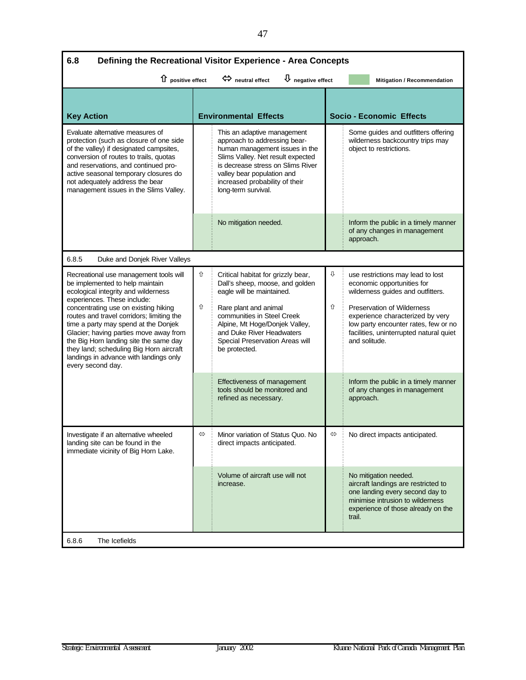| 6.8<br>Defining the Recreational Visitor Experience - Area Concepts                                                                                                                                                                                                                                                                                                                                                                                                        |        |                                                                                                                                                                                                                                                                              |        |                                                                                                                                                                                                                                                                                   |  |
|----------------------------------------------------------------------------------------------------------------------------------------------------------------------------------------------------------------------------------------------------------------------------------------------------------------------------------------------------------------------------------------------------------------------------------------------------------------------------|--------|------------------------------------------------------------------------------------------------------------------------------------------------------------------------------------------------------------------------------------------------------------------------------|--------|-----------------------------------------------------------------------------------------------------------------------------------------------------------------------------------------------------------------------------------------------------------------------------------|--|
| 1 positive effect                                                                                                                                                                                                                                                                                                                                                                                                                                                          |        | $\bigcup$ negative effect<br>$\Leftrightarrow$ neutral effect                                                                                                                                                                                                                |        | Mitigation / Recommendation                                                                                                                                                                                                                                                       |  |
| <b>Key Action</b>                                                                                                                                                                                                                                                                                                                                                                                                                                                          |        | <b>Environmental Effects</b>                                                                                                                                                                                                                                                 |        | <b>Socio - Economic Effects</b>                                                                                                                                                                                                                                                   |  |
| Evaluate alternative measures of<br>protection (such as closure of one side<br>of the valley) if designated campsites,<br>conversion of routes to trails, quotas<br>and reservations, and continued pro-<br>active seasonal temporary closures do<br>not adequately address the bear<br>management issues in the Slims Valley.                                                                                                                                             |        | This an adaptive management<br>approach to addressing bear-<br>human management issues in the<br>Slims Valley. Net result expected<br>is decrease stress on Slims River<br>valley bear population and<br>increased probability of their<br>long-term survival.               |        | Some guides and outfitters offering<br>wilderness backcountry trips may<br>object to restrictions.                                                                                                                                                                                |  |
|                                                                                                                                                                                                                                                                                                                                                                                                                                                                            |        | No mitigation needed.                                                                                                                                                                                                                                                        |        | Inform the public in a timely manner<br>of any changes in management<br>approach.                                                                                                                                                                                                 |  |
| 6.8.5<br>Duke and Donjek River Valleys                                                                                                                                                                                                                                                                                                                                                                                                                                     |        |                                                                                                                                                                                                                                                                              |        |                                                                                                                                                                                                                                                                                   |  |
| Recreational use management tools will<br>be implemented to help maintain<br>ecological integrity and wilderness<br>experiences. These include:<br>concentrating use on existing hiking<br>routes and travel corridors; limiting the<br>time a party may spend at the Donjek<br>Glacier; having parties move away from<br>the Big Horn landing site the same day<br>they land; scheduling Big Horn aircraft<br>landings in advance with landings only<br>every second day. | ⇧<br>⇧ | Critical habitat for grizzly bear,<br>Dall's sheep, moose, and golden<br>eagle will be maintained.<br>Rare plant and animal<br>communities in Steel Creek<br>Alpine, Mt Hoge/Donjek Valley,<br>and Duke River Headwaters<br>Special Preservation Areas will<br>be protected. | ⇩<br>⇧ | use restrictions may lead to lost<br>economic opportunities for<br>wilderness guides and outfitters.<br><b>Preservation of Wilderness</b><br>experience characterized by very<br>low party encounter rates, few or no<br>facilities, uninterrupted natural quiet<br>and solitude. |  |
|                                                                                                                                                                                                                                                                                                                                                                                                                                                                            |        | Effectiveness of management<br>tools should be monitored and<br>refined as necessary.                                                                                                                                                                                        |        | Inform the public in a timely manner<br>of any changes in management<br>approach.                                                                                                                                                                                                 |  |
| Investigate if an alternative wheeled<br>landing site can be found in the<br>immediate vicinity of Big Horn Lake.                                                                                                                                                                                                                                                                                                                                                          | ⇔      | Minor variation of Status Quo. No<br>direct impacts anticipated.                                                                                                                                                                                                             | ⇔      | No direct impacts anticipated.                                                                                                                                                                                                                                                    |  |
|                                                                                                                                                                                                                                                                                                                                                                                                                                                                            |        | Volume of aircraft use will not<br>increase.                                                                                                                                                                                                                                 |        | No mitigation needed.<br>aircraft landings are restricted to<br>one landing every second day to<br>minimise intrusion to wilderness<br>experience of those already on the<br>trail.                                                                                               |  |
| 6.8.6<br>The Icefields                                                                                                                                                                                                                                                                                                                                                                                                                                                     |        |                                                                                                                                                                                                                                                                              |        |                                                                                                                                                                                                                                                                                   |  |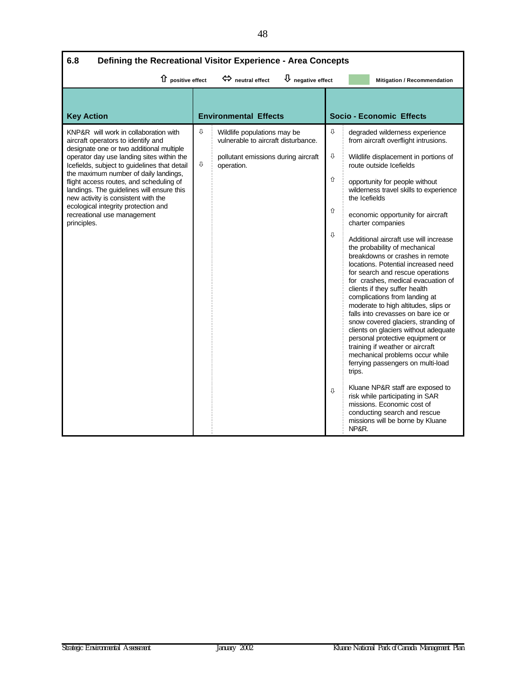| 6.8<br>Defining the Recreational Visitor Experience - Area Concepts                                                                                                                                                                                                                                                                                                                                                                                                               |        |                                                                                                                         |                            |                                                                                                                                                                                                                                                                                                                                                                                                                                                                                                                                                                                                                                                                                                                                                                                                                                                                                                                                                                                                                                                                                                           |  |
|-----------------------------------------------------------------------------------------------------------------------------------------------------------------------------------------------------------------------------------------------------------------------------------------------------------------------------------------------------------------------------------------------------------------------------------------------------------------------------------|--------|-------------------------------------------------------------------------------------------------------------------------|----------------------------|-----------------------------------------------------------------------------------------------------------------------------------------------------------------------------------------------------------------------------------------------------------------------------------------------------------------------------------------------------------------------------------------------------------------------------------------------------------------------------------------------------------------------------------------------------------------------------------------------------------------------------------------------------------------------------------------------------------------------------------------------------------------------------------------------------------------------------------------------------------------------------------------------------------------------------------------------------------------------------------------------------------------------------------------------------------------------------------------------------------|--|
| 1 positive effect                                                                                                                                                                                                                                                                                                                                                                                                                                                                 |        | $\overline{\mathsf{U}}$ negative effect<br>$\Leftrightarrow$ neutral effect                                             |                            | Mitigation / Recommendation                                                                                                                                                                                                                                                                                                                                                                                                                                                                                                                                                                                                                                                                                                                                                                                                                                                                                                                                                                                                                                                                               |  |
| <b>Key Action</b>                                                                                                                                                                                                                                                                                                                                                                                                                                                                 |        | <b>Environmental Effects</b>                                                                                            |                            | <b>Socio - Economic Effects</b>                                                                                                                                                                                                                                                                                                                                                                                                                                                                                                                                                                                                                                                                                                                                                                                                                                                                                                                                                                                                                                                                           |  |
| KNP&R will work in collaboration with<br>aircraft operators to identify and<br>designate one or two additional multiple<br>operator day use landing sites within the<br>Icefields, subject to guidelines that detail<br>the maximum number of daily landings,<br>flight access routes, and scheduling of<br>landings. The guidelines will ensure this<br>new activity is consistent with the<br>ecological integrity protection and<br>recreational use management<br>principles. | ⇩<br>⇩ | Wildlife populations may be<br>vulnerable to aircraft disturbance.<br>pollutant emissions during aircraft<br>operation. | ⇩<br>⇕<br>⇧<br>介<br>⇩<br>⇩ | degraded wilderness experience<br>from aircraft overflight intrusions.<br>Wildlife displacement in portions of<br>route outside Icefields<br>opportunity for people without<br>wilderness travel skills to experience<br>the Icefields<br>economic opportunity for aircraft<br>charter companies<br>Additional aircraft use will increase<br>the probability of mechanical<br>breakdowns or crashes in remote<br>locations. Potential increased need<br>for search and rescue operations<br>for crashes, medical evacuation of<br>clients if they suffer health<br>complications from landing at<br>moderate to high altitudes, slips or<br>falls into crevasses on bare ice or<br>snow covered glaciers, stranding of<br>clients on glaciers without adequate<br>personal protective equipment or<br>training if weather or aircraft<br>mechanical problems occur while<br>ferrying passengers on multi-load<br>trips.<br>Kluane NP&R staff are exposed to<br>risk while participating in SAR<br>missions. Economic cost of<br>conducting search and rescue<br>missions will be borne by Kluane<br>NP&R. |  |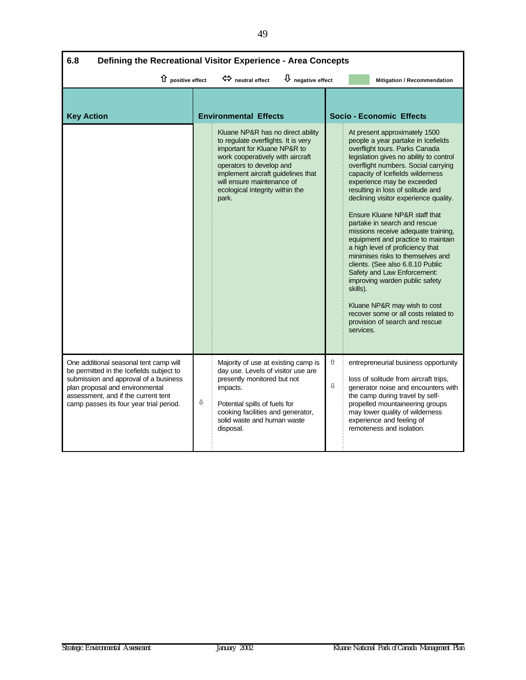| 6.8<br>Defining the Recreational Visitor Experience - Area Concepts                                                                                                                                                                              |   |                                                                                                                                                                                                                                                                                          |                                         |                                 |                             |                                                                                                                                                                                                                                                                                                                                                                                                                                                                                                                                                                                                                                                                                                                                                                               |  |
|--------------------------------------------------------------------------------------------------------------------------------------------------------------------------------------------------------------------------------------------------|---|------------------------------------------------------------------------------------------------------------------------------------------------------------------------------------------------------------------------------------------------------------------------------------------|-----------------------------------------|---------------------------------|-----------------------------|-------------------------------------------------------------------------------------------------------------------------------------------------------------------------------------------------------------------------------------------------------------------------------------------------------------------------------------------------------------------------------------------------------------------------------------------------------------------------------------------------------------------------------------------------------------------------------------------------------------------------------------------------------------------------------------------------------------------------------------------------------------------------------|--|
| $\hat{u}$ positive effect                                                                                                                                                                                                                        |   | heutral effect                                                                                                                                                                                                                                                                           | $\overline{\mathsf{U}}$ negative effect |                                 | Mitigation / Recommendation |                                                                                                                                                                                                                                                                                                                                                                                                                                                                                                                                                                                                                                                                                                                                                                               |  |
| <b>Key Action</b>                                                                                                                                                                                                                                |   | <b>Environmental Effects</b>                                                                                                                                                                                                                                                             |                                         | <b>Socio - Economic Effects</b> |                             |                                                                                                                                                                                                                                                                                                                                                                                                                                                                                                                                                                                                                                                                                                                                                                               |  |
|                                                                                                                                                                                                                                                  |   | Kluane NP&R has no direct ability<br>to regulate overflights. It is very<br>important for Kluane NP&R to<br>work cooperatively with aircraft<br>operators to develop and<br>implement aircraft quidelines that<br>will ensure maintenance of<br>ecological integrity within the<br>park. |                                         |                                 | skills).<br>services.       | At present approximately 1500<br>people a year partake in Icefields<br>overflight tours. Parks Canada<br>legislation gives no ability to control<br>overflight numbers. Social carrying<br>capacity of Icefields wilderness<br>experience may be exceeded<br>resulting in loss of solitude and<br>declining visitor experience quality.<br>Ensure Kluane NP&R staff that<br>partake in search and rescue<br>missions receive adequate training,<br>equipment and practice to maintain<br>a high level of proficiency that<br>minimises risks to themselves and<br>clients. (See also 6.8.10 Public<br>Safety and Law Enforcement:<br>improving warden public safety<br>Kluane NP&R may wish to cost<br>recover some or all costs related to<br>provision of search and rescue |  |
| One additional seasonal tent camp will<br>be permitted in the Icefields subject to<br>submission and approval of a business<br>plan proposal and environmental<br>assessment, and if the current tent<br>camp passes its four year trial period. | ⇩ | Majority of use at existing camp is<br>day use. Levels of visitor use are<br>presently monitored but not<br>impacts.<br>Potential spills of fuels for<br>cooking facilities and generator,<br>solid waste and human waste<br>disposal.                                                   |                                         | ⇧<br>⇩                          |                             | entrepreneurial business opportunity<br>loss of solitude from aircraft trips,<br>generator noise and encounters with<br>the camp during travel by self-<br>propelled mountaineering groups<br>may lower quality of wilderness<br>experience and feeling of<br>remoteness and isolation.                                                                                                                                                                                                                                                                                                                                                                                                                                                                                       |  |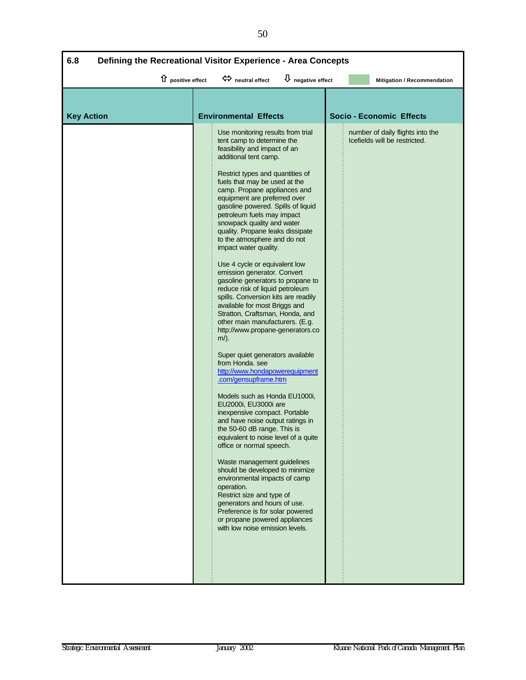| $\hat{u}$ positive effect<br>$\overline{\mathbf{\mathsf{U}}}$ negative effect<br>$\Leftrightarrow$ neutral effect<br>Mitigation / Recommendation<br><b>Environmental Effects</b><br><b>Key Action</b><br><b>Socio - Economic Effects</b><br>Use monitoring results from trial<br>number of daily flights into the<br>tent camp to determine the<br>Icefields will be restricted.<br>feasibility and impact of an<br>additional tent camp.<br>Restrict types and quantities of<br>fuels that may be used at the<br>camp. Propane appliances and<br>equipment are preferred over<br>gasoline powered. Spills of liquid<br>petroleum fuels may impact<br>snowpack quality and water<br>quality. Propane leaks dissipate<br>to the atmosphere and do not<br>impact water quality.<br>Use 4 cycle or equivalent low<br>emission generator. Convert<br>gasoline generators to propane to<br>reduce risk of liquid petroleum<br>spills. Conversion kits are readily<br>available for most Briggs and<br>Stratton, Craftsman, Honda, and<br>other main manufacturers. (E.g.<br>http://www.propane-generators.co<br>$m$ ).<br>Super quiet generators available<br>from Honda. see<br>http://www.hondapowerequipment<br>.com/gensupframe.htm<br>Models such as Honda EU1000i,<br>EU2000i, EU3000i are<br>inexpensive compact. Portable<br>and have noise output ratings in<br>the 50-60 dB range. This is<br>equivalent to noise level of a quite<br>office or normal speech.<br>Waste management guidelines<br>should be developed to minimize<br>environmental impacts of camp<br>operation.<br>Restrict size and type of<br>generators and hours of use.<br>Preference is for solar powered<br>or propane powered appliances<br>with low noise emission levels. | 6.8<br>Defining the Recreational Visitor Experience - Area Concepts |  |  |  |  |  |
|----------------------------------------------------------------------------------------------------------------------------------------------------------------------------------------------------------------------------------------------------------------------------------------------------------------------------------------------------------------------------------------------------------------------------------------------------------------------------------------------------------------------------------------------------------------------------------------------------------------------------------------------------------------------------------------------------------------------------------------------------------------------------------------------------------------------------------------------------------------------------------------------------------------------------------------------------------------------------------------------------------------------------------------------------------------------------------------------------------------------------------------------------------------------------------------------------------------------------------------------------------------------------------------------------------------------------------------------------------------------------------------------------------------------------------------------------------------------------------------------------------------------------------------------------------------------------------------------------------------------------------------------------------------------------------------------------------------------------------------------------------|---------------------------------------------------------------------|--|--|--|--|--|
|                                                                                                                                                                                                                                                                                                                                                                                                                                                                                                                                                                                                                                                                                                                                                                                                                                                                                                                                                                                                                                                                                                                                                                                                                                                                                                                                                                                                                                                                                                                                                                                                                                                                                                                                                          |                                                                     |  |  |  |  |  |
|                                                                                                                                                                                                                                                                                                                                                                                                                                                                                                                                                                                                                                                                                                                                                                                                                                                                                                                                                                                                                                                                                                                                                                                                                                                                                                                                                                                                                                                                                                                                                                                                                                                                                                                                                          |                                                                     |  |  |  |  |  |
|                                                                                                                                                                                                                                                                                                                                                                                                                                                                                                                                                                                                                                                                                                                                                                                                                                                                                                                                                                                                                                                                                                                                                                                                                                                                                                                                                                                                                                                                                                                                                                                                                                                                                                                                                          |                                                                     |  |  |  |  |  |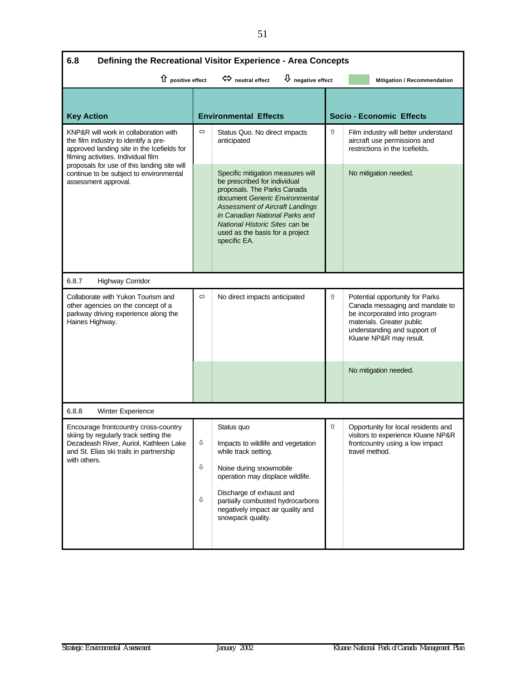| 6.8<br>Defining the Recreational Visitor Experience - Area Concepts |                                                                                                                                                                                                                                                                                                     |                              |                                                                                                                                                                                            |  |  |
|---------------------------------------------------------------------|-----------------------------------------------------------------------------------------------------------------------------------------------------------------------------------------------------------------------------------------------------------------------------------------------------|------------------------------|--------------------------------------------------------------------------------------------------------------------------------------------------------------------------------------------|--|--|
|                                                                     | $\Leftrightarrow$ neutral effect                                                                                                                                                                                                                                                                    |                              | Mitigation / Recommendation                                                                                                                                                                |  |  |
|                                                                     |                                                                                                                                                                                                                                                                                                     |                              | <b>Socio - Economic Effects</b>                                                                                                                                                            |  |  |
| $\Leftrightarrow$                                                   | Status Quo. No direct impacts<br>anticipated                                                                                                                                                                                                                                                        | ⇧                            | Film industry will better understand<br>aircraft use permissions and<br>restrictions in the Icefields.                                                                                     |  |  |
|                                                                     | Specific mitigation measures will<br>be prescribed for individual<br>proposals. The Parks Canada<br>document Generic Environmental<br><b>Assessment of Aircraft Landings</b><br>in Canadian National Parks and<br>National Historic Sites can be<br>used as the basis for a project<br>specific EA. |                              | No mitigation needed.                                                                                                                                                                      |  |  |
|                                                                     |                                                                                                                                                                                                                                                                                                     |                              |                                                                                                                                                                                            |  |  |
| ⇔                                                                   | No direct impacts anticipated                                                                                                                                                                                                                                                                       | ⇧                            | Potential opportunity for Parks<br>Canada messaging and mandate to<br>be incorporated into program<br>materials. Greater public<br>understanding and support of<br>Kluane NP&R may result. |  |  |
|                                                                     |                                                                                                                                                                                                                                                                                                     |                              | No mitigation needed.                                                                                                                                                                      |  |  |
|                                                                     |                                                                                                                                                                                                                                                                                                     |                              |                                                                                                                                                                                            |  |  |
| ⇩<br>⇩<br>⇩                                                         | Status quo<br>Impacts to wildlife and vegetation<br>while track setting.<br>Noise during snowmobile<br>operation may displace wildlife.<br>Discharge of exhaust and<br>partially combusted hydrocarbons<br>negatively impact air quality and<br>snowpack quality.                                   | ⇧                            | Opportunity for local residents and<br>visitors to experience Kluane NP&R<br>frontcountry using a low impact<br>travel method.                                                             |  |  |
|                                                                     | 1 positive effect                                                                                                                                                                                                                                                                                   | <b>Environmental Effects</b> | $\bigcup$ negative effect                                                                                                                                                                  |  |  |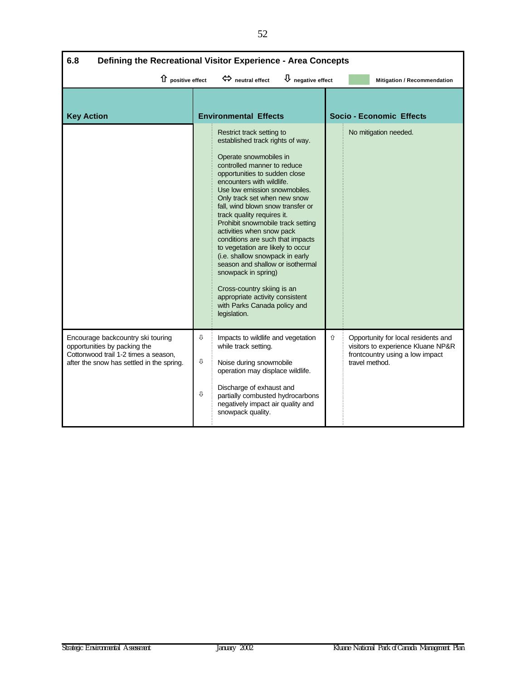| 6.8<br>Defining the Recreational Visitor Experience - Area Concepts |                                                                                                                                                                                                                                                                                                                                                                                                                                                                                                                                                                                                                                                                                    |                              |                                   |                                                                                                              |  |
|---------------------------------------------------------------------|------------------------------------------------------------------------------------------------------------------------------------------------------------------------------------------------------------------------------------------------------------------------------------------------------------------------------------------------------------------------------------------------------------------------------------------------------------------------------------------------------------------------------------------------------------------------------------------------------------------------------------------------------------------------------------|------------------------------|-----------------------------------|--------------------------------------------------------------------------------------------------------------|--|
|                                                                     | $\Leftrightarrow$ neutral effect                                                                                                                                                                                                                                                                                                                                                                                                                                                                                                                                                                                                                                                   |                              |                                   | <b>Mitigation / Recommendation</b>                                                                           |  |
|                                                                     |                                                                                                                                                                                                                                                                                                                                                                                                                                                                                                                                                                                                                                                                                    |                              |                                   |                                                                                                              |  |
|                                                                     |                                                                                                                                                                                                                                                                                                                                                                                                                                                                                                                                                                                                                                                                                    |                              |                                   | <b>Socio - Economic Effects</b>                                                                              |  |
|                                                                     | Restrict track setting to<br>established track rights of way.<br>Operate snowmobiles in<br>controlled manner to reduce<br>opportunities to sudden close<br>encounters with wildlife.<br>Use low emission snowmobiles.<br>Only track set when new snow<br>fall, wind blown snow transfer or<br>track quality requires it.<br>Prohibit snowmobile track setting<br>activities when snow pack<br>conditions are such that impacts<br>to vegetation are likely to occur<br>(i.e. shallow snowpack in early<br>season and shallow or isothermal<br>snowpack in spring)<br>Cross-country skiing is an<br>appropriate activity consistent<br>with Parks Canada policy and<br>legislation. |                              |                                   | No mitigation needed.                                                                                        |  |
| ⇩<br>⇩<br>⇩                                                         | Impacts to wildlife and vegetation<br>while track setting.<br>Noise during snowmobile<br>operation may displace wildlife.<br>Discharge of exhaust and<br>partially combusted hydrocarbons<br>negatively impact air quality and<br>snowpack quality.                                                                                                                                                                                                                                                                                                                                                                                                                                | ⇧                            | travel method.                    | Opportunity for local residents and<br>visitors to experience Kluane NP&R<br>frontcountry using a low impact |  |
|                                                                     | 1 positive effect                                                                                                                                                                                                                                                                                                                                                                                                                                                                                                                                                                                                                                                                  | <b>Environmental Effects</b> | $\overline{\Psi}$ negative effect |                                                                                                              |  |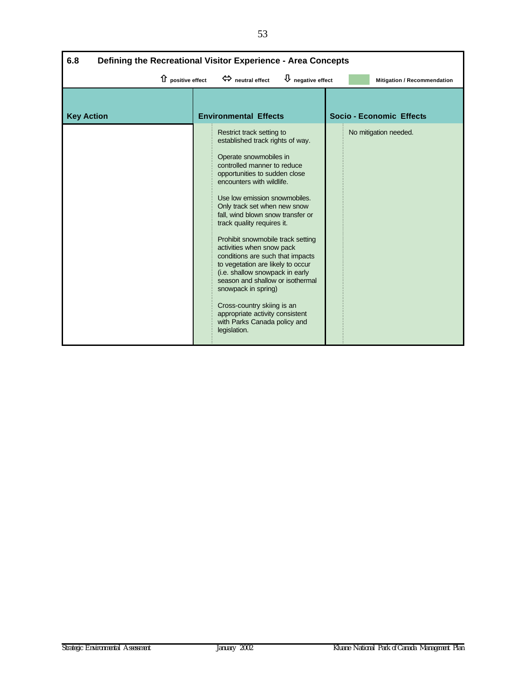| 6.8<br>Defining the Recreational Visitor Experience - Area Concepts |                                                                                                                                                                                                                                                                                                                                                                                                                                                                                                                                                                                                                                                                                    |                                 |  |  |  |
|---------------------------------------------------------------------|------------------------------------------------------------------------------------------------------------------------------------------------------------------------------------------------------------------------------------------------------------------------------------------------------------------------------------------------------------------------------------------------------------------------------------------------------------------------------------------------------------------------------------------------------------------------------------------------------------------------------------------------------------------------------------|---------------------------------|--|--|--|
| $\mathbf{\hat{U}}$ positive effect                                  | $\bigcup$ negative effect<br>$\Leftrightarrow$ neutral effect                                                                                                                                                                                                                                                                                                                                                                                                                                                                                                                                                                                                                      | Mitigation / Recommendation     |  |  |  |
| <b>Key Action</b>                                                   | <b>Environmental Effects</b>                                                                                                                                                                                                                                                                                                                                                                                                                                                                                                                                                                                                                                                       | <b>Socio - Economic Effects</b> |  |  |  |
|                                                                     | Restrict track setting to<br>established track rights of way.<br>Operate snowmobiles in<br>controlled manner to reduce<br>opportunities to sudden close<br>encounters with wildlife.<br>Use low emission snowmobiles.<br>Only track set when new snow<br>fall, wind blown snow transfer or<br>track quality requires it.<br>Prohibit snowmobile track setting<br>activities when snow pack<br>conditions are such that impacts<br>to vegetation are likely to occur<br>(i.e. shallow snowpack in early<br>season and shallow or isothermal<br>snowpack in spring)<br>Cross-country skiing is an<br>appropriate activity consistent<br>with Parks Canada policy and<br>legislation. | No mitigation needed.           |  |  |  |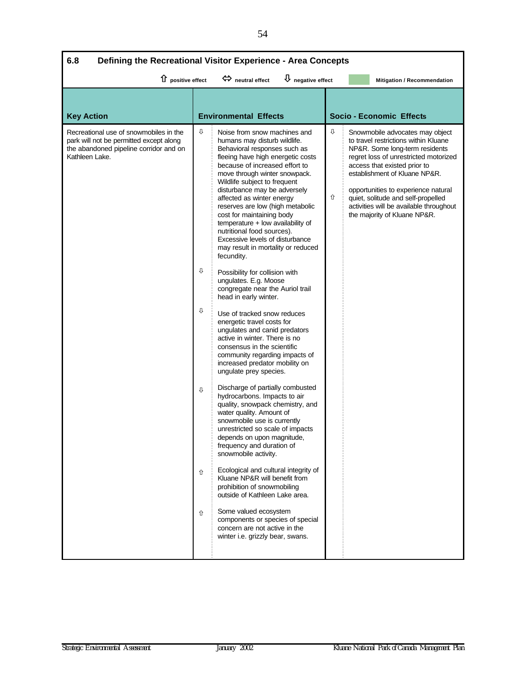| $\overline{\mathsf{U}}$ negative effect<br>$\hat{u}$ positive effect<br>$\Leftrightarrow$ neutral effect<br><b>Mitigation / Recommendation</b><br><b>Key Action</b><br><b>Environmental Effects</b><br><b>Socio - Economic Effects</b><br>⇩<br>⇩<br>Recreational use of snowmobiles in the<br>Snowmobile advocates may object<br>Noise from snow machines and<br>park will not be permitted except along<br>humans may disturb wildlife.<br>to travel restrictions within Kluane<br>the abandoned pipeline corridor and on<br>Behavioral responses such as<br>NP&R. Some long-term residents<br>Kathleen Lake.<br>fleeing have high energetic costs<br>regret loss of unrestricted motorized<br>because of increased effort to<br>access that existed prior to<br>move through winter snowpack.<br>establishment of Kluane NP&R.<br>Wildlife subject to frequent<br>disturbance may be adversely<br>opportunities to experience natural<br>⇧<br>affected as winter energy<br>quiet, solitude and self-propelled<br>reserves are low (high metabolic<br>activities will be available throughout<br>cost for maintaining body<br>the majority of Kluane NP&R.<br>$temperature + low$ availability of<br>nutritional food sources).<br>Excessive levels of disturbance<br>may result in mortality or reduced<br>fecundity.<br>⇩<br>Possibility for collision with<br>ungulates. E.g. Moose<br>congregate near the Auriol trail<br>head in early winter.<br>⇩<br>Use of tracked snow reduces<br>energetic travel costs for<br>ungulates and canid predators<br>active in winter. There is no<br>consensus in the scientific<br>community regarding impacts of<br>increased predator mobility on<br>ungulate prey species.<br>Discharge of partially combusted<br>⇩<br>hydrocarbons. Impacts to air<br>quality, snowpack chemistry, and<br>water quality. Amount of<br>snowmobile use is currently<br>unrestricted so scale of impacts<br>depends on upon magnitude,<br>frequency and duration of<br>snowmobile activity.<br>Ecological and cultural integrity of<br>⇧<br>Kluane NP&R will benefit from<br>prohibition of snowmobiling<br>outside of Kathleen Lake area. | 6.8<br>Defining the Recreational Visitor Experience - Area Concepts |   |                       |  |  |  |  |
|---------------------------------------------------------------------------------------------------------------------------------------------------------------------------------------------------------------------------------------------------------------------------------------------------------------------------------------------------------------------------------------------------------------------------------------------------------------------------------------------------------------------------------------------------------------------------------------------------------------------------------------------------------------------------------------------------------------------------------------------------------------------------------------------------------------------------------------------------------------------------------------------------------------------------------------------------------------------------------------------------------------------------------------------------------------------------------------------------------------------------------------------------------------------------------------------------------------------------------------------------------------------------------------------------------------------------------------------------------------------------------------------------------------------------------------------------------------------------------------------------------------------------------------------------------------------------------------------------------------------------------------------------------------------------------------------------------------------------------------------------------------------------------------------------------------------------------------------------------------------------------------------------------------------------------------------------------------------------------------------------------------------------------------------------------------------------------------------------------------------------------------------------------------------|---------------------------------------------------------------------|---|-----------------------|--|--|--|--|
|                                                                                                                                                                                                                                                                                                                                                                                                                                                                                                                                                                                                                                                                                                                                                                                                                                                                                                                                                                                                                                                                                                                                                                                                                                                                                                                                                                                                                                                                                                                                                                                                                                                                                                                                                                                                                                                                                                                                                                                                                                                                                                                                                                     |                                                                     |   |                       |  |  |  |  |
|                                                                                                                                                                                                                                                                                                                                                                                                                                                                                                                                                                                                                                                                                                                                                                                                                                                                                                                                                                                                                                                                                                                                                                                                                                                                                                                                                                                                                                                                                                                                                                                                                                                                                                                                                                                                                                                                                                                                                                                                                                                                                                                                                                     |                                                                     |   |                       |  |  |  |  |
| components or species of special<br>concern are not active in the<br>winter i.e. grizzly bear, swans.                                                                                                                                                                                                                                                                                                                                                                                                                                                                                                                                                                                                                                                                                                                                                                                                                                                                                                                                                                                                                                                                                                                                                                                                                                                                                                                                                                                                                                                                                                                                                                                                                                                                                                                                                                                                                                                                                                                                                                                                                                                               |                                                                     | ⇧ | Some valued ecosystem |  |  |  |  |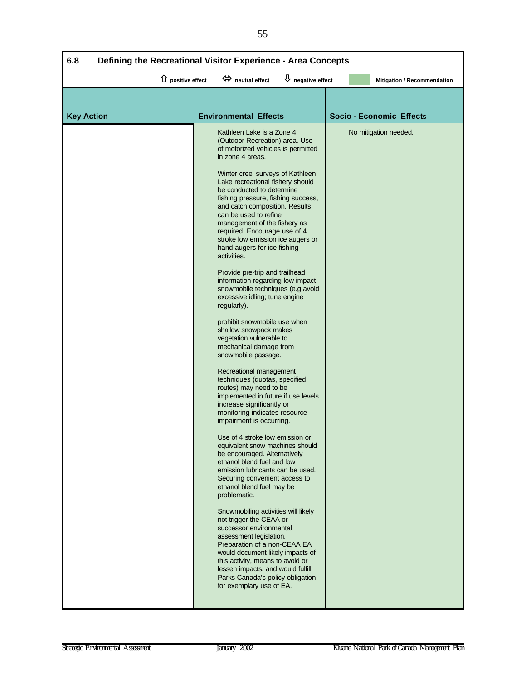| 6.8<br>Defining the Recreational Visitor Experience - Area Concepts |                           |                                                                                                                                                                                                                                                                                                                                                                                                                                                                                                                                                                                                                                                                                                                                                                                                                                                                                                                                                                                                                                                                                                                                                                                                                                                                                                                                                                                                                                                                                                                                                                                                   |                                   |  |                                 |
|---------------------------------------------------------------------|---------------------------|---------------------------------------------------------------------------------------------------------------------------------------------------------------------------------------------------------------------------------------------------------------------------------------------------------------------------------------------------------------------------------------------------------------------------------------------------------------------------------------------------------------------------------------------------------------------------------------------------------------------------------------------------------------------------------------------------------------------------------------------------------------------------------------------------------------------------------------------------------------------------------------------------------------------------------------------------------------------------------------------------------------------------------------------------------------------------------------------------------------------------------------------------------------------------------------------------------------------------------------------------------------------------------------------------------------------------------------------------------------------------------------------------------------------------------------------------------------------------------------------------------------------------------------------------------------------------------------------------|-----------------------------------|--|---------------------------------|
|                                                                     | $\hat{u}$ positive effect | heutral effect                                                                                                                                                                                                                                                                                                                                                                                                                                                                                                                                                                                                                                                                                                                                                                                                                                                                                                                                                                                                                                                                                                                                                                                                                                                                                                                                                                                                                                                                                                                                                                                    | $\overline{\psi}$ negative effect |  | Mitigation / Recommendation     |
| <b>Key Action</b>                                                   |                           | <b>Environmental Effects</b>                                                                                                                                                                                                                                                                                                                                                                                                                                                                                                                                                                                                                                                                                                                                                                                                                                                                                                                                                                                                                                                                                                                                                                                                                                                                                                                                                                                                                                                                                                                                                                      |                                   |  | <b>Socio - Economic Effects</b> |
|                                                                     |                           | Kathleen Lake is a Zone 4<br>(Outdoor Recreation) area. Use<br>of motorized vehicles is permitted<br>in zone 4 areas.<br>Winter creel surveys of Kathleen<br>Lake recreational fishery should<br>be conducted to determine<br>fishing pressure, fishing success,<br>and catch composition. Results<br>can be used to refine<br>management of the fishery as<br>required. Encourage use of 4<br>stroke low emission ice augers or<br>hand augers for ice fishing<br>activities.<br>Provide pre-trip and trailhead<br>information regarding low impact<br>snowmobile techniques (e.g avoid<br>excessive idling; tune engine<br>regularly).<br>prohibit snowmobile use when<br>shallow snowpack makes<br>vegetation vulnerable to<br>mechanical damage from<br>snowmobile passage.<br>Recreational management<br>techniques (quotas, specified<br>routes) may need to be<br>implemented in future if use levels<br>increase significantly or<br>monitoring indicates resource<br>impairment is occurring.<br>Use of 4 stroke low emission or<br>equivalent snow machines should<br>be encouraged. Alternatively<br>ethanol blend fuel and low<br>emission lubricants can be used.<br>Securing convenient access to<br>ethanol blend fuel may be<br>problematic.<br>Snowmobiling activities will likely<br>not trigger the CEAA or<br>successor environmental<br>assessment legislation.<br>Preparation of a non-CEAA EA<br>would document likely impacts of<br>this activity, means to avoid or<br>lessen impacts, and would fulfill<br>Parks Canada's policy obligation<br>for exemplary use of EA. |                                   |  | No mitigation needed.           |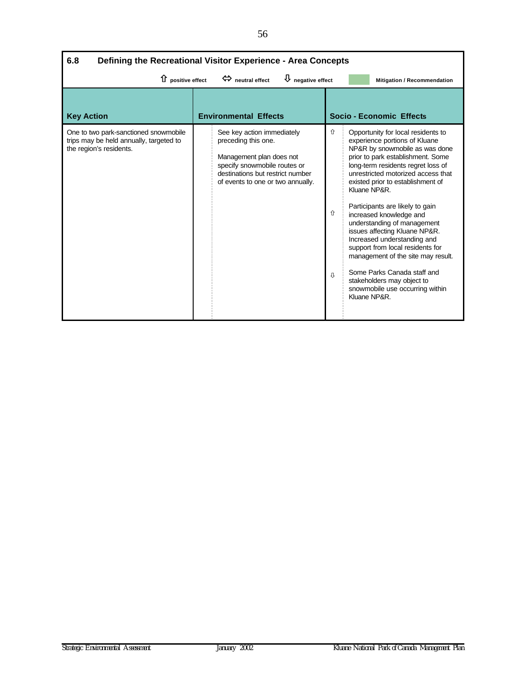| 6.8<br>Defining the Recreational Visitor Experience - Area Concepts                                         |                                                                                                                                                                                        |                                                                                                                                                                                                                                                                                                                                                                                                                                                                                                                                                                                                                                                   |  |  |  |  |
|-------------------------------------------------------------------------------------------------------------|----------------------------------------------------------------------------------------------------------------------------------------------------------------------------------------|---------------------------------------------------------------------------------------------------------------------------------------------------------------------------------------------------------------------------------------------------------------------------------------------------------------------------------------------------------------------------------------------------------------------------------------------------------------------------------------------------------------------------------------------------------------------------------------------------------------------------------------------------|--|--|--|--|
| $\hat{u}$ positive effect                                                                                   | $\bigcup$ negative effect<br>$\Leftrightarrow$ neutral effect                                                                                                                          | Mitigation / Recommendation                                                                                                                                                                                                                                                                                                                                                                                                                                                                                                                                                                                                                       |  |  |  |  |
| <b>Key Action</b>                                                                                           | <b>Environmental Effects</b>                                                                                                                                                           | <b>Socio - Economic Effects</b>                                                                                                                                                                                                                                                                                                                                                                                                                                                                                                                                                                                                                   |  |  |  |  |
| One to two park-sanctioned snowmobile<br>trips may be held annually, targeted to<br>the region's residents. | See key action immediately<br>preceding this one.<br>Management plan does not<br>specify snowmobile routes or<br>destinations but restrict number<br>of events to one or two annually. | ⇧<br>Opportunity for local residents to<br>experience portions of Kluane<br>NP&R by snowmobile as was done<br>prior to park establishment. Some<br>long-term residents regret loss of<br>unrestricted motorized access that<br>existed prior to establishment of<br>Kluane NP&R.<br>Participants are likely to gain<br>⇧<br>increased knowledge and<br>understanding of management<br>issues affecting Kluane NP&R.<br>Increased understanding and<br>support from local residents for<br>management of the site may result.<br>Some Parks Canada staff and<br>⇩<br>stakeholders may object to<br>snowmobile use occurring within<br>Kluane NP&R. |  |  |  |  |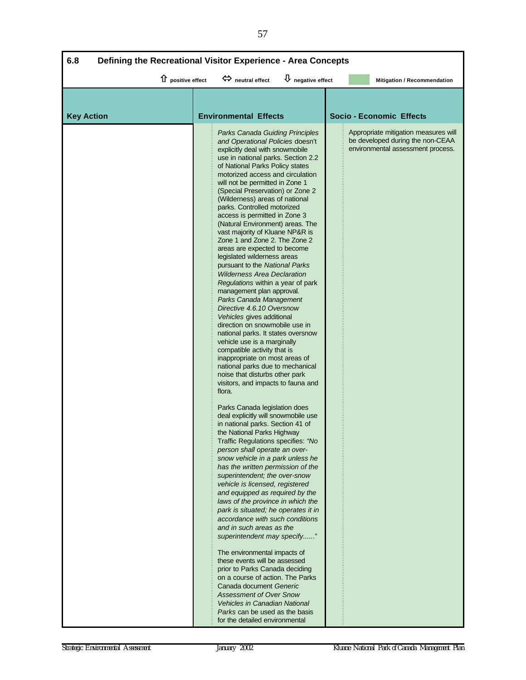| 6.8<br>Defining the Recreational Visitor Experience - Area Concepts |                                                                                                                                                                                                                                                                                                                                                                                                                                                                                                                                                                                                                                                                                                                                                                                                                                                                                                                                                                                                                                                                                                                                                                                                                                                                                                                                                                                                                                                                                                                                                                                                                                                                                                                                                                                                                                                                                                                                                                                                                             |                                   |  |                                                                                                                                                  |  |  |
|---------------------------------------------------------------------|-----------------------------------------------------------------------------------------------------------------------------------------------------------------------------------------------------------------------------------------------------------------------------------------------------------------------------------------------------------------------------------------------------------------------------------------------------------------------------------------------------------------------------------------------------------------------------------------------------------------------------------------------------------------------------------------------------------------------------------------------------------------------------------------------------------------------------------------------------------------------------------------------------------------------------------------------------------------------------------------------------------------------------------------------------------------------------------------------------------------------------------------------------------------------------------------------------------------------------------------------------------------------------------------------------------------------------------------------------------------------------------------------------------------------------------------------------------------------------------------------------------------------------------------------------------------------------------------------------------------------------------------------------------------------------------------------------------------------------------------------------------------------------------------------------------------------------------------------------------------------------------------------------------------------------------------------------------------------------------------------------------------------------|-----------------------------------|--|--------------------------------------------------------------------------------------------------------------------------------------------------|--|--|
| $\hat{u}$ positive effect                                           | $\Leftrightarrow$ neutral effect                                                                                                                                                                                                                                                                                                                                                                                                                                                                                                                                                                                                                                                                                                                                                                                                                                                                                                                                                                                                                                                                                                                                                                                                                                                                                                                                                                                                                                                                                                                                                                                                                                                                                                                                                                                                                                                                                                                                                                                            | $\overline{\psi}$ negative effect |  | Mitigation / Recommendation                                                                                                                      |  |  |
|                                                                     |                                                                                                                                                                                                                                                                                                                                                                                                                                                                                                                                                                                                                                                                                                                                                                                                                                                                                                                                                                                                                                                                                                                                                                                                                                                                                                                                                                                                                                                                                                                                                                                                                                                                                                                                                                                                                                                                                                                                                                                                                             |                                   |  |                                                                                                                                                  |  |  |
| <b>Key Action</b>                                                   | <b>Environmental Effects</b><br>Parks Canada Guiding Principles<br>and Operational Policies doesn't<br>explicitly deal with snowmobile<br>use in national parks. Section 2.2<br>of National Parks Policy states<br>motorized access and circulation<br>will not be permitted in Zone 1<br>(Special Preservation) or Zone 2<br>(Wilderness) areas of national<br>parks. Controlled motorized<br>access is permitted in Zone 3<br>(Natural Environment) areas. The<br>vast majority of Kluane NP&R is<br>Zone 1 and Zone 2. The Zone 2<br>areas are expected to become<br>legislated wilderness areas<br>pursuant to the National Parks<br><b>Wilderness Area Declaration</b><br>Regulations within a year of park<br>management plan approval.<br>Parks Canada Management<br>Directive 4.6.10 Oversnow<br>Vehicles gives additional<br>direction on snowmobile use in<br>national parks. It states oversnow<br>vehicle use is a marginally<br>compatible activity that is<br>inappropriate on most areas of<br>national parks due to mechanical<br>noise that disturbs other park<br>visitors, and impacts to fauna and<br>flora.<br>Parks Canada legislation does<br>deal explicitly will snowmobile use<br>in national parks. Section 41 of<br>the National Parks Highway<br>Traffic Regulations specifies: "No<br>person shall operate an over-<br>snow vehicle in a park unless he<br>has the written permission of the<br>superintendent; the over-snow<br>vehicle is licensed, registered<br>and equipped as required by the<br>laws of the province in which the<br>park is situated; he operates it in<br>accordance with such conditions<br>and in such areas as the<br>superintendent may specify"<br>The environmental impacts of<br>these events will be assessed<br>prior to Parks Canada deciding<br>on a course of action. The Parks<br>Canada document Generic<br><b>Assessment of Over Snow</b><br><b>Vehicles in Canadian National</b><br>Parks can be used as the basis<br>for the detailed environmental |                                   |  | <b>Socio - Economic Effects</b><br>Appropriate mitigation measures will<br>be developed during the non-CEAA<br>environmental assessment process. |  |  |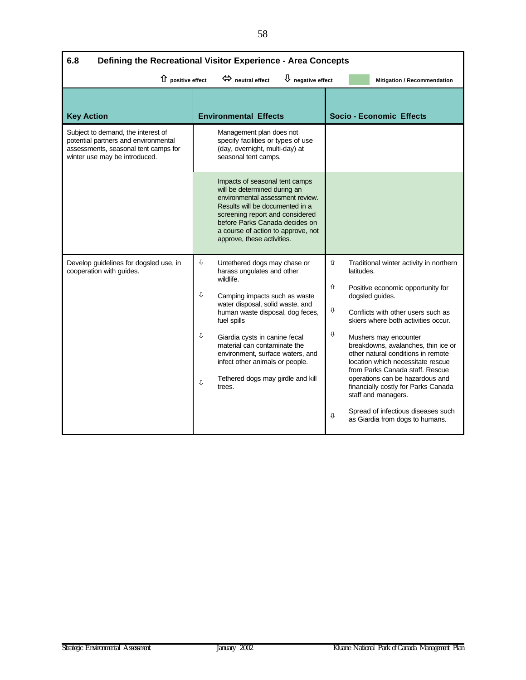| 6.8<br>Defining the Recreational Visitor Experience - Area Concepts                                                                                 |        |                                                                                                                                                                                                                                                                                |                                 |                                                                                                                                                                                                                                                                             |  |  |
|-----------------------------------------------------------------------------------------------------------------------------------------------------|--------|--------------------------------------------------------------------------------------------------------------------------------------------------------------------------------------------------------------------------------------------------------------------------------|---------------------------------|-----------------------------------------------------------------------------------------------------------------------------------------------------------------------------------------------------------------------------------------------------------------------------|--|--|
| $\overline{\Psi}$ negative effect<br>$\hat{u}$ positive effect<br>$\Leftrightarrow$ neutral effect<br>Mitigation / Recommendation                   |        |                                                                                                                                                                                                                                                                                |                                 |                                                                                                                                                                                                                                                                             |  |  |
| <b>Key Action</b>                                                                                                                                   |        | <b>Environmental Effects</b>                                                                                                                                                                                                                                                   | <b>Socio - Economic Effects</b> |                                                                                                                                                                                                                                                                             |  |  |
| Subject to demand, the interest of<br>potential partners and environmental<br>assessments, seasonal tent camps for<br>winter use may be introduced. |        | Management plan does not<br>specify facilities or types of use<br>(day, overnight, multi-day) at<br>seasonal tent camps.                                                                                                                                                       |                                 |                                                                                                                                                                                                                                                                             |  |  |
|                                                                                                                                                     |        | Impacts of seasonal tent camps<br>will be determined during an<br>environmental assessment review.<br>Results will be documented in a<br>screening report and considered<br>before Parks Canada decides on<br>a course of action to approve, not<br>approve, these activities. |                                 |                                                                                                                                                                                                                                                                             |  |  |
| Develop guidelines for dogsled use, in<br>cooperation with guides.                                                                                  | ⊕      | Untethered dogs may chase or<br>harass ungulates and other                                                                                                                                                                                                                     | ⇧                               | Traditional winter activity in northern<br>latitudes.                                                                                                                                                                                                                       |  |  |
|                                                                                                                                                     |        | wildlife.                                                                                                                                                                                                                                                                      | ⇧                               | Positive economic opportunity for                                                                                                                                                                                                                                           |  |  |
| ⇩                                                                                                                                                   |        | Camping impacts such as waste<br>water disposal, solid waste, and                                                                                                                                                                                                              |                                 | dogsled guides.                                                                                                                                                                                                                                                             |  |  |
|                                                                                                                                                     |        | human waste disposal, dog feces,<br>fuel spills                                                                                                                                                                                                                                | ⇩                               | Conflicts with other users such as<br>skiers where both activities occur.                                                                                                                                                                                                   |  |  |
|                                                                                                                                                     | ⇩<br>Û | Giardia cysts in canine fecal<br>material can contaminate the<br>environment, surface waters, and<br>infect other animals or people.<br>Tethered dogs may girdle and kill<br>trees.                                                                                            | ⇩                               | Mushers may encounter<br>breakdowns, avalanches, thin ice or<br>other natural conditions in remote<br>location which necessitate rescue<br>from Parks Canada staff. Rescue<br>operations can be hazardous and<br>financially costly for Parks Canada<br>staff and managers. |  |  |
|                                                                                                                                                     |        |                                                                                                                                                                                                                                                                                | ⇩                               | Spread of infectious diseases such<br>as Giardia from dogs to humans.                                                                                                                                                                                                       |  |  |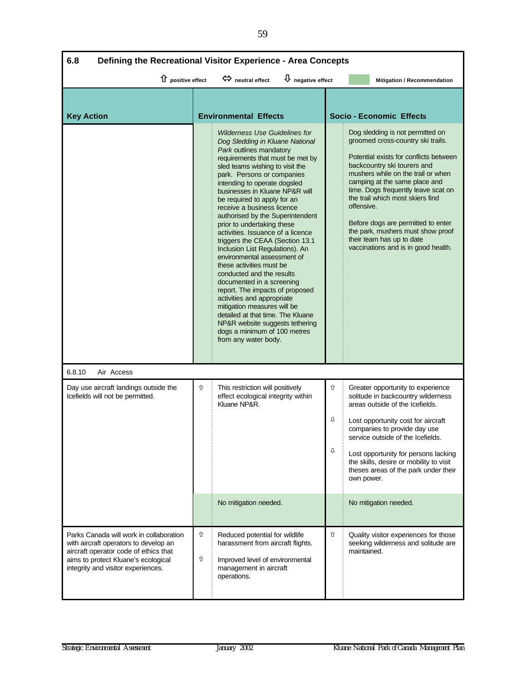| 6.8<br>Defining the Recreational Visitor Experience - Area Concepts                                                                                                                                    |                                                                                                                                 |                                                                                                                                                                                                                                                                                                                                                                                                                                                                                                                                                                                                                                                                                                                                                                                                                                                                                         |             |                                                                                                                                                                                                                                                                                                                                                                                                                                                 |  |  |
|--------------------------------------------------------------------------------------------------------------------------------------------------------------------------------------------------------|---------------------------------------------------------------------------------------------------------------------------------|-----------------------------------------------------------------------------------------------------------------------------------------------------------------------------------------------------------------------------------------------------------------------------------------------------------------------------------------------------------------------------------------------------------------------------------------------------------------------------------------------------------------------------------------------------------------------------------------------------------------------------------------------------------------------------------------------------------------------------------------------------------------------------------------------------------------------------------------------------------------------------------------|-------------|-------------------------------------------------------------------------------------------------------------------------------------------------------------------------------------------------------------------------------------------------------------------------------------------------------------------------------------------------------------------------------------------------------------------------------------------------|--|--|
|                                                                                                                                                                                                        | $\overline{\mathsf{U}}$ negative effect<br>1 positive effect<br>$\Leftrightarrow$ neutral effect<br>Mitigation / Recommendation |                                                                                                                                                                                                                                                                                                                                                                                                                                                                                                                                                                                                                                                                                                                                                                                                                                                                                         |             |                                                                                                                                                                                                                                                                                                                                                                                                                                                 |  |  |
| <b>Key Action</b>                                                                                                                                                                                      |                                                                                                                                 | <b>Environmental Effects</b>                                                                                                                                                                                                                                                                                                                                                                                                                                                                                                                                                                                                                                                                                                                                                                                                                                                            |             | <b>Socio - Economic Effects</b>                                                                                                                                                                                                                                                                                                                                                                                                                 |  |  |
|                                                                                                                                                                                                        |                                                                                                                                 | <b>Wilderness Use Guidelines for</b><br>Dog Sledding in Kluane National<br>Park outlines mandatory<br>requirements that must be met by<br>sled teams wishing to visit the<br>park. Persons or companies<br>intending to operate dogsled<br>businesses in Kluane NP&R will<br>be required to apply for an<br>offensive.<br>receive a business licence<br>authorised by the Superintendent<br>prior to undertaking these<br>activities. Issuance of a licence<br>triggers the CEAA (Section 13.1)<br>Inclusion List Regulations). An<br>environmental assessment of<br>these activities must be<br>conducted and the results<br>documented in a screening<br>report. The impacts of proposed<br>activities and appropriate<br>mitigation measures will be<br>detailed at that time. The Kluane<br>NP&R website suggests tethering<br>dogs a minimum of 100 metres<br>from any water body. |             | Dog sledding is not permitted on<br>groomed cross-country ski trails.<br>Potential exists for conflicts between<br>backcountry ski tourers and<br>mushers while on the trail or when<br>camping at the same place and<br>time. Dogs frequently leave scat on<br>the trail which most skiers find<br>Before dogs are permitted to enter<br>the park, mushers must show proof<br>their team has up to date<br>vaccinations and is in good health. |  |  |
| 6.8.10<br>Air Access                                                                                                                                                                                   |                                                                                                                                 |                                                                                                                                                                                                                                                                                                                                                                                                                                                                                                                                                                                                                                                                                                                                                                                                                                                                                         |             |                                                                                                                                                                                                                                                                                                                                                                                                                                                 |  |  |
| Day use aircraft landings outside the<br>Icefields will not be permitted.                                                                                                                              | ⇧                                                                                                                               | This restriction will positively<br>effect ecological integrity within<br>Kluane NP&R.                                                                                                                                                                                                                                                                                                                                                                                                                                                                                                                                                                                                                                                                                                                                                                                                  | 仚<br>⇩<br>⇩ | Greater opportunity to experience<br>solitude in backcountry wilderness<br>areas outside of the Icefields.<br>Lost opportunity cost for aircraft<br>companies to provide day use<br>service outside of the Icefields.<br>Lost opportunity for persons lacking<br>the skills, desire or mobility to visit<br>theses areas of the park under their<br>own power.                                                                                  |  |  |
|                                                                                                                                                                                                        |                                                                                                                                 | No mitigation needed.                                                                                                                                                                                                                                                                                                                                                                                                                                                                                                                                                                                                                                                                                                                                                                                                                                                                   |             | No mitigation needed.                                                                                                                                                                                                                                                                                                                                                                                                                           |  |  |
| Parks Canada will work in collaboration<br>with aircraft operators to develop an<br>aircraft operator code of ethics that<br>aims to protect Kluane's ecological<br>integrity and visitor experiences. | ⇧<br>⇧                                                                                                                          | Reduced potential for wildlife<br>harassment from aircraft flights.<br>Improved level of environmental<br>management in aircraft<br>operations.                                                                                                                                                                                                                                                                                                                                                                                                                                                                                                                                                                                                                                                                                                                                         | ⇧           | Quality visitor experiences for those<br>seeking wilderness and solitude are<br>maintained.                                                                                                                                                                                                                                                                                                                                                     |  |  |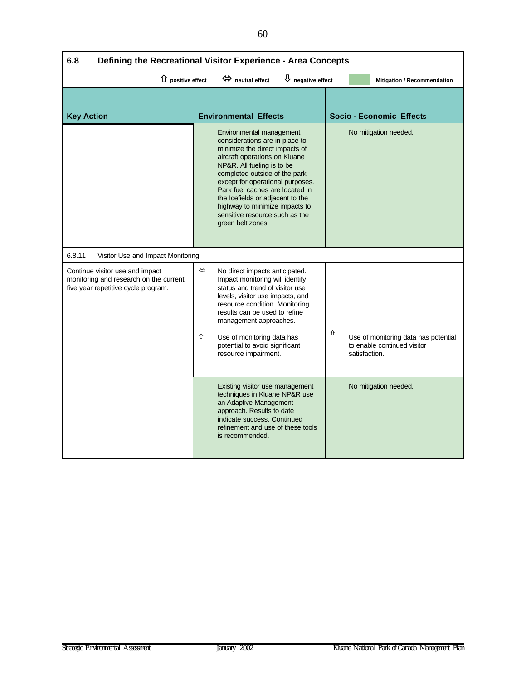| 6.8<br>Defining the Recreational Visitor Experience - Area Concepts                                              |        |                                                                                                                                                                                                                                                                                                                                                                                                  |   |               |                                                                     |
|------------------------------------------------------------------------------------------------------------------|--------|--------------------------------------------------------------------------------------------------------------------------------------------------------------------------------------------------------------------------------------------------------------------------------------------------------------------------------------------------------------------------------------------------|---|---------------|---------------------------------------------------------------------|
| $\hat{u}$ positive effect                                                                                        |        | $\overline{\psi}$ negative effect<br>$\Leftrightarrow$ neutral effect                                                                                                                                                                                                                                                                                                                            |   |               | Mitigation / Recommendation                                         |
| <b>Key Action</b>                                                                                                |        | <b>Environmental Effects</b>                                                                                                                                                                                                                                                                                                                                                                     |   |               | <b>Socio - Economic Effects</b>                                     |
|                                                                                                                  |        | Environmental management<br>considerations are in place to<br>minimize the direct impacts of<br>aircraft operations on Kluane<br>NP&R. All fueling is to be<br>completed outside of the park<br>except for operational purposes.<br>Park fuel caches are located in<br>the Icefields or adjacent to the<br>highway to minimize impacts to<br>sensitive resource such as the<br>green belt zones. |   |               | No mitigation needed.                                               |
| 6.8.11<br>Visitor Use and Impact Monitoring                                                                      |        |                                                                                                                                                                                                                                                                                                                                                                                                  |   |               |                                                                     |
| Continue visitor use and impact<br>monitoring and research on the current<br>five year repetitive cycle program. | ⇔<br>⇧ | No direct impacts anticipated.<br>Impact monitoring will identify<br>status and trend of visitor use<br>levels, visitor use impacts, and<br>resource condition. Monitoring<br>results can be used to refine<br>management approaches.<br>Use of monitoring data has<br>potential to avoid significant<br>resource impairment.                                                                    | ⇧ | satisfaction. | Use of monitoring data has potential<br>to enable continued visitor |
|                                                                                                                  |        | Existing visitor use management<br>techniques in Kluane NP&R use<br>an Adaptive Management<br>approach. Results to date<br>indicate success. Continued<br>refinement and use of these tools<br>is recommended.                                                                                                                                                                                   |   |               | No mitigation needed.                                               |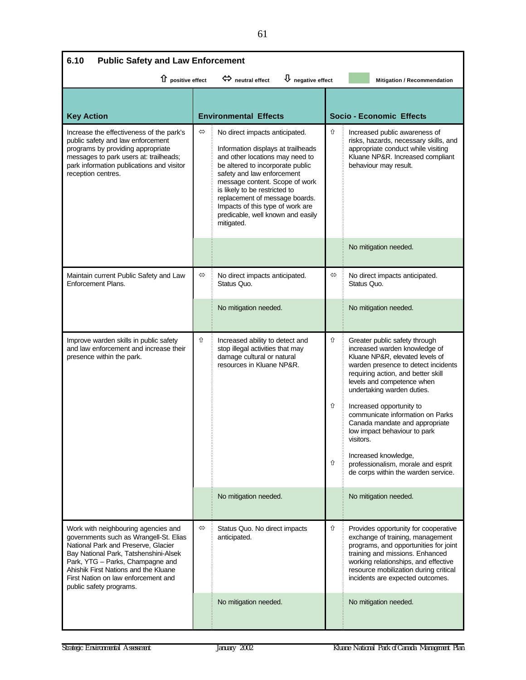| 6.10<br><b>Public Safety and Law Enforcement</b> |                                                                                                                                                                                                                                                                                                                                                                       |                                  |                                                                                                                                                                                                                                                                                                                                                                                                                                                                                                |  |  |
|--------------------------------------------------|-----------------------------------------------------------------------------------------------------------------------------------------------------------------------------------------------------------------------------------------------------------------------------------------------------------------------------------------------------------------------|----------------------------------|------------------------------------------------------------------------------------------------------------------------------------------------------------------------------------------------------------------------------------------------------------------------------------------------------------------------------------------------------------------------------------------------------------------------------------------------------------------------------------------------|--|--|
| 1 positive effect                                |                                                                                                                                                                                                                                                                                                                                                                       |                                  | Mitigation / Recommendation                                                                                                                                                                                                                                                                                                                                                                                                                                                                    |  |  |
| <b>Environmental Effects</b>                     |                                                                                                                                                                                                                                                                                                                                                                       |                                  | <b>Socio - Economic Effects</b>                                                                                                                                                                                                                                                                                                                                                                                                                                                                |  |  |
| ⇔                                                | No direct impacts anticipated.<br>Information displays at trailheads<br>and other locations may need to<br>be altered to incorporate public<br>safety and law enforcement<br>message content. Scope of work<br>is likely to be restricted to<br>replacement of message boards.<br>Impacts of this type of work are<br>predicable, well known and easily<br>mitigated. | ⇧                                | Increased public awareness of<br>risks, hazards, necessary skills, and<br>appropriate conduct while visiting<br>Kluane NP&R. Increased compliant<br>behaviour may result.                                                                                                                                                                                                                                                                                                                      |  |  |
|                                                  |                                                                                                                                                                                                                                                                                                                                                                       |                                  | No mitigation needed.                                                                                                                                                                                                                                                                                                                                                                                                                                                                          |  |  |
| $\Leftrightarrow$                                | No direct impacts anticipated.<br>Status Quo.                                                                                                                                                                                                                                                                                                                         | ⇔                                | No direct impacts anticipated.<br>Status Quo.                                                                                                                                                                                                                                                                                                                                                                                                                                                  |  |  |
|                                                  | No mitigation needed.                                                                                                                                                                                                                                                                                                                                                 |                                  | No mitigation needed.                                                                                                                                                                                                                                                                                                                                                                                                                                                                          |  |  |
| ⇧                                                | Increased ability to detect and<br>stop illegal activities that may<br>damage cultural or natural<br>resources in Kluane NP&R.                                                                                                                                                                                                                                        | ⇧<br>⇧<br>⇧                      | Greater public safety through<br>increased warden knowledge of<br>Kluane NP&R, elevated levels of<br>warden presence to detect incidents<br>requiring action, and better skill<br>levels and competence when<br>undertaking warden duties.<br>Increased opportunity to<br>communicate information on Parks<br>Canada mandate and appropriate<br>low impact behaviour to park<br>visitors.<br>Increased knowledge,<br>professionalism, morale and esprit<br>de corps within the warden service. |  |  |
|                                                  | No mitigation needed.                                                                                                                                                                                                                                                                                                                                                 |                                  | No mitigation needed.                                                                                                                                                                                                                                                                                                                                                                                                                                                                          |  |  |
| ⇔                                                | Status Quo. No direct impacts<br>anticipated.<br>No mitigation needed.                                                                                                                                                                                                                                                                                                | ⇧                                | Provides opportunity for cooperative<br>exchange of training, management<br>programs, and opportunities for joint<br>training and missions. Enhanced<br>working relationships, and effective<br>resource mobilization during critical<br>incidents are expected outcomes.<br>No mitigation needed.                                                                                                                                                                                             |  |  |
|                                                  |                                                                                                                                                                                                                                                                                                                                                                       | $\Leftrightarrow$ neutral effect | $\bigcup$ negative effect                                                                                                                                                                                                                                                                                                                                                                                                                                                                      |  |  |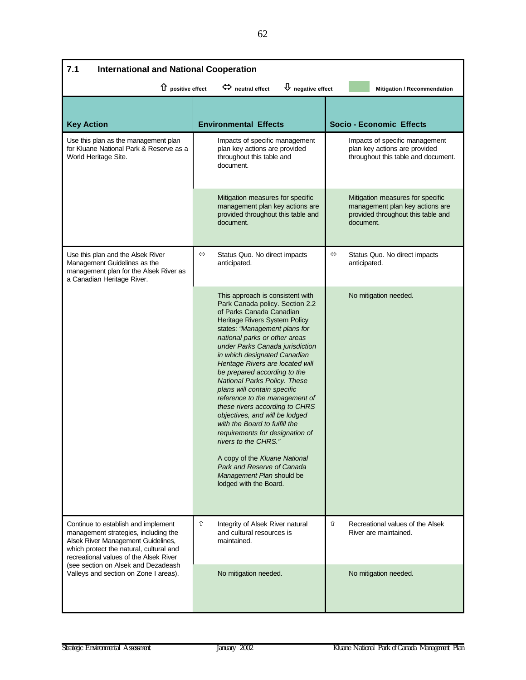| 7.1<br><b>International and National Cooperation</b>                                                                                                                                                                                          |                                                                                      |                                                                                                                                                                                                                                                                                                                                                                                                                                                                                                                                                                                                                                                                                                                                  |                   |                                                                                                                        |  |  |
|-----------------------------------------------------------------------------------------------------------------------------------------------------------------------------------------------------------------------------------------------|--------------------------------------------------------------------------------------|----------------------------------------------------------------------------------------------------------------------------------------------------------------------------------------------------------------------------------------------------------------------------------------------------------------------------------------------------------------------------------------------------------------------------------------------------------------------------------------------------------------------------------------------------------------------------------------------------------------------------------------------------------------------------------------------------------------------------------|-------------------|------------------------------------------------------------------------------------------------------------------------|--|--|
| 1 positive effect                                                                                                                                                                                                                             | $\overline{\mathbf{\mathsf{U}}}$ negative effect<br>$\Leftrightarrow$ neutral effect |                                                                                                                                                                                                                                                                                                                                                                                                                                                                                                                                                                                                                                                                                                                                  |                   | Mitigation / Recommendation                                                                                            |  |  |
| <b>Key Action</b>                                                                                                                                                                                                                             | <b>Environmental Effects</b>                                                         |                                                                                                                                                                                                                                                                                                                                                                                                                                                                                                                                                                                                                                                                                                                                  |                   | <b>Socio - Economic Effects</b>                                                                                        |  |  |
| Use this plan as the management plan<br>for Kluane National Park & Reserve as a<br>World Heritage Site.                                                                                                                                       |                                                                                      | Impacts of specific management<br>plan key actions are provided<br>throughout this table and<br>document.                                                                                                                                                                                                                                                                                                                                                                                                                                                                                                                                                                                                                        |                   | Impacts of specific management<br>plan key actions are provided<br>throughout this table and document.                 |  |  |
|                                                                                                                                                                                                                                               |                                                                                      | Mitigation measures for specific<br>management plan key actions are<br>provided throughout this table and<br>document.                                                                                                                                                                                                                                                                                                                                                                                                                                                                                                                                                                                                           |                   | Mitigation measures for specific<br>management plan key actions are<br>provided throughout this table and<br>document. |  |  |
| Use this plan and the Alsek River<br>Management Guidelines as the<br>management plan for the Alsek River as<br>a Canadian Heritage River.                                                                                                     | ⇔                                                                                    | Status Quo. No direct impacts<br>anticipated.                                                                                                                                                                                                                                                                                                                                                                                                                                                                                                                                                                                                                                                                                    | $\Leftrightarrow$ | Status Quo. No direct impacts<br>anticipated.                                                                          |  |  |
|                                                                                                                                                                                                                                               |                                                                                      | This approach is consistent with<br>Park Canada policy. Section 2.2<br>of Parks Canada Canadian<br>Heritage Rivers System Policy<br>states: "Management plans for<br>national parks or other areas<br>under Parks Canada jurisdiction<br>in which designated Canadian<br>Heritage Rivers are located will<br>be prepared according to the<br>National Parks Policy. These<br>plans will contain specific<br>reference to the management of<br>these rivers according to CHRS<br>objectives, and will be lodged<br>with the Board to fulfill the<br>requirements for designation of<br>rivers to the CHRS."<br>A copy of the Kluane National<br>Park and Reserve of Canada<br>Management Plan should be<br>lodged with the Board. |                   | No mitigation needed.                                                                                                  |  |  |
| Continue to establish and implement<br>management strategies, including the<br>Alsek River Management Guidelines,<br>which protect the natural, cultural and<br>recreational values of the Alsek River<br>(see section on Alsek and Dezadeash | ⇧                                                                                    | Integrity of Alsek River natural<br>and cultural resources is<br>maintained.                                                                                                                                                                                                                                                                                                                                                                                                                                                                                                                                                                                                                                                     | ⇧                 | Recreational values of the Alsek<br>River are maintained.                                                              |  |  |
| Valleys and section on Zone I areas).                                                                                                                                                                                                         |                                                                                      | No mitigation needed.                                                                                                                                                                                                                                                                                                                                                                                                                                                                                                                                                                                                                                                                                                            |                   | No mitigation needed.                                                                                                  |  |  |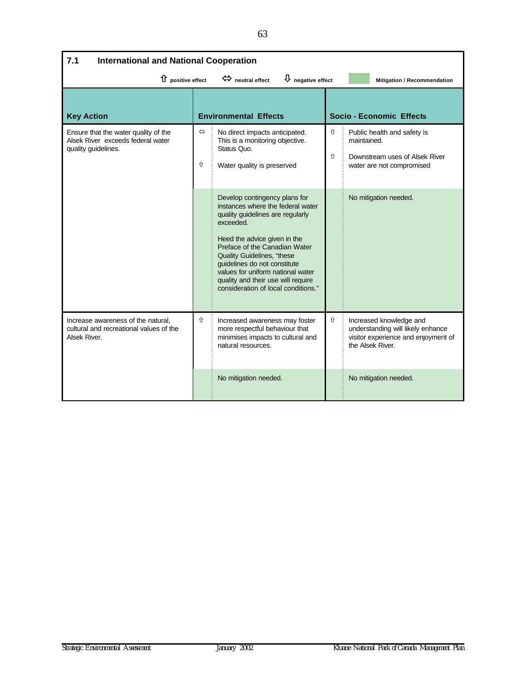| <b>International and National Cooperation</b><br>7.1                                                              |                        |                                                                                                                                                                                                                                                                                                                                                                             |        |                                                                                                                         |  |
|-------------------------------------------------------------------------------------------------------------------|------------------------|-----------------------------------------------------------------------------------------------------------------------------------------------------------------------------------------------------------------------------------------------------------------------------------------------------------------------------------------------------------------------------|--------|-------------------------------------------------------------------------------------------------------------------------|--|
| $\bigcup$ negative effect<br>$\Leftrightarrow$ neutral effect<br>1 positive effect<br>Mitigation / Recommendation |                        |                                                                                                                                                                                                                                                                                                                                                                             |        |                                                                                                                         |  |
| <b>Key Action</b>                                                                                                 |                        | <b>Environmental Effects</b>                                                                                                                                                                                                                                                                                                                                                |        | <b>Socio - Economic Effects</b>                                                                                         |  |
| Ensure that the water quality of the<br>Alsek River exceeds federal water<br>quality quidelines.                  | $\Leftrightarrow$<br>⇧ | No direct impacts anticipated.<br>This is a monitoring objective.<br>Status Quo.<br>Water quality is preserved                                                                                                                                                                                                                                                              | ⇧<br>⇧ | Public health and safety is<br>maintained.<br>Downstream uses of Alsek River<br>water are not compromised               |  |
|                                                                                                                   |                        | Develop contingency plans for<br>instances where the federal water<br>quality guidelines are regularly<br>exceeded.<br>Heed the advice given in the<br>Preface of the Canadian Water<br><b>Quality Guidelines, "these</b><br>guidelines do not constitute<br>values for uniform national water<br>quality and their use will require<br>consideration of local conditions." |        | No mitigation needed.                                                                                                   |  |
| Increase awareness of the natural,<br>cultural and recreational values of the<br>Alsek River.                     | ⇧                      | Increased awareness may foster<br>more respectful behaviour that<br>minimises impacts to cultural and<br>natural resources.                                                                                                                                                                                                                                                 | ⇧      | Increased knowledge and<br>understanding will likely enhance<br>visitor experience and enjoyment of<br>the Alsek River. |  |
|                                                                                                                   |                        | No mitigation needed.                                                                                                                                                                                                                                                                                                                                                       |        | No mitigation needed.                                                                                                   |  |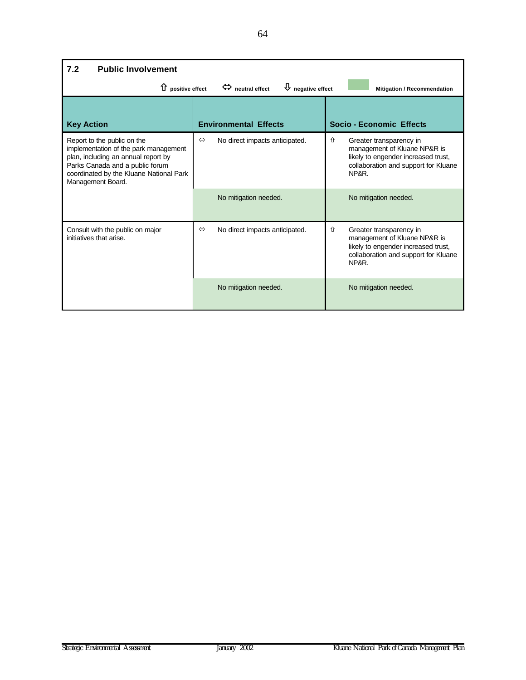| <b>Public Involvement</b><br>7.2                                                                                                                                                                               |                   |                                |   |                                                                                                                                                 |  |  |  |
|----------------------------------------------------------------------------------------------------------------------------------------------------------------------------------------------------------------|-------------------|--------------------------------|---|-------------------------------------------------------------------------------------------------------------------------------------------------|--|--|--|
| $\Leftrightarrow$ neutral effect<br>$\bigcup$ negative effect<br>$\hat{u}$ positive effect<br>Mitigation / Recommendation                                                                                      |                   |                                |   |                                                                                                                                                 |  |  |  |
| <b>Key Action</b>                                                                                                                                                                                              |                   | <b>Environmental Effects</b>   |   | Socio - Economic Effects                                                                                                                        |  |  |  |
| Report to the public on the<br>implementation of the park management<br>plan, including an annual report by<br>Parks Canada and a public forum<br>coordinated by the Kluane National Park<br>Management Board. | ⇔                 | No direct impacts anticipated. | ⇧ | Greater transparency in<br>management of Kluane NP&R is<br>likely to engender increased trust,<br>collaboration and support for Kluane<br>NP&R. |  |  |  |
|                                                                                                                                                                                                                |                   | No mitigation needed.          |   | No mitigation needed.                                                                                                                           |  |  |  |
| Consult with the public on major<br>initiatives that arise.                                                                                                                                                    | $\Leftrightarrow$ | No direct impacts anticipated. | ⇧ | Greater transparency in<br>management of Kluane NP&R is<br>likely to engender increased trust,<br>collaboration and support for Kluane<br>NP&R. |  |  |  |
|                                                                                                                                                                                                                |                   | No mitigation needed.          |   | No mitigation needed.                                                                                                                           |  |  |  |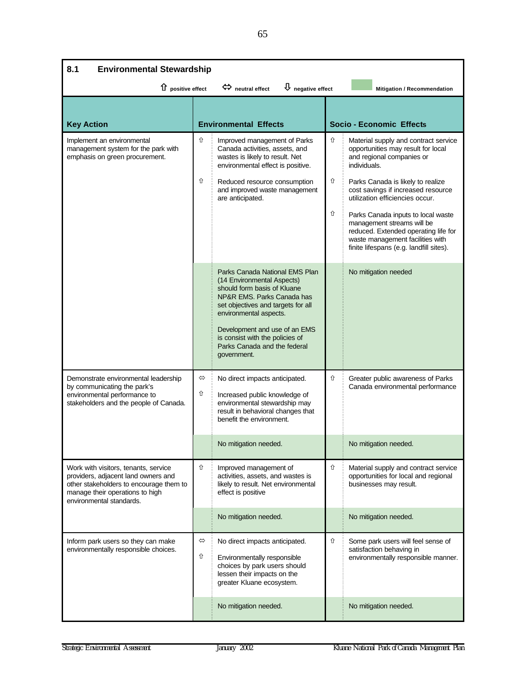| 8.1<br><b>Environmental Stewardship</b>                                                                                                                                               |                              |                                                                                                                                                                                                                                                                                                              |             |                                                                                                                                                                                                                                                                                                                                                                                                                                  |  |  |
|---------------------------------------------------------------------------------------------------------------------------------------------------------------------------------------|------------------------------|--------------------------------------------------------------------------------------------------------------------------------------------------------------------------------------------------------------------------------------------------------------------------------------------------------------|-------------|----------------------------------------------------------------------------------------------------------------------------------------------------------------------------------------------------------------------------------------------------------------------------------------------------------------------------------------------------------------------------------------------------------------------------------|--|--|
| ↑ positive effect                                                                                                                                                                     |                              | $\bigcup$ negative effect<br>$\Leftrightarrow$ neutral effect                                                                                                                                                                                                                                                |             | Mitigation / Recommendation                                                                                                                                                                                                                                                                                                                                                                                                      |  |  |
| <b>Key Action</b>                                                                                                                                                                     | <b>Environmental Effects</b> |                                                                                                                                                                                                                                                                                                              |             | <b>Socio - Economic Effects</b>                                                                                                                                                                                                                                                                                                                                                                                                  |  |  |
| Implement an environmental<br>management system for the park with<br>emphasis on green procurement.                                                                                   | ⇧<br>⇧                       | Improved management of Parks<br>Canada activities, assets, and<br>wastes is likely to result. Net<br>environmental effect is positive.<br>Reduced resource consumption<br>and improved waste management<br>are anticipated.                                                                                  | ⇧<br>⇧<br>⇧ | Material supply and contract service<br>opportunities may result for local<br>and regional companies or<br>individuals.<br>Parks Canada is likely to realize<br>cost savings if increased resource<br>utilization efficiencies occur.<br>Parks Canada inputs to local waste<br>management streams will be<br>reduced. Extended operating life for<br>waste management facilities with<br>finite lifespans (e.g. landfill sites). |  |  |
|                                                                                                                                                                                       |                              | Parks Canada National EMS Plan<br>(14 Environmental Aspects)<br>should form basis of Kluane<br>NP&R EMS. Parks Canada has<br>set objectives and targets for all<br>environmental aspects.<br>Development and use of an EMS<br>is consist with the policies of<br>Parks Canada and the federal<br>government. |             | No mitigation needed                                                                                                                                                                                                                                                                                                                                                                                                             |  |  |
| Demonstrate environmental leadership<br>by communicating the park's<br>environmental performance to<br>stakeholders and the people of Canada.                                         | ⇔<br>⇧                       | No direct impacts anticipated.<br>Increased public knowledge of<br>environmental stewardship may<br>result in behavioral changes that<br>benefit the environment.                                                                                                                                            | ⇧           | Greater public awareness of Parks<br>Canada environmental performance                                                                                                                                                                                                                                                                                                                                                            |  |  |
|                                                                                                                                                                                       |                              | No mitigation needed.                                                                                                                                                                                                                                                                                        |             | No mitigation needed.                                                                                                                                                                                                                                                                                                                                                                                                            |  |  |
| Work with visitors, tenants, service<br>providers, adjacent land owners and<br>other stakeholders to encourage them to<br>manage their operations to high<br>environmental standards. | ⇧                            | Improved management of<br>activities, assets, and wastes is<br>likely to result. Net environmental<br>effect is positive                                                                                                                                                                                     | ⇧           | Material supply and contract service<br>opportunities for local and regional<br>businesses may result.                                                                                                                                                                                                                                                                                                                           |  |  |
|                                                                                                                                                                                       |                              | No mitigation needed.                                                                                                                                                                                                                                                                                        |             | No mitigation needed.                                                                                                                                                                                                                                                                                                                                                                                                            |  |  |
| Inform park users so they can make<br>environmentally responsible choices.                                                                                                            | $\Leftrightarrow$<br>⇧       | No direct impacts anticipated.<br>Environmentally responsible<br>choices by park users should<br>lessen their impacts on the<br>greater Kluane ecosystem.                                                                                                                                                    | ⇧           | Some park users will feel sense of<br>satisfaction behaving in<br>environmentally responsible manner.                                                                                                                                                                                                                                                                                                                            |  |  |
|                                                                                                                                                                                       |                              | No mitigation needed.                                                                                                                                                                                                                                                                                        |             | No mitigation needed.                                                                                                                                                                                                                                                                                                                                                                                                            |  |  |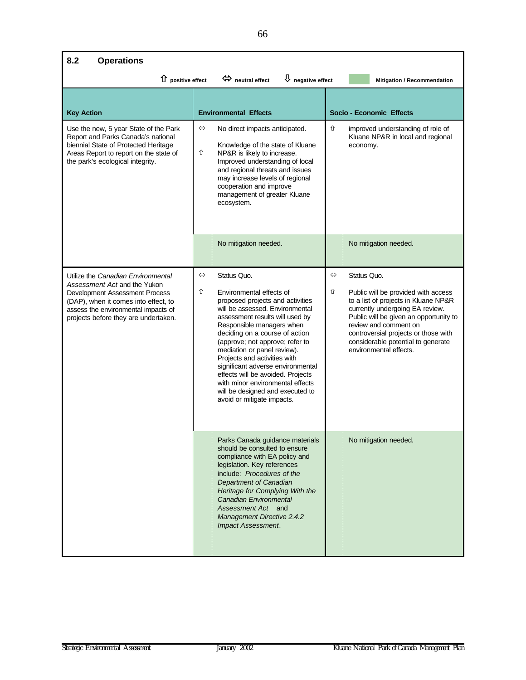## **8.2 Operations**

| $\hat{u}$ positive effect                                                                                                                                                                                                   |                        | $\overline{\Psi}$ negative effect<br>$\Leftrightarrow$ neutral effect                                                                                                                                                                                                                                                                                                                                                                                                                              |        | Mitigation / Recommendation                                                                                                                                                                                                                                                                              |
|-----------------------------------------------------------------------------------------------------------------------------------------------------------------------------------------------------------------------------|------------------------|----------------------------------------------------------------------------------------------------------------------------------------------------------------------------------------------------------------------------------------------------------------------------------------------------------------------------------------------------------------------------------------------------------------------------------------------------------------------------------------------------|--------|----------------------------------------------------------------------------------------------------------------------------------------------------------------------------------------------------------------------------------------------------------------------------------------------------------|
| <b>Key Action</b>                                                                                                                                                                                                           |                        | <b>Environmental Effects</b>                                                                                                                                                                                                                                                                                                                                                                                                                                                                       |        | <b>Socio - Economic Effects</b>                                                                                                                                                                                                                                                                          |
| Use the new, 5 year State of the Park<br>Report and Parks Canada's national<br>biennial State of Protected Heritage<br>Areas Report to report on the state of<br>the park's ecological integrity.                           | $\Leftrightarrow$<br>⇧ | No direct impacts anticipated.<br>Knowledge of the state of Kluane<br>NP&R is likely to increase.<br>Improved understanding of local<br>and regional threats and issues<br>may increase levels of regional<br>cooperation and improve<br>management of greater Kluane<br>ecosystem.                                                                                                                                                                                                                | ⇧      | improved understanding of role of<br>Kluane NP&R in local and regional<br>economy.                                                                                                                                                                                                                       |
|                                                                                                                                                                                                                             |                        | No mitigation needed.                                                                                                                                                                                                                                                                                                                                                                                                                                                                              |        | No mitigation needed.                                                                                                                                                                                                                                                                                    |
| Utilize the Canadian Environmental<br>Assessment Act and the Yukon<br>Development Assessment Process<br>(DAP), when it comes into effect, to<br>assess the environmental impacts of<br>projects before they are undertaken. | $\Leftrightarrow$<br>⇧ | Status Quo.<br>Environmental effects of<br>proposed projects and activities<br>will be assessed. Environmental<br>assessment results will used by<br>Responsible managers when<br>deciding on a course of action<br>(approve; not approve; refer to<br>mediation or panel review).<br>Projects and activities with<br>significant adverse environmental<br>effects will be avoided. Projects<br>with minor environmental effects<br>will be designed and executed to<br>avoid or mitigate impacts. | ⇔<br>⇧ | Status Quo.<br>Public will be provided with access<br>to a list of projects in Kluane NP&R<br>currently undergoing EA review.<br>Public will be given an opportunity to<br>review and comment on<br>controversial projects or those with<br>considerable potential to generate<br>environmental effects. |
|                                                                                                                                                                                                                             |                        | Parks Canada guidance materials<br>should be consulted to ensure<br>compliance with EA policy and<br>legislation. Key references<br>include: Procedures of the<br>Department of Canadian<br>Heritage for Complying With the<br>Canadian Environmental<br>Assessment Act and<br><b>Management Directive 2.4.2</b><br><b>Impact Assessment.</b>                                                                                                                                                      |        | No mitigation needed.                                                                                                                                                                                                                                                                                    |